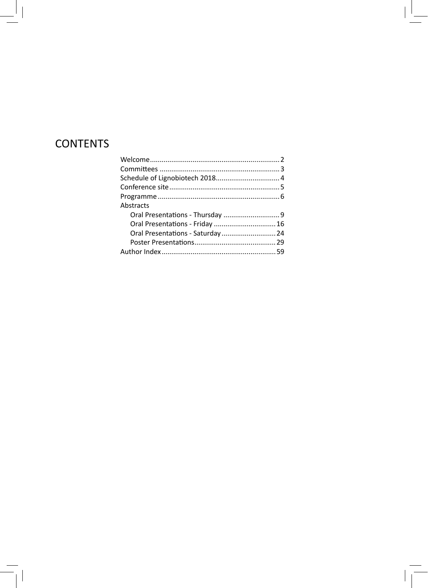# **CONTENTS**

| Oral Presentations - Friday  16   |
|-----------------------------------|
| Oral Presentations - Saturday  24 |
|                                   |
|                                   |
|                                   |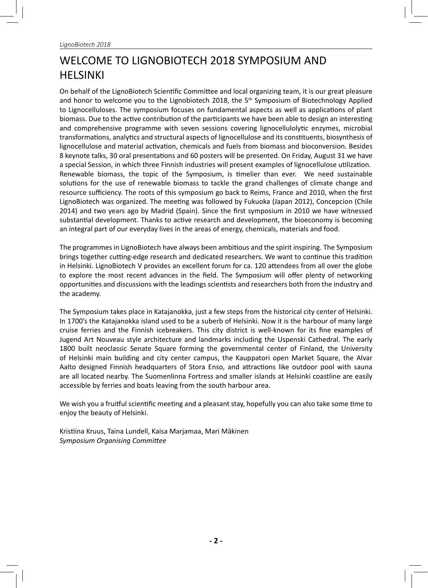# WELCOME TO LIGNOBIOTECH 2018 SYMPOSIUM AND HELSINKI

On behalf of the LignoBiotech Scientific Committee and local organizing team, it is our great pleasure and honor to welcome you to the Lignobiotech 2018, the 5<sup>th</sup> Symposium of Biotechnology Applied to Lignocelluloses. The symposium focuses on fundamental aspects as well as applications of plant biomass. Due to the active contribution of the participants we have been able to design an interesting and comprehensive programme with seven sessions covering lignocellulolytic enzymes, microbial transformations, analytics and structural aspects of lignocellulose and its constituents, biosynthesis of lignocellulose and material activation, chemicals and fuels from biomass and bioconversion. Besides 8 keynote talks, 30 oral presentations and 60 posters will be presented. On Friday, August 31 we have a special Session, in which three Finnish industries will present examples of lignocellulose utilization. Renewable biomass, the topic of the Symposium, is timelier than ever. We need sustainable solutions for the use of renewable biomass to tackle the grand challenges of climate change and resource sufficiency. The roots of this symposium go back to Reims, France and 2010, when the first LignoBiotech was organized. The meeting was followed by Fukuoka (Japan 2012), Concepcion (Chile 2014) and two years ago by Madrid (Spain). Since the first symposium in 2010 we have witnessed substantial development. Thanks to active research and development, the bioeconomy is becoming an integral part of our everyday lives in the areas of energy, chemicals, materials and food.

The programmes in LignoBiotech have always been ambitious and the spirit inspiring. The Symposium brings together cutting-edge research and dedicated researchers. We want to continue this tradition in Helsinki. LignoBiotech V provides an excellent forum for ca. 120 attendees from all over the globe to explore the most recent advances in the field. The Symposium will offer plenty of networking opportunities and discussions with the leadings scientists and researchers both from the industry and the academy.

The Symposium takes place in Katajanokka, just a few steps from the historical city center of Helsinki. In 1700's the Katajanokka island used to be a suberb of Helsinki. Now it is the harbour of many large cruise ferries and the Finnish icebreakers. This city district is well-known for its fine examples of Jugend Art Nouveau style architecture and landmarks including the Uspenski Cathedral. The early 1800 built neoclassic Senate Square forming the governmental center of Finland, the University of Helsinki main building and city center campus, the Kauppatori open Market Square, the Alvar Aalto designed Finnish headquarters of Stora Enso, and attractions like outdoor pool with sauna are all located nearby. The Suomenlinna Fortress and smaller islands at Helsinki coastline are easily accessible by ferries and boats leaving from the south harbour area.

We wish you a fruitful scientific meeting and a pleasant stay, hopefully you can also take some time to enjoy the beauty of Helsinki.

Kristiina Kruus, Taina Lundell, Kaisa Marjamaa, Mari Mäkinen **Symposium Organising Committee**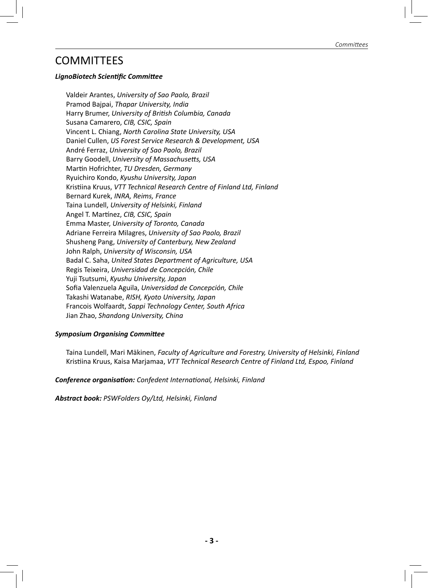## **COMMITTEES**

#### *LignoBiotech ScienƟ fi c CommiƩ ee*

Valdeir Arantes, *University of Sao Paolo, Brazil* Pramod Bajpai, *Thapar University, India* Harry Brumer, *University of BriƟ sh Columbia, Canada* Susana Camarero, *CIB, CSIC, Spain* Vincent L. Chiang, *North Carolina State University, USA* Daniel Cullen, *US Forest Service Research & Development, USA* André Ferraz, *University of Sao Paolo, Brazil* Barry Goodell, *University of Massachusetts*, USA MarƟ n Hofrichter, *TU Dresden, Germany* Ryuichiro Kondo, *Kyushu University, Japan* Kristiina Kruus, VTT Technical Research Centre of Finland Ltd, Finland Bernard Kurek, *INRA, Reims, France* Taina Lundell, *University of Helsinki, Finland* Angel T. Martínez, *CIB, CSIC, Spain* Emma Master, *University of Toronto, Canada* Adriane Ferreira Milagres, *University of Sao Paolo, Brazil* Shusheng Pang, *University of Canterbury, New Zealand*  John Ralph, *University of Wisconsin, USA* Badal C. Saha, *United States Department of Agriculture, USA* Regis Teixeira, *Universidad de Concepción, Chile* Yuji Tsutsumi, *Kyushu University, Japan* Sofia Valenzuela Aguila, Universidad de Concepción, Chile Takashi Watanabe, *RISH, Kyoto University, Japan* Francois Wolfaardt, *Sappi Technology Center, South Africa* Jian Zhao, *Shandong University, China*

#### **Symposium Organising Committee**

Taina Lundell, Mari Mäkinen, *Faculty of Agriculture and Forestry, University of Helsinki, Finland* Kristiina Kruus, Kaisa Marjamaa, VTT Technical Research Centre of Finland Ltd, Espoo, Finland

#### **Conference organisation:** Confedent International, Helsinki, Finland

*Abstract book: PSWFolders Oy/Ltd, Helsinki, Finland*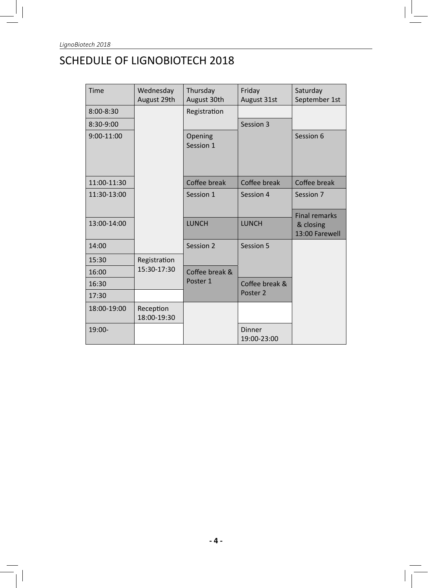# SCHEDULE OF LIGNOBIOTECH 2018

| Time          | Wednesday<br>August 29th | Thursday<br>August 30th | Friday<br>August 31st        | Saturday<br>September 1st                           |
|---------------|--------------------------|-------------------------|------------------------------|-----------------------------------------------------|
| $8:00 - 8:30$ |                          | Registration            |                              |                                                     |
| 8:30-9:00     |                          |                         | Session 3                    |                                                     |
| 9:00-11:00    |                          | Opening<br>Session 1    |                              | Session 6                                           |
| 11:00-11:30   |                          | Coffee break            | Coffee break                 | Coffee break                                        |
| 11:30-13:00   |                          | Session 1               | Session 4                    | Session 7                                           |
| 13:00-14:00   |                          | <b>LUNCH</b>            | <b>LUNCH</b>                 | <b>Final remarks</b><br>& closing<br>13:00 Farewell |
| 14:00         |                          | Session 2               | Session 5                    |                                                     |
| 15:30         | Registration             |                         |                              |                                                     |
| 16:00         | 15:30-17:30              | Coffee break &          |                              |                                                     |
| 16:30         |                          | Poster 1                | Coffee break &               |                                                     |
| 17:30         |                          |                         | Poster 2                     |                                                     |
| 18:00-19:00   | Reception<br>18:00-19:30 |                         |                              |                                                     |
| 19:00-        |                          |                         | <b>Dinner</b><br>19:00-23:00 |                                                     |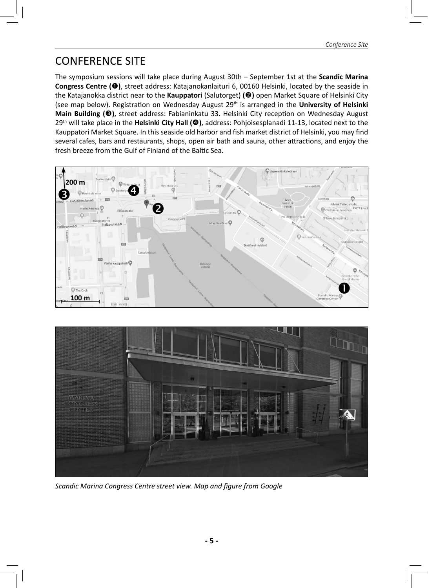## CONFERENCE SITE

The symposium sessions will take place during August 30th – September 1st at the **Scandic Marina Congress Centre (O)**, street address: Katajanokanlaituri 6, 00160 Helsinki, located by the seaside in the Katajanokka district near to the **Kauppatori** (Salutorget) **(**o**)** open Market Square of Helsinki City (see map below). Registration on Wednesday August 29<sup>th</sup> is arranged in the **University of Helsinki Main Building (<sup>●</sup>)**, street address: Fabianinkatu 33. Helsinki City reception on Wednesday August 29th will take place in the **Helsinki City Hall (**q**)**, address: Pohjoisesplanadi 11-13, located next to the Kauppatori Market Square. In this seaside old harbor and fish market district of Helsinki, you may find several cafes, bars and restaurants, shops, open air bath and sauna, other attractions, and enjoy the fresh breeze from the Gulf of Finland of the Baltic Sea.





**Scandic Marina Congress Centre street view. Map and figure from Google**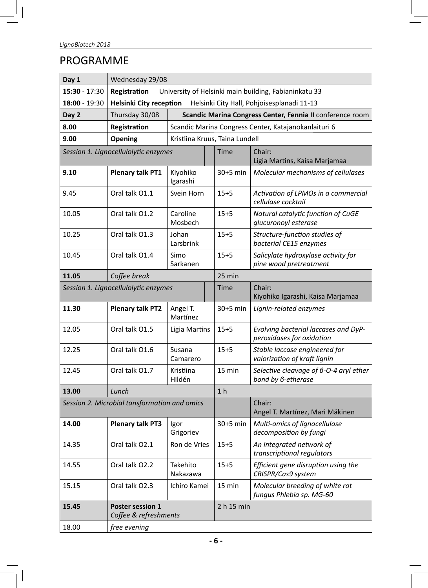# PROGRAMME

| Day 1           | Wednesday 29/08                                                              |                                                           |      |                                             |                                                                   |
|-----------------|------------------------------------------------------------------------------|-----------------------------------------------------------|------|---------------------------------------------|-------------------------------------------------------------------|
| $15:30 - 17:30$ | Registration<br>University of Helsinki main building, Fabianinkatu 33        |                                                           |      |                                             |                                                                   |
| $18:00 - 19:30$ | <b>Helsinki City reception</b><br>Helsinki City Hall, Pohjoisesplanadi 11-13 |                                                           |      |                                             |                                                                   |
| Day 2           | Thursday 30/08                                                               | Scandic Marina Congress Center, Fennia II conference room |      |                                             |                                                                   |
| 8.00            | Registration                                                                 |                                                           |      |                                             | Scandic Marina Congress Center, Katajanokanlaituri 6              |
| 9.00            | Opening                                                                      | Kristiina Kruus, Taina Lundell                            |      |                                             |                                                                   |
|                 | Session 1. Lignocellulolytic enzymes                                         |                                                           |      | <b>Time</b>                                 | Chair:<br>Ligia Martins, Kaisa Marjamaa                           |
| 9.10            | <b>Plenary talk PT1</b>                                                      | Kiyohiko<br>Igarashi                                      |      | $30+5$ min                                  | Molecular mechanisms of cellulases                                |
| 9.45            | Oral talk O1.1                                                               | Svein Horn                                                |      | $15 + 5$                                    | Activation of LPMOs in a commercial<br>cellulase cocktail         |
| 10.05           | Oral talk O1.2                                                               | Caroline<br>Mosbech                                       |      | $15 + 5$                                    | Natural catalytic function of CuGE<br>glucuronoyl esterase        |
| 10.25           | Oral talk O1.3                                                               | Johan<br>Larsbrink                                        |      | $15 + 5$                                    | Structure-function studies of<br>bacterial CE15 enzymes           |
| 10.45           | Oral talk O1.4                                                               | Simo<br>Sarkanen                                          |      | $15 + 5$                                    | Salicylate hydroxylase activity for<br>pine wood pretreatment     |
| 11.05           | Coffee break                                                                 |                                                           |      | 25 min                                      |                                                                   |
|                 | Session 1. Lignocellulolytic enzymes                                         |                                                           | Time | Chair:<br>Kiyohiko Igarashi, Kaisa Marjamaa |                                                                   |
| 11.30           | <b>Plenary talk PT2</b>                                                      | Angel T.<br>Martínez                                      |      | $30+5$ min                                  | Lignin-related enzymes                                            |
| 12.05           | Oral talk O1.5                                                               | Ligia Martins                                             |      | $15 + 5$                                    | Evolving bacterial laccases and DyP-<br>peroxidases for oxidation |
| 12.25           | Oral talk O1.6                                                               | Susana<br>Camarero                                        |      | $15 + 5$                                    | Stable laccase engineered for<br>valorization of kraft lignin     |
| 12.45           | Oral talk 01.7                                                               | Kristiina<br>Hildén                                       |      | 15 min                                      | Selective cleavage of 6-0-4 aryl ether<br>bond by 6-etherase      |
| 13.00           | Lunch                                                                        |                                                           |      | 1 <sub>h</sub>                              |                                                                   |
|                 | Session 2. Microbial tansformation and omics                                 |                                                           |      |                                             | Chair:<br>Angel T. Martínez, Mari Mäkinen                         |
| 14.00           | <b>Plenary talk PT3</b>                                                      | lgor<br>Grigoriev                                         |      | 30+5 min                                    | Multi-omics of lignocellulose<br>decomposition by fungi           |
| 14.35           | Oral talk O2.1                                                               | Ron de Vries                                              |      | $15 + 5$                                    | An integrated network of<br>transcriptional regulators            |
| 14.55           | Oral talk O2.2                                                               | Takehito<br>Nakazawa                                      |      | $15 + 5$                                    | Efficient gene disruption using the<br>CRISPR/Cas9 system         |
| 15.15           | Oral talk O2.3                                                               | Ichiro Kamei                                              |      | 15 min                                      | Molecular breeding of white rot<br>fungus Phlebia sp. MG-60       |
| 15.45           | Poster session 1<br>Coffee & refreshments                                    |                                                           |      | 2 h 15 min                                  |                                                                   |
| 18.00           | free evening                                                                 |                                                           |      |                                             |                                                                   |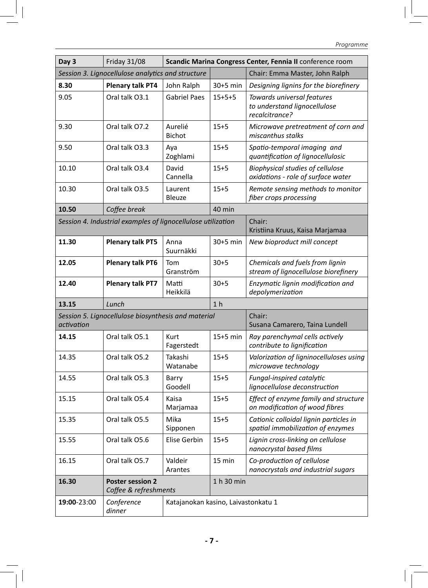| Day 3       | <b>Friday 31/08</b>                                          |                                     |                | Scandic Marina Congress Center, Fennia II conference room                    |
|-------------|--------------------------------------------------------------|-------------------------------------|----------------|------------------------------------------------------------------------------|
|             | Session 3. Lignocellulose analytics and structure            |                                     |                | Chair: Emma Master, John Ralph                                               |
| 8.30        | <b>Plenary talk PT4</b>                                      | John Ralph                          | $30+5$ min     | Designing lignins for the biorefinery                                        |
| 9.05        | Oral talk O3.1                                               | <b>Gabriel Paes</b>                 | $15+5+5$       | Towards universal features<br>to understand lignocellulose<br>recalcitrance? |
| 9.30        | Oral talk O7.2                                               | Aurelié<br><b>Bichot</b>            | $15 + 5$       | Microwave pretreatment of corn and<br>miscanthus stalks                      |
| 9.50        | Oral talk O3.3                                               | Aya<br>Zoghlami                     | $15 + 5$       | Spatio-temporal imaging and<br>quantification of lignocellulosic             |
| 10.10       | Oral talk O3.4                                               | David<br>Cannella                   | $15 + 5$       | Biophysical studies of cellulose<br>oxidations - role of surface water       |
| 10.30       | Oral talk O3.5                                               | Laurent<br><b>Bleuze</b>            | $15 + 5$       | Remote sensing methods to monitor<br>fiber crops processing                  |
| 10.50       | Coffee break                                                 |                                     | 40 min         |                                                                              |
|             | Session 4. Industrial examples of lignocellulose utilization |                                     |                | Chair:<br>Kristiina Kruus, Kaisa Marjamaa                                    |
| 11.30       | <b>Plenary talk PT5</b>                                      | Anna<br>Suurnäkki                   | 30+5 min       | New bioproduct mill concept                                                  |
| 12.05       | <b>Plenary talk PT6</b>                                      | Tom<br>Granström                    | $30 + 5$       | Chemicals and fuels from lignin<br>stream of lignocellulose biorefinery      |
| 12.40       | <b>Plenary talk PT7</b>                                      | Matti<br>Heikkilä                   | $30 + 5$       | Enzymatic lignin modification and<br>depolymerization                        |
| 13.15       | Lunch                                                        |                                     | 1 <sub>h</sub> |                                                                              |
| activation  | Session 5. Lignocellulose biosynthesis and material          |                                     |                | Chair:<br>Susana Camarero, Taina Lundell                                     |
| 14.15       | Oral talk O5.1                                               | Kurt<br>Fagerstedt                  | $15+5$ min     | Ray parenchymal cells actively<br>contribute to lignification                |
| 14.35       | Oral talk O5.2                                               | Takashi<br>Watanabe                 | $15 + 5$       | Valorization of ligninocelluloses using<br>microwave technology              |
| 14.55       | Oral talk O5.3                                               | Barry<br>Goodell                    | $15 + 5$       | Fungal-inspired catalytic<br>lignocellulose deconstruction                   |
| 15.15       | Oral talk O5.4                                               | Kaisa<br>Marjamaa                   | 15+5           | Effect of enzyme family and structure<br>on modification of wood fibres      |
| 15.35       | Oral talk O5.5                                               | Mika<br>Sipponen                    | $15 + 5$       | Cationic colloidal lignin particles in<br>spatial immobilization of enzymes  |
| 15.55       | Oral talk O5.6                                               | Elise Gerbin                        | $15 + 5$       | Lignin cross-linking on cellulose<br>nanocrystal based films                 |
| 16.15       | Oral talk O5.7                                               | Valdeir<br>Arantes                  | 15 min         | Co-production of cellulose<br>nanocrystals and industrial sugars             |
| 16.30       | <b>Poster session 2</b>                                      |                                     | 1 h 30 min     |                                                                              |
|             | Coffee & refreshments                                        |                                     |                |                                                                              |
| 19:00-23:00 | Conference<br>dinner                                         | Katajanokan kasino, Laivastonkatu 1 |                |                                                                              |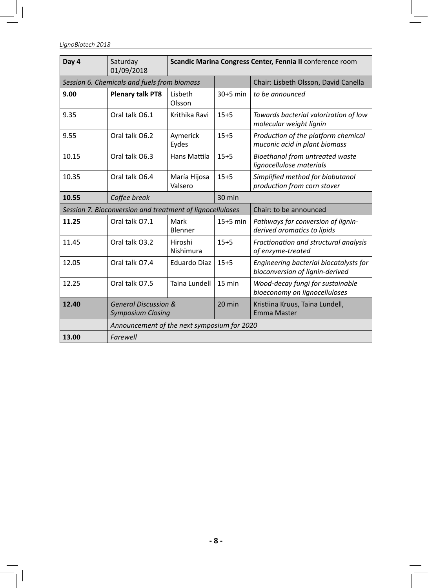LignoBiotech 2018

| Day 4 | Saturday<br>01/09/2018                                      | Scandic Marina Congress Center, Fennia II conference room |                                      |                                                                           |
|-------|-------------------------------------------------------------|-----------------------------------------------------------|--------------------------------------|---------------------------------------------------------------------------|
|       | Session 6. Chemicals and fuels from biomass                 |                                                           | Chair: Lisbeth Olsson, David Canella |                                                                           |
| 9.00  | <b>Plenary talk PT8</b>                                     | Lisbeth<br>Olsson                                         | $30+5$ min                           | to be announced                                                           |
| 9.35  | Oral talk O6.1                                              | Krithika Ravi                                             | $15 + 5$                             | Towards bacterial valorization of low<br>molecular weight lignin          |
| 9.55  | Oral talk O6.2                                              | Aymerick<br>Eydes                                         | $15 + 5$                             | Production of the platform chemical<br>muconic acid in plant biomass      |
| 10.15 | Oral talk O6.3                                              | Hans Mattila                                              | $15 + 5$                             | Bioethanol from untreated waste<br>lignocellulose materials               |
| 10.35 | Oral talk O6.4                                              | María Hijosa<br>Valsero                                   | $15 + 5$                             | Simplified method for biobutanol<br>production from corn stover           |
| 10.55 | Coffee break                                                | 30 min                                                    |                                      |                                                                           |
|       |                                                             | Session 7. Bioconversion and treatment of lignocelluloses |                                      | Chair: to be announced                                                    |
| 11.25 | Oral talk O7.1                                              | Mark<br>Blenner                                           | $15+5$ min                           | Pathways for conversion of lignin-<br>derived aromatics to lipids         |
| 11.45 | Oral talk O3.2                                              | Hiroshi<br>Nishimura                                      | $15 + 5$                             | Fractionation and structural analysis<br>of enzyme-treated                |
| 12.05 | Oral talk O7.4                                              | Eduardo Diaz                                              | $15 + 5$                             | Engineering bacterial biocatalysts for<br>bioconversion of lignin-derived |
| 12.25 | Oral talk O7.5                                              | Taina Lundell                                             | 15 min                               | Wood-decay fungi for sustainable<br>bioeconomy on lignocelluloses         |
| 12.40 | <b>General Discussion &amp;</b><br><b>Symposium Closing</b> |                                                           | 20 min                               | Kristiina Kruus, Taina Lundell,<br>Emma Master                            |
|       | Announcement of the next symposium for 2020                 |                                                           |                                      |                                                                           |
| 13.00 | Farewell                                                    |                                                           |                                      |                                                                           |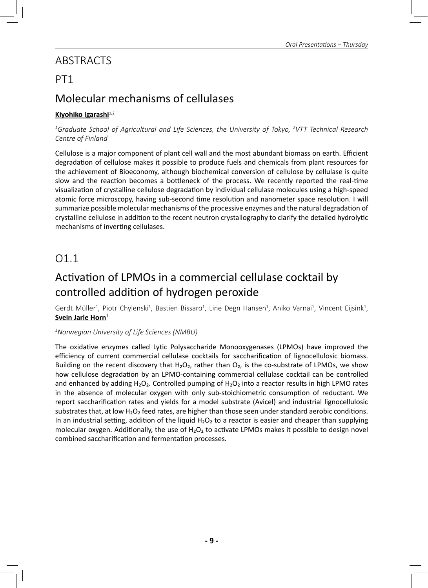## ABSTRACTS

## PT1

## Molecular mechanisms of cellulases

#### Kiyohiko Igarashi<sup>1,2</sup>

*1 Graduate School of Agricultural and Life Sciences, the University of Tokyo, 2 VTT Technical Research Centre of Finland*

Cellulose is a major component of plant cell wall and the most abundant biomass on earth. Efficient degradation of cellulose makes it possible to produce fuels and chemicals from plant resources for the achievement of Bioeconomy, although biochemical conversion of cellulose by cellulase is quite slow and the reaction becomes a bottleneck of the process. We recently reported the real-time visualization of crystalline cellulose degradation by individual cellulase molecules using a high-speed atomic force microscopy, having sub-second time resolution and nanometer space resolution. I will summarize possible molecular mechanisms of the processive enzymes and the natural degradation of crystalline cellulose in addition to the recent neutron crystallography to clarify the detailed hydrolytic mechanisms of inverting cellulases.

## O1.1

## Activation of LPMOs in a commercial cellulase cocktail by controlled addition of hydrogen peroxide

Gerdt Müller<sup>1</sup>, Piotr Chylenski<sup>1</sup>, Bastien Bissaro<sup>1</sup>, Line Degn Hansen<sup>1</sup>, Aniko Varnai<sup>1</sup>, Vincent Eijsink<sup>1</sup>, **Svein Jarle Horn**<sup>1</sup>

#### *1 Norwegian University of Life Sciences (NMBU)*

The oxidative enzymes called Lytic Polysaccharide Monooxygenases (LPMOs) have improved the efficiency of current commercial cellulase cocktails for saccharification of lignocellulosic biomass. Building on the recent discovery that  $H_2O_2$ , rather than  $O_2$ , is the co-substrate of LPMOs, we show how cellulose degradation by an LPMO-containing commercial cellulase cocktail can be controlled and enhanced by adding H<sub>2</sub>O<sub>2</sub>. Controlled pumping of H<sub>2</sub>O<sub>2</sub> into a reactor results in high LPMO rates in the absence of molecular oxygen with only sub-stoichiometric consumption of reductant. We report saccharification rates and yields for a model substrate (Avicel) and industrial lignocellulosic substrates that, at low H<sub>2</sub>O<sub>2</sub> feed rates, are higher than those seen under standard aerobic conditions. In an industrial setting, addition of the liquid  $H_2O_2$  to a reactor is easier and cheaper than supplying molecular oxygen. Additionally, the use of  $H_2O_2$  to activate LPMOs makes it possible to design novel combined saccharification and fermentation processes.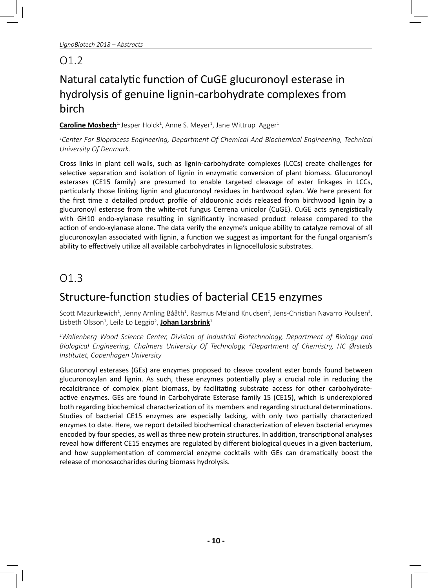# Natural catalytic function of CuGE glucuronoyl esterase in hydrolysis of genuine lignin-carbohydrate complexes from birch

**Caroline Mosbech**<sup>1,</sup> Jesper Holck<sup>1</sup>, Anne S. Meyer<sup>1</sup>, Jane Wittrup Agger<sup>1</sup>

*1 Center For Bioprocess Engineering, Department Of Chemical And Biochemical Engineering, Technical University Of Denmark.*

Cross links in plant cell walls, such as lignin-carbohydrate complexes (LCCs) create challenges for selective separation and isolation of lignin in enzymatic conversion of plant biomass. Glucuronoyl esterases (CE15 family) are presumed to enable targeted cleavage of ester linkages in LCCs, particularly those linking lignin and glucuronoyl residues in hardwood xylan. We here present for the first time a detailed product profile of aldouronic acids released from birchwood lignin by a glucuronoyl esterase from the white-rot fungus Cerrena unicolor (CuGE). CuGE acts synergistically with GH10 endo-xylanase resulting in significantly increased product release compared to the action of endo-xylanase alone. The data verify the enzyme's unique ability to catalyze removal of all glucuronoxylan associated with lignin, a function we suggest as important for the fungal organism's ability to effectively utilize all available carbohydrates in lignocellulosic substrates.

## O1.3

## Structure-function studies of bacterial CE15 enzymes

Scott Mazurkewich<sup>1</sup>, Jenny Arnling Bååth<sup>1</sup>, Rasmus Meland Knudsen<sup>2</sup>, Jens-Christian Navarro Poulsen<sup>2</sup>, Lisbeth Olsson<sup>1</sup>, Leila Lo Leggio<sup>2</sup>, <mark>Johan Larsbrink</mark><sup>1</sup>

*1 Wallenberg Wood Science Center, Division of Industrial Biotechnology, Department of Biology and Biological Engineering, Chalmers University Of Technology, 2 Department of Chemistry, HC Ørsteds InsƟ tutet, Copenhagen University*

Glucuronoyl esterases (GEs) are enzymes proposed to cleave covalent ester bonds found between glucuronoxylan and lignin. As such, these enzymes potentially play a crucial role in reducing the recalcitrance of complex plant biomass, by facilitating substrate access for other carbohydrateactive enzymes. GEs are found in Carbohydrate Esterase family 15 (CE15), which is underexplored both regarding biochemical characterization of its members and regarding structural determinations. Studies of bacterial CE15 enzymes are especially lacking, with only two partially characterized enzymes to date. Here, we report detailed biochemical characterization of eleven bacterial enzymes encoded by four species, as well as three new protein structures. In addition, transcriptional analyses reveal how different CE15 enzymes are regulated by different biological queues in a given bacterium, and how supplementation of commercial enzyme cocktails with GEs can dramatically boost the release of monosaccharides during biomass hydrolysis.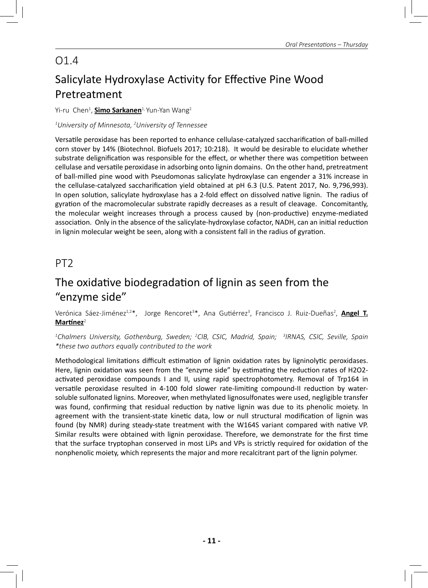# Salicylate Hydroxylase Activity for Effective Pine Wood Pretreatment

#### Yi-ru Chen<sup>1</sup>, <mark>Simo Sarkanen</mark><sup>1,</sup> Yun-Yan Wang<sup>2</sup>

#### *1 University of Minnesota, 2 University of Tennessee*

Versatile peroxidase has been reported to enhance cellulase-catalyzed saccharification of ball-milled corn stover by 14% (Biotechnol. Biofuels 2017; 10:218). It would be desirable to elucidate whether substrate delignification was responsible for the effect, or whether there was competition between cellulase and versatile peroxidase in adsorbing onto lignin domains. On the other hand, pretreatment of ball-milled pine wood with Pseudomonas salicylate hydroxylase can engender a 31% increase in the cellulase-catalyzed saccharification yield obtained at pH 6.3 (U.S. Patent 2017, No. 9,796,993). In open solution, salicylate hydroxylase has a 2-fold effect on dissolved native lignin. The radius of gyration of the macromolecular substrate rapidly decreases as a result of cleavage. Concomitantly, the molecular weight increases through a process caused by (non-productive) enzyme-mediated association. Only in the absence of the salicylate-hydroxylase cofactor, NADH, can an initial reduction in lignin molecular weight be seen, along with a consistent fall in the radius of gyration.

## PT2

## The oxidative biodegradation of lignin as seen from the "enzyme side"

Verónica Sáez-Jiménez<sup>1,2\*</sup>, Jorge Rencoret<sup>3\*</sup>, Ana Gutiérrez<sup>3</sup>, Francisco J. Ruiz-Dueñas<sup>2</sup>, <mark>Angel T.</mark> **Martínez**<sup>2</sup>

*1 Chalmers University, Gothenburg, Sweden; 2 CIB, CSIC, Madrid, Spain; 3 IRNAS, CSIC, Seville, Spain \*these two authors equally contributed to the work*

Methodological limitations difficult estimation of lignin oxidation rates by ligninolytic peroxidases. Here, lignin oxidation was seen from the "enzyme side" by estimating the reduction rates of H2O2activated peroxidase compounds I and II, using rapid spectrophotometry. Removal of Trp164 in versatile peroxidase resulted in 4-100 fold slower rate-limiting compound-II reduction by watersoluble sulfonated lignins. Moreover, when methylated lignosulfonates were used, negligible transfer was found, confirming that residual reduction by native lignin was due to its phenolic moiety. In agreement with the transient-state kinetic data, low or null structural modification of lignin was found (by NMR) during steady-state treatment with the W164S variant compared with native VP. Similar results were obtained with lignin peroxidase. Therefore, we demonstrate for the first time that the surface tryptophan conserved in most LiPs and VPs is strictly required for oxidation of the nonphenolic moiety, which represents the major and more recalcitrant part of the lignin polymer.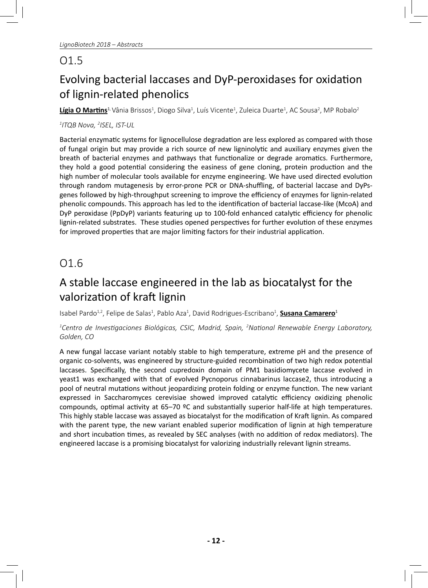# Evolving bacterial laccases and DyP-peroxidases for oxidation of lignin-related phenolics

**Lígia O Martins<sup>1,</sup>** Vânia Brissos<sup>1</sup>, Diogo Silva<sup>1</sup>, Luís Vicente<sup>1</sup>, Zuleica Duarte<sup>1</sup>, AC Sousa<sup>2</sup>, MP Robalo<sup>2</sup>

#### *1 ITQB Nova, 2 ISEL, IST-UL*

Bacterial enzymatic systems for lignocellulose degradation are less explored as compared with those of fungal origin but may provide a rich source of new ligninolytic and auxiliary enzymes given the breath of bacterial enzymes and pathways that functionalize or degrade aromatics. Furthermore, they hold a good potential considering the easiness of gene cloning, protein production and the high number of molecular tools available for enzyme engineering. We have used directed evolution through random mutagenesis by error-prone PCR or DNA-shuffling, of bacterial laccase and DyPsgenes followed by high-throughput screening to improve the efficiency of enzymes for lignin-related phenolic compounds. This approach has led to the identification of bacterial laccase-like (McoA) and DyP peroxidase (PpDyP) variants featuring up to 100-fold enhanced catalytic efficiency for phenolic lignin-related substrates. These studies opened perspectives for further evolution of these enzymes for improved properties that are major limiting factors for their industrial application.

## O1.6

## A stable laccase engineered in the lab as biocatalyst for the valorization of kraft lignin

Isabel Pardo<sup>1,2</sup>, Felipe de Salas<sup>1</sup>, Pablo Aza<sup>1</sup>, David Rodrigues-Escribano<sup>1</sup>, <mark>Susana Camarero</mark><sup>1</sup>

#### *1 Centro de InvesƟ gaciones Biológicas, CSIC, Madrid, Spain, 2 NaƟ onal Renewable Energy Laboratory, Golden, CO*

A new fungal laccase variant notably stable to high temperature, extreme pH and the presence of organic co-solvents, was engineered by structure-guided recombination of two high redox potential laccases. Specifically, the second cupredoxin domain of PM1 basidiomycete laccase evolved in yeast1 was exchanged with that of evolved Pycnoporus cinnabarinus laccase2, thus introducing a pool of neutral mutations without jeopardizing protein folding or enzyme function. The new variant expressed in Saccharomyces cerevisiae showed improved catalytic efficiency oxidizing phenolic compounds, optimal activity at  $65-70$  <sup>o</sup>C and substantially superior half-life at high temperatures. This highly stable laccase was assayed as biocatalyst for the modification of Kraft lignin. As compared with the parent type, the new variant enabled superior modification of lignin at high temperature and short incubation times, as revealed by SEC analyses (with no addition of redox mediators). The engineered laccase is a promising biocatalyst for valorizing industrially relevant lignin streams.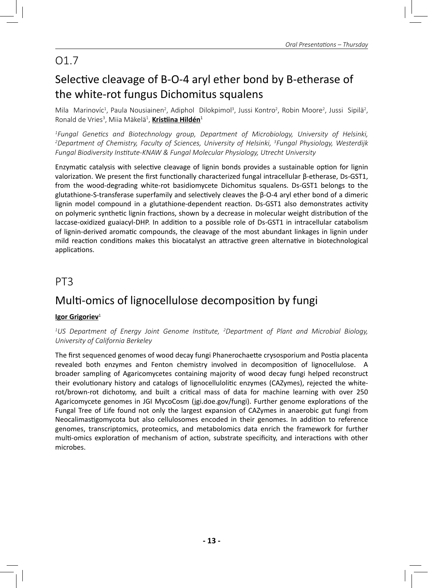# Selective cleavage of B-O-4 aryl ether bond by B-etherase of the white-rot fungus Dichomitus squalens

Mila Marinovíc<sup>1</sup>, Paula Nousiainen<sup>2</sup>, Adiphol Dilokpimol<sup>3</sup>, Jussi Kontro<sup>2</sup>, Robin Moore<sup>2</sup>, Jussi Sipilä<sup>2</sup>, Ronald de Vries<sup>3</sup>, Miia Mäkelä<sup>1</sup>, <mark>Kristiina Hildén</mark><sup>1</sup>

<sup>1</sup>Fungal Genetics and Biotechnology group, Department of Microbiology, University of Helsinki,<br><sup>2</sup>Denartment of Chemistry Faculty of Sciences University of Helsinki <sup>3</sup>Fungal Physiology Westerdiik *Department of Chemistry, Faculty of Sciences, University of Helsinki, 3 Fungal Physiology, Westerdijk*  Fungal Biodiversity Institute-KNAW & Fungal Molecular Physiology, Utrecht University

Enzymatic catalysis with selective cleavage of lignin bonds provides a sustainable option for lignin valorization. We present the first functionally characterized fungal intracellular β-etherase, Ds-GST1, from the wood-degrading white-rot basidiomycete Dichomitus squalens. Ds-GST1 belongs to the glutathione-S-transferase superfamily and selectively cleaves the β-O-4 aryl ether bond of a dimeric lignin model compound in a glutathione-dependent reaction. Ds-GST1 also demonstrates activity on polymeric synthetic lignin fractions, shown by a decrease in molecular weight distribution of the laccase-oxidized guaiacyl-DHP. In addition to a possible role of Ds-GST1 in intracellular catabolism of lignin-derived aromatic compounds, the cleavage of the most abundant linkages in lignin under mild reaction conditions makes this biocatalyst an attractive green alternative in biotechnological applications.

### PT3

## Multi-omics of lignocellulose decomposition by fungi

#### **Igor Grigoriev**<sup>1</sup>

<sup>1</sup>US Department of Energy Joint Genome Institute, <sup>2</sup>Department of Plant and Microbial Biology, *University of California Berkeley*

The first sequenced genomes of wood decay fungi Phanerochaette crysosporium and Postia placenta revealed both enzymes and Fenton chemistry involved in decomposition of lignocellulose. A broader sampling of Agaricomycetes containing majority of wood decay fungi helped reconstruct their evolutionary history and catalogs of lignocellulolitic enzymes (CAZymes), rejected the whiterot/brown-rot dichotomy, and built a critical mass of data for machine learning with over 250 Agaricomycete genomes in JGI MycoCosm (jgi.doe.gov/fungi). Further genome explorations of the Fungal Tree of Life found not only the largest expansion of CAZymes in anaerobic gut fungi from Neocalimastigomycota but also cellulosomes encoded in their genomes. In addition to reference genomes, transcriptomics, proteomics, and metabolomics data enrich the framework for further multi-omics exploration of mechanism of action, substrate specificity, and interactions with other microbes.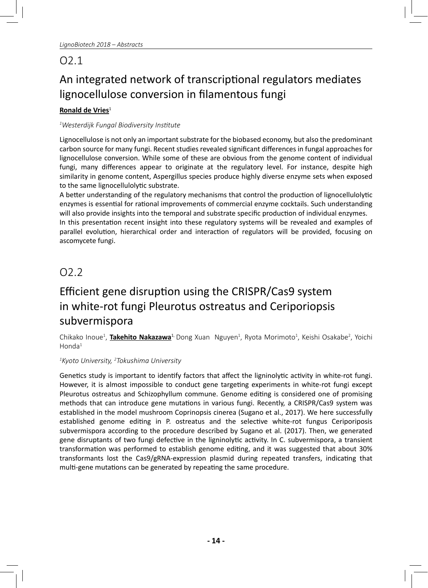## O2.1

# An integrated network of transcriptional regulators mediates lignocellulose conversion in filamentous fungi

#### **Ronald de Vries**<sup>1</sup>

#### *1 Westerdijk Fungal Biodiversity InsƟ tute*

Lignocellulose is not only an important substrate for the biobased economy, but also the predominant carbon source for many fungi. Recent studies revealed significant differences in fungal approaches for lignocellulose conversion. While some of these are obvious from the genome content of individual fungi, many differences appear to originate at the regulatory level. For instance, despite high similarity in genome content, Aspergillus species produce highly diverse enzyme sets when exposed to the same lignocellulolytic substrate.

A better understanding of the regulatory mechanisms that control the production of lignocellulolytic enzymes is essential for rational improvements of commercial enzyme cocktails. Such understanding will also provide insights into the temporal and substrate specific production of individual enzymes. In this presentation recent insight into these regulatory systems will be revealed and examples of parallel evolution, hierarchical order and interaction of regulators will be provided, focusing on ascomycete fungi.

## O2.2

# Efficient gene disruption using the CRISPR/Cas9 system in white-rot fungi Pleurotus ostreatus and Ceriporiopsis subvermispora

Chikako Inoue<sup>1</sup>, **Takehito Nakazawa<sup>1,</sup> Dong Xuan Nguyen<sup>1</sup>, Ryota Morimoto<sup>1</sup>, Keishi Osakabe<sup>2</sup>, Yoichi**  $H$ onda $1$ 

#### *1 Kyoto University, 2 Tokushima University*

Genetics study is important to identify factors that affect the ligninolytic activity in white-rot fungi. However, it is almost impossible to conduct gene targeting experiments in white-rot fungi except Pleurotus ostreatus and Schizophyllum commune. Genome editing is considered one of promising methods that can introduce gene mutations in various fungi. Recently, a CRISPR/Cas9 system was established in the model mushroom Coprinopsis cinerea (Sugano et al., 2017). We here successfully established genome editing in P. ostreatus and the selective white-rot fungus Ceriporiposis subvermispora according to the procedure described by Sugano et al. (2017). Then, we generated gene disruptants of two fungi defective in the ligninolytic activity. In C. subvermispora, a transient transformation was performed to establish genome editing, and it was suggested that about 30% transformants lost the  $Cas9/gRNA$ -expression plasmid during repeated transfers, indicating that multi-gene mutations can be generated by repeating the same procedure.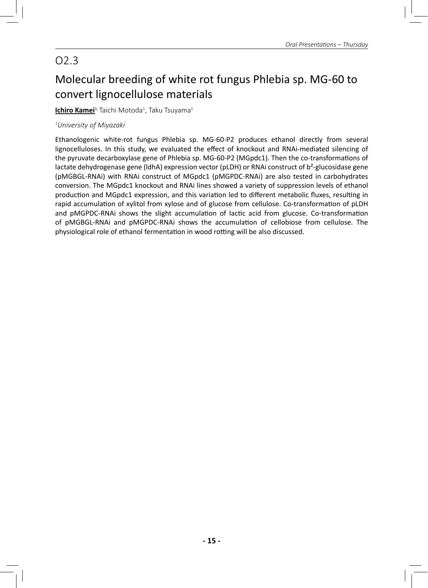# O2.3

# Molecular breeding of white rot fungus Phlebia sp. MG-60 to convert lignocellulose materials

**<u>Ichiro Kamei</u><sup>1,</sup> Taichi Motoda<sup>1</sup>, Taku Tsuyama<sup>1</sup>** 

#### *1 University of Miyazaki*

Ethanologenic white-rot fungus Phlebia sp. MG-60-P2 produces ethanol directly from several lignocelluloses. In this study, we evaluated the effect of knockout and RNAi-mediated silencing of the pyruvate decarboxylase gene of Phlebia sp. MG-60-P2 (MGpdc1). Then the co-transformations of lactate dehydrogenase gene (IdhA) expression vector (pLDH) or RNAi construct of b<sup>2</sup>-glucosidase gene (pMGBGL-RNAi) with RNAi construct of MGpdc1 (pMGPDC-RNAi) are also tested in carbohydrates conversion. The MGpdc1 knockout and RNAi lines showed a variety of suppression levels of ethanol production and MGpdc1 expression, and this variation led to different metabolic fluxes, resulting in rapid accumulation of xylitol from xylose and of glucose from cellulose. Co-transformation of pLDH and pMGPDC-RNAi shows the slight accumulation of lactic acid from glucose. Co-transformation of pMGBGL-RNAi and pMGPDC-RNAi shows the accumulation of cellobiose from cellulose. The physiological role of ethanol fermentation in wood rotting will be also discussed.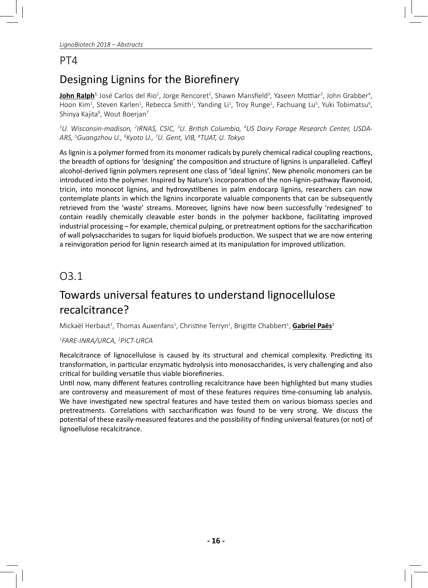### PT4

# Designing Lignins for the Biorefinery

**John Ralph**<sup>1,</sup> José Carlos del Rio<sup>2</sup>, Jorge Rencoret<sup>2</sup>, Shawn Mansfield<sup>3</sup>, Yaseen Mottiar<sup>3</sup>, John Grabber<sup>4</sup>, Hoon Kim<sup>1</sup>, Steven Karlen<sup>1</sup>, Rebecca Smith<sup>1</sup>, Yanding Li<sup>1</sup>, Troy Runge<sup>1</sup>, Fachuang Lu<sup>5</sup>, Yuki Tobimatsu<sup>6</sup>, Shinya Kajita<sup>8</sup>, Wout Boerjan<sup>7</sup>

 $^{\text{1}}$ U. Wisconsin-madison, <sup>2</sup>IRNAS, CSIC, <sup>3</sup>U. British Columbia, <sup>4</sup>US Dairy Forage Research Center, USDA-*ARS, 5 Guangzhou U., 6 Kyoto U., 7 U. Gent, VIB, 8 TUAT, U. Tokyo*

As lignin is a polymer formed from its monomer radicals by purely chemical radical coupling reactions, the breadth of options for 'designing' the composition and structure of lignins is unparalleled. Caffeyl alcohol-derived lignin polymers represent one class of 'ideal lignins'. New phenolic monomers can be introduced into the polymer. Inspired by Nature's incorporation of the non-lignin-pathway flavonoid, tricin, into monocot lignins, and hydroxystilbenes in palm endocarp lignins, researchers can now contemplate plants in which the lignins incorporate valuable components that can be subsequently retrieved from the 'waste' streams. Moreover, lignins have now been successfully 'redesigned' to contain readily chemically cleavable ester bonds in the polymer backbone, facilitating improved industrial processing – for example, chemical pulping, or pretreatment options for the saccharification of wall polysaccharides to sugars for liquid biofuels production. We suspect that we are now entering a reinvigoration period for lignin research aimed at its manipulation for improved utilization.

## O3.1

## Towards universal features to understand lignocellulose recalcitrance?

Mickaël Herbaut<sup>1</sup>, Thomas Auxenfans<sup>1</sup>, Christine Terryn<sup>2</sup>, Brigitte Chabbert<sup>1</sup>, <mark>Gabriel Paës</mark><sup>1</sup>

#### *1 FARE-INRA/URCA, 2 PICT-URCA*

Recalcitrance of lignocellulose is caused by its structural and chemical complexity. Predicting its transformation, in particular enzymatic hydrolysis into monosaccharides, is very challenging and also critical for building versatile thus viable biorefineries.

Until now, many different features controlling recalcitrance have been highlighted but many studies are controversy and measurement of most of these features requires time-consuming lab analysis. We have investigated new spectral features and have tested them on various biomass species and pretreatments. Correlations with saccharification was found to be very strong. We discuss the potential of these easily-measured features and the possibility of finding universal features (or not) of lignoellulose recalcitrance.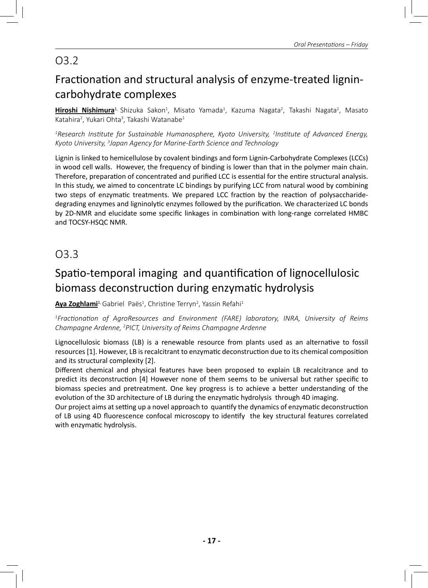# O3.2

# Fractionation and structural analysis of enzyme-treated lignincarbohydrate complexes

**Hiroshi Nishimura**<sup>1,</sup> Shizuka Sakon<sup>1</sup>, Misato Yamada<sup>1</sup>, Kazuma Nagata<sup>2</sup>, Takashi Nagata<sup>2</sup>, Masato Katahira<sup>2</sup>, Yukari Ohta<sup>3</sup>, Takashi Watanabe<sup>1</sup>

*1 Research InsƟ tute for Sustainable Humanosphere, Kyoto University, 2 InsƟ tute of Advanced Energy, Kyoto University, 3 Japan Agency for Marine-Earth Science and Technology*

Lignin is linked to hemicellulose by covalent bindings and form Lignin-Carbohydrate Complexes (LCCs) in wood cell walls. However, the frequency of binding is lower than that in the polymer main chain. Therefore, preparation of concentrated and purified LCC is essential for the entire structural analysis. In this study, we aimed to concentrate LC bindings by purifying LCC from natural wood by combining two steps of enzymatic treatments. We prepared LCC fraction by the reaction of polysaccharidedegrading enzymes and ligninolytic enzymes followed by the purification. We characterized LC bonds by 2D-NMR and elucidate some specific linkages in combination with long-range correlated HMBC and TOCSY-HSQC NMR.

O3.3

# Spatio-temporal imaging and quantification of lignocellulosic biomass deconstruction during enzymatic hydrolysis

**<u>Aya Zoghlami</u><sup>1,</sup> Gabriel Paës<sup>1</sup>, Christine Terryn<sup>2</sup>, Yassin Refahi<sup>1</sup>** 

<sup>1</sup> Fractionation of AgroResources and Environment (FARE) laboratory, INRA, University of Reims *Champagne Ardenne, 2 PICT, University of Reims Champagne Ardenne*

Lignocellulosic biomass (LB) is a renewable resource from plants used as an alternative to fossil resources [1]. However, LB is recalcitrant to enzymatic deconstruction due to its chemical composition and its structural complexity [2].

Different chemical and physical features have been proposed to explain LB recalcitrance and to predict its deconstruction [4] However none of them seems to be universal but rather specific to biomass species and pretreatment. One key progress is to achieve a better understanding of the evolution of the 3D architecture of LB during the enzymatic hydrolysis through 4D imaging.

Our project aims at setting up a novel approach to quantify the dynamics of enzymatic deconstruction of LB using 4D fluorescence confocal microscopy to identify the key structural features correlated with enzymatic hydrolysis.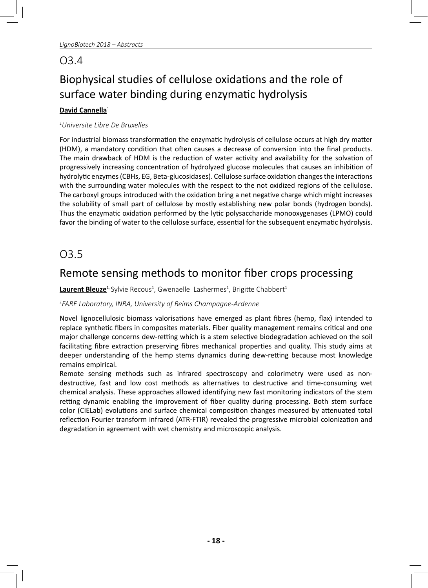## O3.4

# Biophysical studies of cellulose oxidations and the role of surface water binding during enzymatic hydrolysis

#### **David Cannella**<sup>1</sup>

#### *1 Universite Libre De Bruxelles*

For industrial biomass transformation the enzymatic hydrolysis of cellulose occurs at high dry matter (HDM), a mandatory condition that often causes a decrease of conversion into the final products. The main drawback of HDM is the reduction of water activity and availability for the solvation of progressively increasing concentration of hydrolyzed glucose molecules that causes an inhibition of hydrolytic enzymes (CBHs, EG, Beta-glucosidases). Cellulose surface oxidation changes the interactions with the surrounding water molecules with the respect to the not oxidized regions of the cellulose. The carboxyl groups introduced with the oxidation bring a net negative charge which might increases the solubility of small part of cellulose by mostly establishing new polar bonds (hydrogen bonds). Thus the enzymatic oxidation performed by the lytic polysaccharide monooxygenases (LPMO) could favor the binding of water to the cellulose surface, essential for the subsequent enzymatic hydrolysis.

## O3.5

## Remote sensing methods to monitor fiber crops processing

**<u>Laurent Bleuze<sup>1,</sup> Sylvie Recous<sup>1</sup>, Gwenaelle Lashermes<sup>1</sup>, Brigitte Chabbert<sup>1</sup>**</u>

#### *1 FARE Laboratory, INRA, University of Reims Champagne-Ardenne*

Novel lignocellulosic biomass valorisations have emerged as plant fibres (hemp, flax) intended to replace synthetic fibers in composites materials. Fiber quality management remains critical and one major challenge concerns dew-retting which is a stem selective biodegradation achieved on the soil facilitating fibre extraction preserving fibres mechanical properties and quality. This study aims at deeper understanding of the hemp stems dynamics during dew-retting because most knowledge remains empirical.

Remote sensing methods such as infrared spectroscopy and colorimetry were used as nondestructive, fast and low cost methods as alternatives to destructive and time-consuming wet chemical analysis. These approaches allowed identifying new fast monitoring indicators of the stem retting dynamic enabling the improvement of fiber quality during processing. Both stem surface color (CIELab) evolutions and surface chemical composition changes measured by attenuated total reflection Fourier transform infrared (ATR-FTIR) revealed the progressive microbial colonization and degradation in agreement with wet chemistry and microscopic analysis.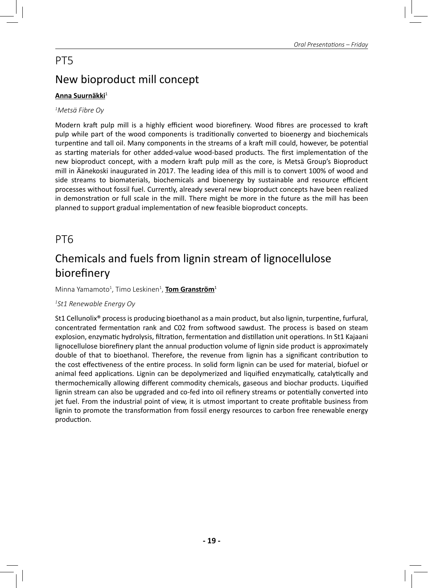# PT5 New bioproduct mill concept

## **Anna Suurnäkki**<sup>1</sup>

#### *1 Metsä Fibre Oy*

Modern kraft pulp mill is a highly efficient wood biorefinery. Wood fibres are processed to kraft pulp while part of the wood components is traditionally converted to bioenergy and biochemicals turpentine and tall oil. Many components in the streams of a kraft mill could, however, be potential as starting materials for other added-value wood-based products. The first implementation of the new bioproduct concept, with a modern kraft pulp mill as the core, is Metsä Group's Bioproduct mill in Äänekoski inaugurated in 2017. The leading idea of this mill is to convert 100% of wood and side streams to biomaterials, biochemicals and bioenergy by sustainable and resource efficient processes without fossil fuel. Currently, already several new bioproduct concepts have been realized in demonstration or full scale in the mill. There might be more in the future as the mill has been planned to support gradual implementation of new feasible bioproduct concepts.

## PT6

# Chemicals and fuels from lignin stream of lignocellulose biorefinery

Minna Yamamoto<sup>1</sup>, Timo Leskinen<sup>1</sup>, <mark>Tom Granström</mark><sup>1</sup>

#### *1 St1 Renewable Energy Oy*

St1 Cellunolix® process is producing bioethanol as a main product, but also lignin, turpentine, furfural, concentrated fermentation rank and C02 from softwood sawdust. The process is based on steam explosion, enzymatic hydrolysis, filtration, fermentation and distillation unit operations. In St1 Kajaani lignocellulose biorefinery plant the annual production volume of lignin side product is approximately double of that to bioethanol. Therefore, the revenue from lignin has a significant contribution to the cost effectiveness of the entire process. In solid form lignin can be used for material, biofuel or animal feed applications. Lignin can be depolymerized and liquified enzymatically, catalytically and thermochemically allowing different commodity chemicals, gaseous and biochar products. Liquified lignin stream can also be upgraded and co-fed into oil refinery streams or potentially converted into jet fuel. From the industrial point of view, it is utmost important to create profitable business from lignin to promote the transformation from fossil energy resources to carbon free renewable energy production.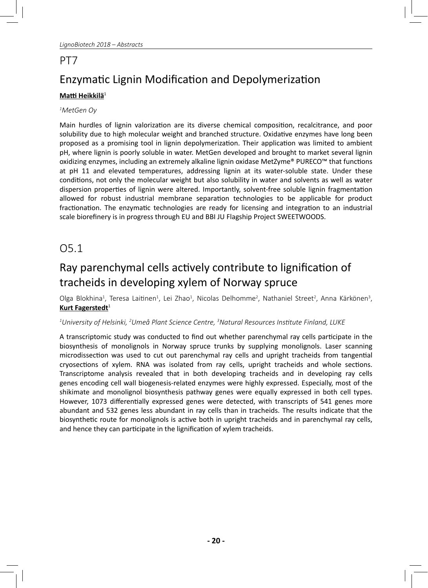### PT7

# Enzymatic Lignin Modification and Depolymerization

### **Matti Heikkilä**<sup>1</sup>

#### *1 MetGen Oy*

Main hurdles of lignin valorization are its diverse chemical composition, recalcitrance, and poor solubility due to high molecular weight and branched structure. Oxidative enzymes have long been proposed as a promising tool in lignin depolymerization. Their application was limited to ambient pH, where lignin is poorly soluble in water. MetGen developed and brought to market several lignin oxidizing enzymes, including an extremely alkaline lignin oxidase MetZyme® PURECO™ that functions at pH 11 and elevated temperatures, addressing lignin at its water-soluble state. Under these conditions, not only the molecular weight but also solubility in water and solvents as well as water dispersion properties of lignin were altered. Importantly, solvent-free soluble lignin fragmentation allowed for robust industrial membrane separation technologies to be applicable for product fractionation. The enzymatic technologies are ready for licensing and integration to an industrial scale biorefinery is in progress through EU and BBI JU Flagship Project SWEETWOODS.

## O5.1

## Ray parenchymal cells actively contribute to lignification of tracheids in developing xylem of Norway spruce

Olga Blokhina<sup>1</sup>, Teresa Laitinen<sup>1</sup>, Lei Zhao<sup>1</sup>, Nicolas Delhomme<sup>2</sup>, Nathaniel Street<sup>2</sup>, Anna Kärkönen<sup>3</sup>, **Kurt Fagerstedt**<sup>1</sup>

#### $^{\text{1}}$ University of Helsinki,  $^{\text{2}}$ Umeå Plant Science Centre,  $^{\text{3}}$ Natural Resources Institute Finland, LUKE

A transcriptomic study was conducted to find out whether parenchymal ray cells participate in the biosynthesis of monolignols in Norway spruce trunks by supplying monolignols. Laser scanning microdissection was used to cut out parenchymal ray cells and upright tracheids from tangential cryosections of xylem. RNA was isolated from ray cells, upright tracheids and whole sections. Transcriptome analysis revealed that in both developing tracheids and in developing ray cells genes encoding cell wall biogenesis-related enzymes were highly expressed. Especially, most of the shikimate and monolignol biosynthesis pathway genes were equally expressed in both cell types. However, 1073 differentially expressed genes were detected, with transcripts of 541 genes more abundant and 532 genes less abundant in ray cells than in tracheids. The results indicate that the biosynthetic route for monolignols is active both in upright tracheids and in parenchymal ray cells, and hence they can participate in the lignification of xylem tracheids.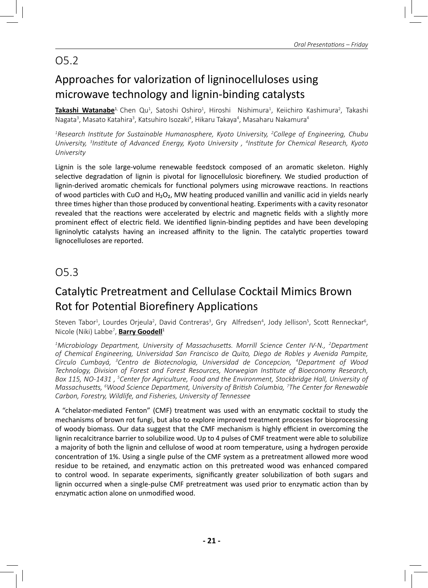## O5.2

# Approaches for valorization of ligninocelluloses using microwave technology and lignin-binding catalysts

**Takashi Watanabe**<sup>1,</sup> Chen Qu<sup>1</sup>, Satoshi Oshiro<sup>1</sup>, Hiroshi Nishimura<sup>1</sup>, Keiichiro Kashimura<sup>2</sup>, Takashi Nagata<sup>3</sup>, Masato Katahira<sup>3</sup>, Katsuhiro Isozaki<sup>4</sup>, Hikaru Takaya<sup>4</sup>, Masaharu Nakamura<sup>4</sup>

*1 Research InsƟ tute for Sustainable Humanosphere, Kyoto University, 2 College of Engineering, Chubu University, 3 InsƟ tute of Advanced Energy, Kyoto University , 4 InsƟ tute for Chemical Research, Kyoto University* 

Lignin is the sole large-volume renewable feedstock composed of an aromatic skeleton. Highly selective degradation of lignin is pivotal for lignocellulosic biorefinery. We studied production of lignin-derived aromatic chemicals for functional polymers using microwave reactions. In reactions of wood particles with CuO and H<sub>2</sub>O<sub>2</sub>, MW heating produced vanillin and vanillic acid in yields nearly three times higher than those produced by conventional heating. Experiments with a cavity resonator revealed that the reactions were accelerated by electric and magnetic fields with a slightly more prominent effect of electric field. We identified lignin-binding peptides and have been developing ligninolytic catalysts having an increased affinity to the lignin. The catalytic properties toward lignocelluloses are reported.

## O5.3

## Catalytic Pretreatment and Cellulase Cocktail Mimics Brown Rot for Potential Biorefinery Applications

Steven Tabor<sup>1</sup>, Lourdes Orjeula<sup>2</sup>, David Contreras<sup>3</sup>, Gry Alfredsen<sup>4</sup>, Jody Jellison<sup>5</sup>, Scott Renneckar<sup>6</sup>, Nicole (Niki) Labbe7 , **Barry Goodell**<sup>1</sup>

<sup>1</sup>Microbiology Department, University of Massachusetts. Morrill Science Center IV-N., <sup>2</sup>Department *of Chemical Engineering, Universidad San Francisco de Quito, Diego de Robles y Avenida Pampite,*  Círculo Cumbayá, <sup>3</sup>Centro de Biotecnologia, Universidad de Concepcion, <sup>4</sup>Department of Wood *Technology, Division of Forest and Forest Resources, Norwegian InsƟ tute of Bioeconomy Research, Box 115, NO-1431 , 5 Center for Agriculture, Food and the Environment, Stockbridge Hall, University of MassachuseƩ s, 6 Wood Science Department, University of BriƟ sh Columbia, 7 The Center for Renewable Carbon, Forestry, Wildlife, and Fisheries, University of Tennessee*

A "chelator-mediated Fenton" (CMF) treatment was used with an enzymatic cocktail to study the mechanisms of brown rot fungi, but also to explore improved treatment processes for bioprocessing of woody biomass. Our data suggest that the CMF mechanism is highly efficient in overcoming the lignin recalcitrance barrier to solubilize wood. Up to 4 pulses of CMF treatment were able to solubilize a majority of both the lignin and cellulose of wood at room temperature, using a hydrogen peroxide concentration of 1%. Using a single pulse of the CMF system as a pretreatment allowed more wood residue to be retained, and enzymatic action on this pretreated wood was enhanced compared to control wood. In separate experiments, significantly greater solubilization of both sugars and lignin occurred when a single-pulse CMF pretreatment was used prior to enzymatic action than by enzymatic action alone on unmodified wood.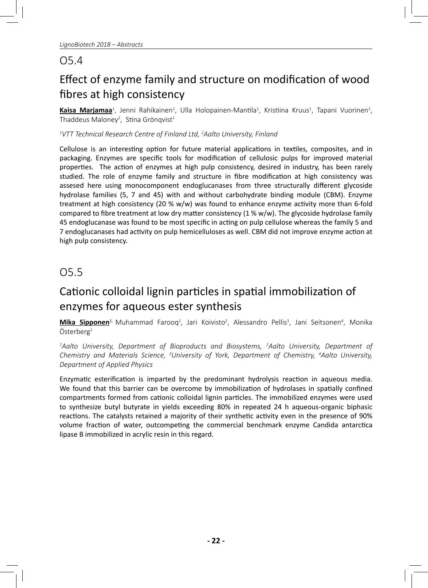## O5.4

# Effect of enzyme family and structure on modification of wood fibres at high consistency

Kaisa Marjamaa<sup>1</sup>, Jenni Rahikainen<sup>1</sup>, Ulla Holopainen-Mantila<sup>1</sup>, Kristiina Kruus<sup>1</sup>, Tapani Vuorinen<sup>2</sup>, Thaddeus Maloney<sup>2</sup>, Stina Grönqvist<sup>1</sup>

#### *1 VTT Technical Research Centre of Finland Ltd, 2 Aalto University, Finland*

Cellulose is an interesting option for future material applications in textiles, composites, and in packaging. Enzymes are specific tools for modification of cellulosic pulps for improved material properties. The action of enzymes at high pulp consistency, desired in industry, has been rarely studied. The role of enzyme family and structure in fibre modification at high consistency was assesed here using monocomponent endoglucanases from three structurally different glycoside hydrolase families (5, 7 and 45) with and without carbohydrate binding module (CBM). Enzyme treatment at high consistency (20  $%$  w/w) was found to enhance enzyme activity more than 6-fold compared to fibre treatment at low dry matter consistency (1 % w/w). The glycoside hydrolase family 45 endoglucanase was found to be most specific in acting on pulp cellulose whereas the family 5 and 7 endoglucanases had activity on pulp hemicelluloses as well. CBM did not improve enzyme action at high pulp consistency.

## O5.5

## Cationic colloidal lignin particles in spatial immobilization of enzymes for aqueous ester synthesis

**Mika Sipponen<sup>1,</sup> Muhammad Farooq<sup>1</sup>, Jari Koivisto<sup>2</sup>, Alessandro Pellis<sup>3</sup>, Jani Seitsonen<sup>4</sup>, Monika**  $Österberg<sup>1</sup>$ 

*1 Aalto University, Department of Bioproducts and Biosystems, 2 Aalto University, Department of Chemistry and Materials Science, 3 University of York, Department of Chemistry, 4 Aalto University, Department of Applied Physics*

Enzymatic esterification is imparted by the predominant hydrolysis reaction in aqueous media. We found that this barrier can be overcome by immobilization of hydrolases in spatially confined compartments formed from cationic colloidal lignin particles. The immobilized enzymes were used to synthesize butyl butyrate in yields exceeding 80% in repeated 24 h aqueous-organic biphasic reactions. The catalysts retained a majority of their synthetic activity even in the presence of 90% volume fraction of water, outcompeting the commercial benchmark enzyme Candida antarctica lipase B immobilized in acrylic resin in this regard.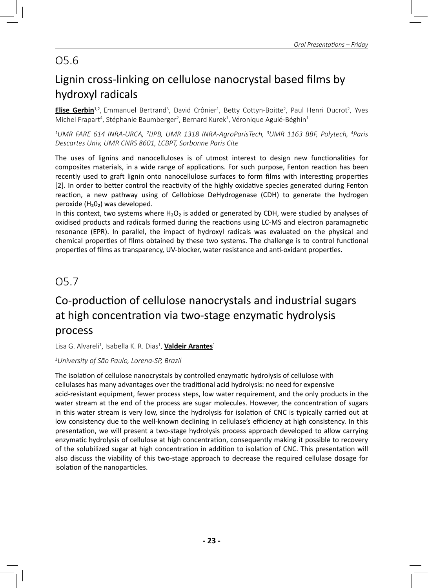## O5.6

# Lignin cross-linking on cellulose nanocrystal based films by hydroxyl radicals

**Elise Gerbin**<sup>1,2</sup>, Emmanuel Bertrand<sup>3</sup>, David Crônier<sup>1</sup>, Betty Cottyn-Boitte<sup>2</sup>, Paul Henri Ducrot<sup>2</sup>, Yves Michel Frapart<sup>4</sup>, Stéphanie Baumberger<sup>2</sup>, Bernard Kurek<sup>1</sup>, Véronique Aguié-Béghin<sup>1</sup>

*1 UMR FARE 614 INRA-URCA, 2 IJPB, UMR 1318 INRA-AgroParisTech, 3 UMR 1163 BBF, Polytech, 4 Paris Descartes Univ, UMR CNRS 8601, LCBPT, Sorbonne Paris Cite*

The uses of lignins and nanocelluloses is of utmost interest to design new functionalities for composites materials, in a wide range of applications. For such purpose, Fenton reaction has been recently used to graft lignin onto nanocellulose surfaces to form films with interesting properties [2]. In order to better control the reactivity of the highly oxidative species generated during Fenton reaction, a new pathway using of Cellobiose DeHydrogenase (CDH) to generate the hydrogen peroxide (H₂0₂) was developed.

In this context, two systems where  $H_2O_2$  is added or generated by CDH, were studied by analyses of oxidised products and radicals formed during the reactions using LC-MS and electron paramagnetic resonance (EPR). In parallel, the impact of hydroxyl radicals was evaluated on the physical and chemical properties of films obtained by these two systems. The challenge is to control functional properties of films as transparency, UV-blocker, water resistance and anti-oxidant properties.

## O5.7

## Co-production of cellulose nanocrystals and industrial sugars at high concentration via two-stage enzymatic hydrolysis process

Lisa G. Alvareli<sup>1</sup>, Isabella K. R. Dias<sup>1</sup>, <mark>Valdeir Arantes</mark><sup>1</sup>

#### *1 University of São Paulo, Lorena-SP, Brazil*

The isolation of cellulose nanocrystals by controlled enzymatic hydrolysis of cellulose with cellulases has many advantages over the traditional acid hydrolysis: no need for expensive acid-resistant equipment, fewer process steps, low water requirement, and the only products in the water stream at the end of the process are sugar molecules. However, the concentration of sugars in this water stream is very low, since the hydrolysis for isolation of CNC is typically carried out at low consistency due to the well-known declining in cellulase's efficiency at high consistency. In this presentation, we will present a two-stage hydrolysis process approach developed to allow carrying enzymatic hydrolysis of cellulose at high concentration, consequently making it possible to recovery of the solubilized sugar at high concentration in addition to isolation of CNC. This presentation will also discuss the viability of this two-stage approach to decrease the required cellulase dosage for isolation of the nanoparticles.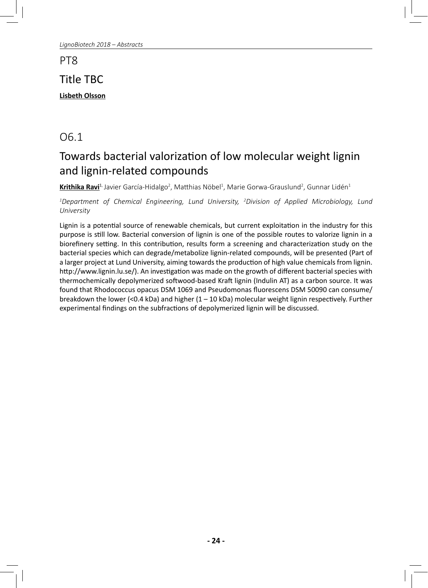PT8

## Title TBC

**Lisbeth Olsson**

## O6.1

# Towards bacterial valorization of low molecular weight lignin and lignin-related compounds

**Krithika Ravi**<sup>1,</sup> Javier García-Hidalgo<sup>2</sup>, Matthias Nöbel<sup>1</sup>, Marie Gorwa-Grauslund<sup>2</sup>, Gunnar Lidén<sup>1</sup>

*1 Department of Chemical Engineering, Lund University, 2 Division of Applied Microbiology, Lund University*

Lignin is a potential source of renewable chemicals, but current exploitation in the industry for this purpose is still low. Bacterial conversion of lignin is one of the possible routes to valorize lignin in a biorefinery setting. In this contribution, results form a screening and characterization study on the bacterial species which can degrade/metabolize lignin-related compounds, will be presented (Part of a larger project at Lund University, aiming towards the production of high value chemicals from lignin. http://www.lignin.lu.se/). An investigation was made on the growth of different bacterial species with thermochemically depolymerized softwood-based Kraft lignin (Indulin AT) as a carbon source. It was found that Rhodococcus opacus DSM 1069 and Pseudomonas fluorescens DSM 50090 can consume/ breakdown the lower (<0.4 kDa) and higher  $(1 - 10$  kDa) molecular weight lignin respectively. Further experimental findings on the subfractions of depolymerized lignin will be discussed.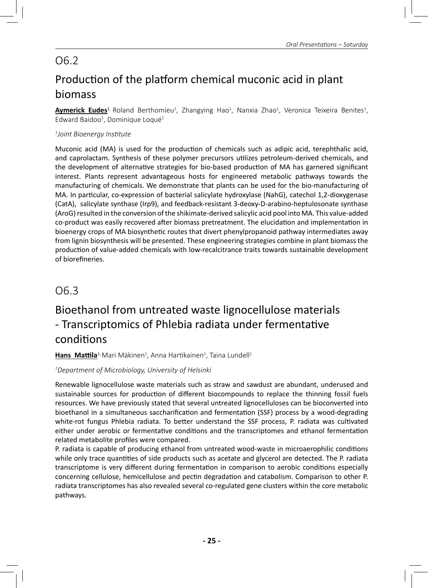# O6.2 Production of the platform chemical muconic acid in plant biomass

**Aymerick Eudes**<sup>1,</sup> Roland Berthomieu<sup>1</sup>, Zhangying Hao<sup>1</sup>, Nanxia Zhao<sup>1</sup>, Veronica Teixeira Benites<sup>1</sup>, Edward Baidoo<sup>1</sup>, Dominique Loqué<sup>1</sup>

#### *1 Joint Bioenergy InsƟ tute*

Muconic acid (MA) is used for the production of chemicals such as adipic acid, terephthalic acid, and caprolactam. Synthesis of these polymer precursors utilizes petroleum-derived chemicals, and the development of alternative strategies for bio-based production of MA has garnered significant interest. Plants represent advantageous hosts for engineered metabolic pathways towards the manufacturing of chemicals. We demonstrate that plants can be used for the bio-manufacturing of MA. In particular, co-expression of bacterial salicylate hydroxylase (NahG), catechol 1,2-dioxygenase (CatA), salicylate synthase (Irp9), and feedback-resistant 3-deoxy-D-arabino-heptulosonate synthase (AroG) resulted in the conversion of the shikimate-derived salicylic acid pool into MA. This value-added co-product was easily recovered after biomass pretreatment. The elucidation and implementation in bioenergy crops of MA biosynthetic routes that divert phenylpropanoid pathway intermediates away from lignin biosynthesis will be presented. These engineering strategies combine in plant biomass the production of value-added chemicals with low-recalcitrance traits towards sustainable development of biorefineries.

## O6.3

## Bioethanol from untreated waste lignocellulose materials - Transcriptomics of Phlebia radiata under fermentative conditions

**<u>Hans Mattila<del>',</del> Mari Mäkinen', Anna Hartikainen', Taina Lundell'</u>** 

#### *1 Department of Microbiology, University of Helsinki*

Renewable lignocellulose waste materials such as straw and sawdust are abundant, underused and sustainable sources for production of different biocompounds to replace the thinning fossil fuels resources. We have previously stated that several untreated lignocelluloses can be bioconverted into bioethanol in a simultaneous saccharification and fermentation (SSF) process by a wood-degrading white-rot fungus Phlebia radiata. To better understand the SSF process, P. radiata was cultivated either under aerobic or fermentative conditions and the transcriptomes and ethanol fermentation related metabolite profiles were compared.

P. radiata is capable of producing ethanol from untreated wood-waste in microaerophilic conditions while only trace quantities of side products such as acetate and glycerol are detected. The P. radiata transcriptome is very different during fermentation in comparison to aerobic conditions especially concerning cellulose, hemicellulose and pectin degradation and catabolism. Comparison to other P. radiata transcriptomes has also revealed several co-regulated gene clusters within the core metabolic pathways.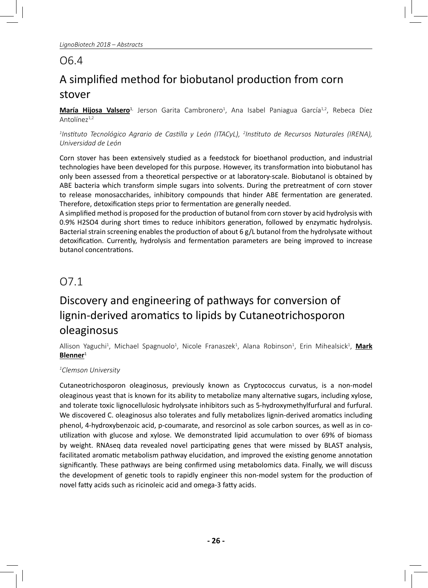## O6.4

# A simplified method for biobutanol production from corn stover

**María Hijosa Valsero<sup>1,</sup> Jerson Garita Cambronero<sup>1</sup>, Ana Isabel Paniagua García<sup>1,2</sup>, Rebeca Díez** Antolíne $z^{1,2}$ 

<sup>1</sup>Instituto Tecnológico Agrario de Castilla y León (ITACyL), <sup>2</sup>Instituto de Recursos Naturales (IRENA), *Universidad de León*

Corn stover has been extensively studied as a feedstock for bioethanol production, and industrial technologies have been developed for this purpose. However, its transformation into biobutanol has only been assessed from a theoretical perspective or at laboratory-scale. Biobutanol is obtained by ABE bacteria which transform simple sugars into solvents. During the pretreatment of corn stover to release monosaccharides, inhibitory compounds that hinder ABE fermentation are generated. Therefore, detoxification steps prior to fermentation are generally needed.

A simplified method is proposed for the production of butanol from corn stover by acid hydrolysis with 0.9% H2SO4 during short times to reduce inhibitors generation, followed by enzymatic hydrolysis. Bacterial strain screening enables the production of about 6 g/L butanol from the hydrolysate without detoxification. Currently, hydrolysis and fermentation parameters are being improved to increase butanol concentrations.

## O7.1

# Discovery and engineering of pathways for conversion of lignin-derived aromatics to lipids by Cutaneotrichosporon oleaginosus

Allison Yaguchi<sup>1</sup>, Michael Spagnuolo<sup>1</sup>, Nicole Franaszek<sup>1</sup>, Alana Robinson<sup>1</sup>, Erin Mihealsick<sup>1</sup>, **Mark Blenner**<sup>1</sup>

#### *1 Clemson University*

Cutaneotrichosporon oleaginosus, previously known as Cryptococcus curvatus, is a non-model oleaginous yeast that is known for its ability to metabolize many alternative sugars, including xylose, and tolerate toxic lignocellulosic hydrolysate inhibitors such as 5-hydroxymethylfurfural and furfural. We discovered C. oleaginosus also tolerates and fully metabolizes lignin-derived aromatics including phenol, 4-hydroxybenzoic acid, p-coumarate, and resorcinol as sole carbon sources, as well as in coutilization with glucose and xylose. We demonstrated lipid accumulation to over 69% of biomass by weight. RNAseq data revealed novel participating genes that were missed by BLAST analysis, facilitated aromatic metabolism pathway elucidation, and improved the existing genome annotation significantly. These pathways are being confirmed using metabolomics data. Finally, we will discuss the development of genetic tools to rapidly engineer this non-model system for the production of novel fatty acids such as ricinoleic acid and omega-3 fatty acids.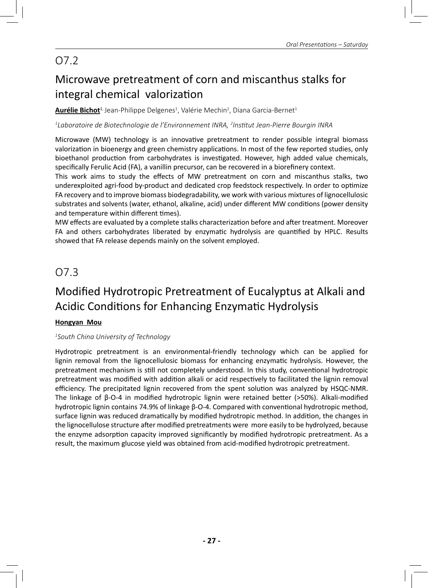# O7.2

# Microwave pretreatment of corn and miscanthus stalks for integral chemical valorization

**<u>Aurélie Bichot<sup>1,</sup> Jean-Philippe Delgenes<sup>1</sup>, Valérie Mechin<sup>2</sup>, Diana Garcia-Bernet<sup>1</sup>**</u>

*1 Laboratoire de Biotechnologie de l'Environnement INRA, 2 InsƟ tut Jean-Pierre Bourgin INRA*

Microwave (MW) technology is an innovative pretreatment to render possible integral biomass valorization in bioenergy and green chemistry applications. In most of the few reported studies, only bioethanol production from carbohydrates is investigated. However, high added value chemicals, specifically Ferulic Acid (FA), a vanillin precursor, can be recovered in a biorefinery context.

This work aims to study the effects of MW pretreatment on corn and miscanthus stalks, two underexploited agri-food by-product and dedicated crop feedstock respectively. In order to optimize FA recovery and to improve biomass biodegradability, we work with various mixtures of lignocellulosic substrates and solvents (water, ethanol, alkaline, acid) under different MW conditions (power density and temperature within different times).

MW effects are evaluated by a complete stalks characterization before and after treatment. Moreover FA and others carbohydrates liberated by enzymatic hydrolysis are quantified by HPLC. Results showed that FA release depends mainly on the solvent employed.

## O7.3

# Modified Hydrotropic Pretreatment of Eucalyptus at Alkali and Acidic Conditions for Enhancing Enzymatic Hydrolysis

#### **Hongyan Mou**

#### *1 South China University of Technology*

Hydrotropic pretreatment is an environmental-friendly technology which can be applied for lignin removal from the lignocellulosic biomass for enhancing enzymatic hydrolysis. However, the pretreatment mechanism is still not completely understood. In this study, conventional hydrotropic pretreatment was modified with addition alkali or acid respectively to facilitated the lignin removal efficiency. The precipitated lignin recovered from the spent solution was analyzed by HSQC-NMR. The linkage of  $\beta$ -O-4 in modified hydrotropic lignin were retained better (>50%). Alkali-modified hydrotropic lignin contains 74.9% of linkage β-O-4. Compared with conventional hydrotropic method, surface lignin was reduced dramatically by modified hydrotropic method. In addition, the changes in the lignocellulose structure after modified pretreatments were more easily to be hydrolyzed, because the enzyme adsorption capacity improved significantly by modified hydrotropic pretreatment. As a result, the maximum glucose yield was obtained from acid-modified hydrotropic pretreatment.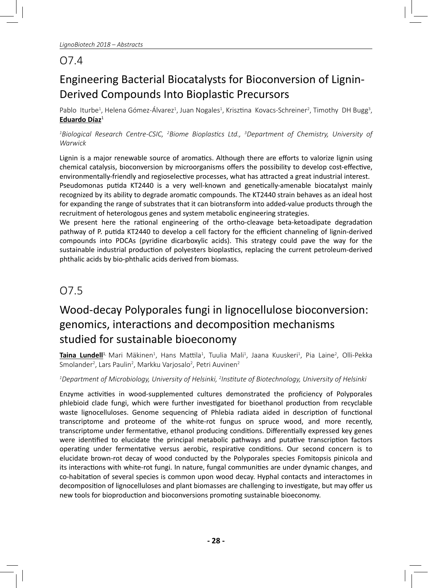## O7.4

# Engineering Bacterial Biocatalysts for Bioconversion of Lignin-Derived Compounds Into Bioplastic Precursors

Pablo Iturbe<sup>1</sup>, Helena Gómez-Álvarez<sup>1</sup>, Juan Nogales<sup>1</sup>, Krisztina Kovacs-Schreiner<sup>2</sup>, Timothy DH Bugg<sup>3</sup>, **Eduardo Díaz**<sup>1</sup>

<sup>1</sup>Biological Research Centre-CSIC, <sup>2</sup>Biome Bioplastics Ltd., <sup>3</sup>Department of Chemistry, University of *Warwick*

Lignin is a major renewable source of aromatics. Although there are efforts to valorize lignin using chemical catalysis, bioconversion by microorganisms offers the possibility to develop cost-effective, environmentally-friendly and regioselective processes, what has attracted a great industrial interest. Pseudomonas putida KT2440 is a very well-known and genetically-amenable biocatalyst mainly recognized by its ability to degrade aromatic compounds. The KT2440 strain behaves as an ideal host for expanding the range of substrates that it can biotransform into added-value products through the recruitment of heterologous genes and system metabolic engineering strategies.

We present here the rational engineering of the ortho-cleavage beta-ketoadipate degradation pathway of P. putida KT2440 to develop a cell factory for the efficient channeling of lignin-derived compounds into PDCAs (pyridine dicarboxylic acids). This strategy could pave the way for the sustainable industrial production of polyesters bioplastics, replacing the current petroleum-derived phthalic acids by bio-phthalic acids derived from biomass.

## O7.5

# Wood-decay Polyporales fungi in lignocellulose bioconversion: genomics, interactions and decomposition mechanisms studied for sustainable bioeconomy

Taina Lundell<sup>1,</sup> Mari Mäkinen<sup>1</sup>, Hans Mattila<sup>1</sup>, Tuulia Mali<sup>1</sup>, Jaana Kuuskeri<sup>1</sup>, Pia Laine<sup>2</sup>, Olli-Pekka Smolander<sup>2</sup>, Lars Paulin<sup>2</sup>, Markku Varjosalo<sup>2</sup>, Petri Auvinen<sup>2</sup>

#### *1 Department of Microbiology, University of Helsinki, 2 InsƟ tute of Biotechnology, University of Helsinki*

Enzyme activities in wood-supplemented cultures demonstrated the proficiency of Polyporales phlebioid clade fungi, which were further investigated for bioethanol production from recyclable waste lignocelluloses. Genome sequencing of Phlebia radiata aided in description of functional transcriptome and proteome of the white-rot fungus on spruce wood, and more recently, transcriptome under fermentative, ethanol producing conditions. Differentially expressed key genes were identified to elucidate the principal metabolic pathways and putative transcription factors operating under fermentative versus aerobic, respirative conditions. Our second concern is to elucidate brown-rot decay of wood conducted by the Polyporales species Fomitopsis pinicola and its interactions with white-rot fungi. In nature, fungal communities are under dynamic changes, and co-habitation of several species is common upon wood decay. Hyphal contacts and interactomes in decomposition of lignocelluloses and plant biomasses are challenging to investigate, but may offer us new tools for bioproduction and bioconversions promoting sustainable bioeconomy.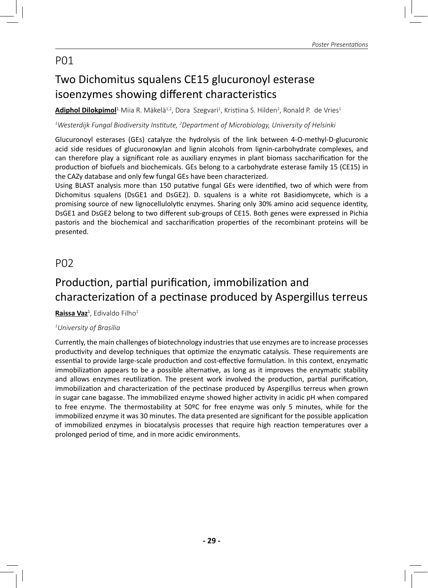# Two Dichomitus squalens CE15 glucuronoyl esterase isoenzymes showing different characteristics

**Adiphol Dilokpimol<sup>1,</sup> Miia R. Mäkelä<sup>1,2</sup>, Dora Szegvari<sup>1</sup>, Kristiina S. Hilden<sup>2</sup>, Ronald P. de Vries<sup>1</sup>** 

 $^{\text{\tiny{\textup{1}}}}$ Westerdijk Fungal Biodiversity Institute, <sup>2</sup>Department of Microbiology, University of Helsinki

Glucuronoyl esterases (GEs) catalyze the hydrolysis of the link between 4-O-methyl-D-glucuronic acid side residues of glucuronoxylan and lignin alcohols from lignin-carbohydrate complexes, and can therefore play a significant role as auxiliary enzymes in plant biomass saccharification for the production of biofuels and biochemicals. GEs belong to a carbohydrate esterase family 15 (CE15) in the CAZy database and only few fungal GEs have been characterized.

Using BLAST analysis more than 150 putative fungal GEs were identified, two of which were from Dichomitus squalens (DsGE1 and DsGE2). D. squalens is a white rot Basidiomycete, which is a promising source of new lignocellulolytic enzymes. Sharing only 30% amino acid sequence identity, DsGE1 and DsGE2 belong to two different sub-groups of CE15. Both genes were expressed in Pichia pastoris and the biochemical and saccharification properties of the recombinant proteins will be presented.

### P02

## Production, partial purification, immobilization and characterization of a pectinase produced by Aspergillus terreus

**<u>Raissa Vaz</u><sup>1</sup>, Edivaldo Filho<sup>1</sup>** 

#### *1 University of Brasília*

Currently, the main challenges of biotechnology industries that use enzymes are to increase processes productivity and develop techniques that optimize the enzymatic catalysis. These requirements are essential to provide large-scale production and cost-effective formulation. In this context, enzymatic immobilization appears to be a possible alternative, as long as it improves the enzymatic stability and allows enzymes reutilization. The present work involved the production, partial purification, immobilization and characterization of the pectinase produced by Aspergillus terreus when grown in sugar cane bagasse. The immobilized enzyme showed higher activity in acidic pH when compared to free enzyme. The thermostability at 50ºC for free enzyme was only 5 minutes, while for the immobilized enzyme it was 30 minutes. The data presented are significant for the possible application of immobilized enzymes in biocatalysis processes that require high reaction temperatures over a prolonged period of time, and in more acidic environments.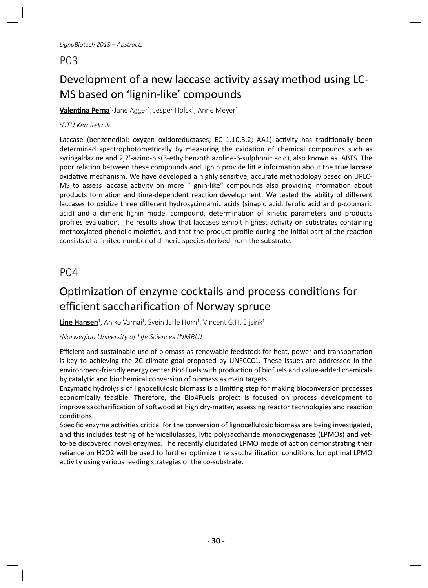# Development of a new laccase activity assay method using LC-MS based on 'lignin-like' compounds

**<u>Valentina Perna<sup>1,</sup> Jane Agger<sup>1</sup>, Jesper Holck<sup>1</sup>, Anne Meyer<sup>1</sup>**</u>

#### *1 DTU Kemiteknik*

Laccase (benzenediol: oxygen oxidoreductases; EC 1.10.3.2; AA1) activity has traditionally been determined spectrophotometrically by measuring the oxidation of chemical compounds such as syringaldazine and 2,2'-azino-bis(3-ethylbenzothiazoline-6-sulphonic acid), also known as ABTS. The poor relation between these compounds and lignin provide little information about the true laccase oxidative mechanism. We have developed a highly sensitive, accurate methodology based on UPLC-MS to assess laccase activity on more "lignin-like" compounds also providing information about products formation and time-dependent reaction development. We tested the ability of different laccases to oxidize three different hydroxycinnamic acids (sinapic acid, ferulic acid and p-coumaric acid) and a dimeric lignin model compound, determination of kinetic parameters and products profiles evaluation. The results show that laccases exhibit highest activity on substrates containing methoxylated phenolic moieties, and that the product profile during the initial part of the reaction consists of a limited number of dimeric species derived from the substrate.

#### P04

## Optimization of enzyme cocktails and process conditions for efficient saccharification of Norway spruce

**<u>Line Hansen</u><sup>1</sup>,** Aniko Varnai<sup>1</sup>, Svein Jarle Horn<sup>1</sup>, Vincent G.H. Eijsink<sup>1</sup>

*1 Norwegian University of Life Sciences (NMBU)* 

Efficient and sustainable use of biomass as renewable feedstock for heat, power and transportation is key to achieving the 2C climate goal proposed by UNFCCC1. These issues are addressed in the environment-friendly energy center Bio4Fuels with production of biofuels and value-added chemicals by catalytic and biochemical conversion of biomass as main targets.

Enzymatic hydrolysis of lignocellulosic biomass is a limiting step for making bioconversion processes economically feasible. Therefore, the Bio4Fuels project is focused on process development to improve saccharification of softwood at high dry-matter, assessing reactor technologies and reaction conditions.

Specific enzyme activities critical for the conversion of lignocellulosic biomass are being investigated, and this includes testing of hemicellulasses, lytic polysaccharide monooxygenases (LPMOs) and yetto-be discovered novel enzymes. The recently elucidated LPMO mode of action demonstrating their reliance on H2O2 will be used to further optimize the saccharification conditions for optimal LPMO activity using various feeding strategies of the co-substrate.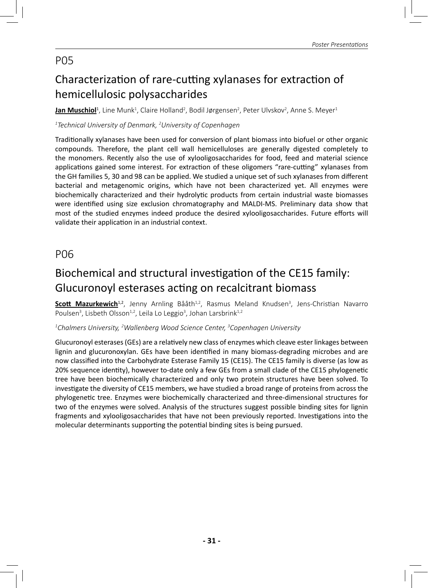# Characterization of rare-cutting xylanases for extraction of hemicellulosic polysaccharides

**<u>Jan Muschiol</u><sup>1</sup>,** Line Munk<sup>1</sup>, Claire Holland<sup>2</sup>, Bodil Jørgensen<sup>2</sup>, Peter Ulvskov<sup>2</sup>, Anne S. Meyer<sup>1</sup>

#### *1 Technical University of Denmark, 2 University of Copenhagen*

Traditionally xylanases have been used for conversion of plant biomass into biofuel or other organic compounds. Therefore, the plant cell wall hemicelluloses are generally digested completely to the monomers. Recently also the use of xylooligosaccharides for food, feed and material science applications gained some interest. For extraction of these oligomers "rare-cutting" xylanases from the GH families 5, 30 and 98 can be applied. We studied a unique set of such xylanases from different bacterial and metagenomic origins, which have not been characterized yet. All enzymes were biochemically characterized and their hydrolytic products from certain industrial waste biomasses were identified using size exclusion chromatography and MALDI-MS. Preliminary data show that most of the studied enzymes indeed produce the desired xylooligosaccharides. Future efforts will validate their application in an industrial context.

### P06

## Biochemical and structural investigation of the CE15 family: Glucuronoyl esterases acting on recalcitrant biomass

**<u>Scott Mazurkewich<sup>1,2</sup>, Jenny Arnling Bååth<sup>1,2</sup>, Rasmus Meland Knudsen<sup>3</sup>, Jens-Christian Navarro**</u> Poulsen<sup>3</sup>, Lisbeth Olsson<sup>1,2</sup>, Leila Lo Leggio<sup>3</sup>, Johan Larsbrink<sup>1,2</sup>

#### *1 Chalmers University, 2 Wallenberg Wood Science Center, 3 Copenhagen University*

Glucuronoyl esterases (GEs) are a relatively new class of enzymes which cleave ester linkages between lignin and glucuronoxylan. GEs have been identified in many biomass-degrading microbes and are now classified into the Carbohydrate Esterase Family 15 (CE15). The CE15 family is diverse (as low as 20% sequence identity), however to-date only a few GEs from a small clade of the CE15 phylogenetic tree have been biochemically characterized and only two protein structures have been solved. To investigate the diversity of CE15 members, we have studied a broad range of proteins from across the phylogenetic tree. Enzymes were biochemically characterized and three-dimensional structures for two of the enzymes were solved. Analysis of the structures suggest possible binding sites for lignin fragments and xylooligosaccharides that have not been previously reported. Investigations into the molecular determinants supporting the potential binding sites is being pursued.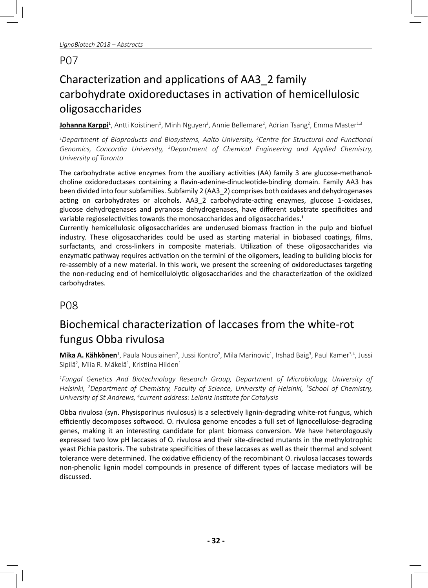# Characterization and applications of AA3\_2 family carbohydrate oxidoreductases in activation of hemicellulosic oligosaccharides

**Johanna Karppi**<sup>1</sup>, Antti Koistinen<sup>1</sup>, Minh Nguyen<sup>2</sup>, Annie Bellemare<sup>2</sup>, Adrian Tsang<sup>2</sup>, Emma Master<sup>1,3</sup>

*I* Department of Bioproducts and Biosystems, Aalto University, <sup>2</sup>Centre for Structural and Functional *Genomics, Concordia University, 3 Department of Chemical Engineering and Applied Chemistry, University of Toronto*

The carbohydrate active enzymes from the auxiliary activities (AA) family 3 are glucose-methanolcholine oxidoreductases containing a flavin-adenine-dinucleotide-binding domain. Family AA3 has been divided into four subfamilies. Subfamily 2 (AA3\_2) comprises both oxidases and dehydrogenases acting on carbohydrates or alcohols. AA3\_2 carbohydrate-acting enzymes, glucose 1-oxidases, glucose dehydrogenases and pyranose dehydrogenases, have different substrate specificities and variable regioselectivities towards the monosaccharides and oligosaccharides.<sup>1</sup>

Currently hemicellulosic oligosaccharides are underused biomass fraction in the pulp and biofuel industry. These oligosaccharides could be used as starting material in biobased coatings, films, surfactants, and cross-linkers in composite materials. Utilization of these oligosaccharides via enzymatic pathway requires activation on the termini of the oligomers, leading to building blocks for re-assembly of a new material. In this work, we present the screening of oxidoreductases targeting the non-reducing end of hemicellulolytic oligosaccharides and the characterization of the oxidized carbohydrates.

## P08

# Biochemical characterization of laccases from the white-rot fungus Obba rivulosa

**<u>Mika A. Kähkönen<del>'</del>, Paula Nousiainen<sup>2</sup>, Jussi Kontro<sup>2</sup>, Mila Marinovic<sup>1</sup>, Irshad Baig<sup>3</sup>, Paul Kamer<sup>3,4</sup>, Jussi**</u> Sipilä<sup>2</sup>, Miia R. Mäkelä<sup>1</sup>, Kristiina Hilden<sup>1</sup>

*1 Fungal GeneƟ cs And Biotechnology Research Group, Department of Microbiology, University of Helsinki, 2 Department of Chemistry, Faculty of Science, University of Helsinki, 3 School of Chemistry, University of St Andrews, 4 current address: Leibniz InsƟ tute for Catalysis*

Obba rivulosa (syn. Physisporinus rivulosus) is a selectively lignin-degrading white-rot fungus, which efficiently decomposes softwood. O. rivulosa genome encodes a full set of lignocellulose-degrading genes, making it an interesting candidate for plant biomass conversion. We have heterologously expressed two low pH laccases of O. rivulosa and their site-directed mutants in the methylotrophic yeast Pichia pastoris. The substrate specificities of these laccases as well as their thermal and solvent tolerance were determined. The oxidative efficiency of the recombinant O. rivulosa laccases towards non-phenolic lignin model compounds in presence of different types of laccase mediators will be discussed.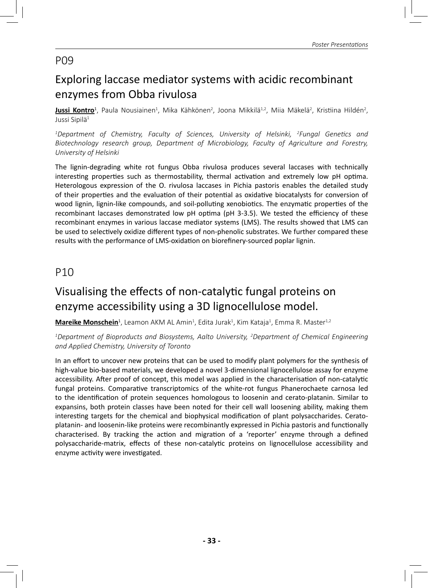## Exploring laccase mediator systems with acidic recombinant enzymes from Obba rivulosa

<mark>Jussi Kontro</mark><sup>1</sup>, Paula Nousiainen<sup>1</sup>, Mika Kähkönen<sup>2</sup>, Joona Mikkilä<sup>1,2</sup>, Miia Mäkelä<sup>2</sup>, Kristiina Hildén<sup>2</sup>, Jussi Sipilä<sup>1</sup>

*1 Department of Chemistry, Faculty of Sciences, University of Helsinki, 2 Fungal GeneƟ cs and Biotechnology research group, Department of Microbiology, Faculty of Agriculture and Forestry, University of Helsinki*

The lignin-degrading white rot fungus Obba rivulosa produces several laccases with technically interesting properties such as thermostability, thermal activation and extremely low pH optima. Heterologous expression of the O. rivulosa laccases in Pichia pastoris enables the detailed study of their properties and the evaluation of their potential as oxidative biocatalysts for conversion of wood lignin, lignin-like compounds, and soil-polluting xenobiotics. The enzymatic properties of the recombinant laccases demonstrated low pH optima (pH 3-3.5). We tested the efficiency of these recombinant enzymes in various laccase mediator systems (LMS). The results showed that LMS can be used to selectively oxidize different types of non-phenolic substrates. We further compared these results with the performance of LMS-oxidation on biorefinery-sourced poplar lignin.

### P10

## Visualising the effects of non-catalytic fungal proteins on enzyme accessibility using a 3D lignocellulose model.

**<u>Mareike Monschein</u><sup>1</sup>,** Leamon AKM AL Amin<sup>1</sup>, Edita Jurak<sup>1</sup>, Kim Kataja<sup>1</sup>, Emma R. Master<sup>1,2</sup>

*1 Department of Bioproducts and Biosystems, Aalto University, 2 Department of Chemical Engineering and Applied Chemistry, University of Toronto*

In an effort to uncover new proteins that can be used to modify plant polymers for the synthesis of high-value bio-based materials, we developed a novel 3-dimensional lignocellulose assay for enzyme accessibility. After proof of concept, this model was applied in the characterisation of non-catalytic fungal proteins. Comparative transcriptomics of the white-rot fungus Phanerochaete carnosa led to the identification of protein sequences homologous to loosenin and cerato-platanin. Similar to expansins, both protein classes have been noted for their cell wall loosening ability, making them interesting targets for the chemical and biophysical modification of plant polysaccharides. Ceratoplatanin- and loosenin-like proteins were recombinantly expressed in Pichia pastoris and functionally characterised. By tracking the action and migration of a 'reporter' enzyme through a defined polysaccharide-matrix, effects of these non-catalytic proteins on lignocellulose accessibility and enzyme activity were investigated.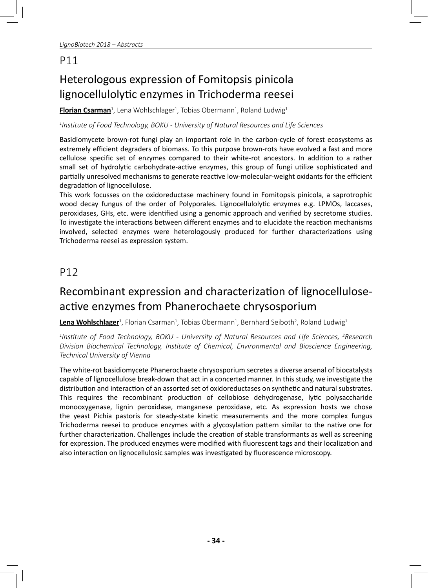# Heterologous expression of Fomitopsis pinicola lignocellulolytic enzymes in Trichoderma reesei

<mark>Florian Csarman</mark>ª, Lena Wohlschlager<sup>1</sup>, Tobias Obermann<sup>1</sup>, Roland Ludwig<sup>1</sup>

*1 InsƟ tute of Food Technology, BOKU - University of Natural Resources and Life Sciences*

Basidiomycete brown-rot fungi play an important role in the carbon-cycle of forest ecosystems as extremely efficient degraders of biomass. To this purpose brown-rots have evolved a fast and more cellulose specific set of enzymes compared to their white-rot ancestors. In addition to a rather small set of hydrolytic carbohydrate-active enzymes, this group of fungi utilize sophisticated and partially unresolved mechanisms to generate reactive low-molecular-weight oxidants for the efficient degradation of lignocellulose.

This work focusses on the oxidoreductase machinery found in Fomitopsis pinicola, a saprotrophic wood decay fungus of the order of Polyporales. Lignocellulolytic enzymes e.g. LPMOs, laccases, peroxidases, GHs, etc. were identified using a genomic approach and verified by secretome studies. To investigate the interactions between different enzymes and to elucidate the reaction mechanisms involved, selected enzymes were heterologously produced for further characterizations using Trichoderma reesei as expression system.

## P12

## Recombinant expression and characterization of lignocelluloseactive enzymes from Phanerochaete chrysosporium

**Lena Wohlschlager**<sup>1</sup>, Florian Csarman<sup>1</sup>, Tobias Obermann<sup>1</sup>, Bernhard Seiboth<sup>2</sup>, Roland Ludwig<sup>1</sup>

*1 InsƟ tute of Food Technology, BOKU - University of Natural Resources and Life Sciences, 2 Research Division Biochemical Technology, InsƟ tute of Chemical, Environmental and Bioscience Engineering, Technical University of Vienna*

The white-rot basidiomycete Phanerochaete chrysosporium secretes a diverse arsenal of biocatalysts capable of lignocellulose break-down that act in a concerted manner. In this study, we investigate the distribution and interaction of an assorted set of oxidoreductases on synthetic and natural substrates. This requires the recombinant production of cellobiose dehydrogenase, lytic polysaccharide monooxygenase, lignin peroxidase, manganese peroxidase, etc. As expression hosts we chose the yeast Pichia pastoris for steady-state kinetic measurements and the more complex fungus Trichoderma reesei to produce enzymes with a glycosylation pattern similar to the native one for further characterization. Challenges include the creation of stable transformants as well as screening for expression. The produced enzymes were modified with fluorescent tags and their localization and also interaction on lignocellulosic samples was investigated by fluorescence microscopy.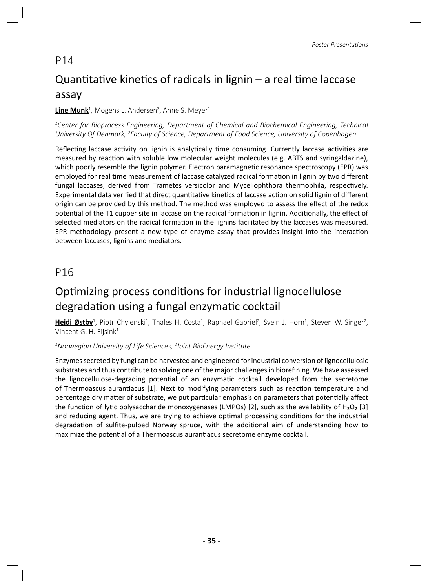# Quantitative kinetics of radicals in lignin  $-$  a real time laccase assay

#### **<u>Line Munk</u><sup>1</sup>, Mogens L. Andersen<sup>2</sup>, Anne S. Meyer<sup>1</sup>**

*1 Center for Bioprocess Engineering, Department of Chemical and Biochemical Engineering, Technical University Of Denmark, 2 Faculty of Science, Department of Food Science, University of Copenhagen*

Reflecting laccase activity on lignin is analytically time consuming. Currently laccase activities are measured by reaction with soluble low molecular weight molecules (e.g. ABTS and syringaldazine), which poorly resemble the lignin polymer. Electron paramagnetic resonance spectroscopy (EPR) was employed for real time measurement of laccase catalyzed radical formation in lignin by two different fungal laccases, derived from Trametes versicolor and Myceliophthora thermophila, respectively. Experimental data verified that direct quantitative kinetics of laccase action on solid lignin of different origin can be provided by this method. The method was employed to assess the effect of the redox potential of the T1 cupper site in laccase on the radical formation in lignin. Additionally, the effect of selected mediators on the radical formation in the lignins facilitated by the laccases was measured. EPR methodology present a new type of enzyme assay that provides insight into the interaction between laccases, lignins and mediators.

## P16

## Optimizing process conditions for industrial lignocellulose degradation using a fungal enzymatic cocktail

**Heidi Østby**<sup>1</sup>, Piotr Chylenski<sup>1</sup>, Thales H. Costa<sup>1</sup>, Raphael Gabriel<sup>2</sup>, Svein J. Horn<sup>1</sup>, Steven W. Singer<sup>2</sup>, Vincent G. H. Eijsink<sup>1</sup>

*1 Norwegian University of Life Sciences, 2 Joint BioEnergy InsƟ tute*

Enzymes secreted by fungi can be harvested and engineered for industrial conversion of lignocellulosic substrates and thus contribute to solving one of the major challenges in biorefining. We have assessed the lignocellulose-degrading potential of an enzymatic cocktail developed from the secretome of Thermoascus aurantiacus [1]. Next to modifying parameters such as reaction temperature and percentage dry matter of substrate, we put particular emphasis on parameters that potentially affect the function of lytic polysaccharide monoxygenases (LMPOs) [2], such as the availability of H<sub>2</sub>O<sub>2</sub> [3] and reducing agent. Thus, we are trying to achieve optimal processing conditions for the industrial degradation of sulfite-pulped Norway spruce, with the additional aim of understanding how to maximize the potential of a Thermoascus aurantiacus secretome enzyme cocktail.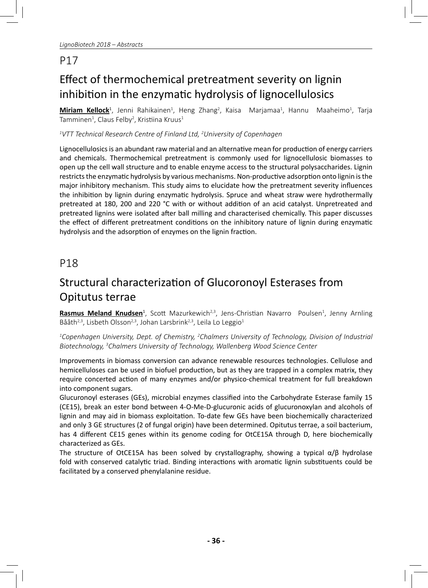# Effect of thermochemical pretreatment severity on lignin inhibition in the enzymatic hydrolysis of lignocellulosics

**Miriam Kellock**<sup>1</sup>, Jenni Rahikainen<sup>1</sup>, Heng Zhang<sup>2</sup>, Kaisa Marjamaa<sup>1</sup>, Hannu Maaheimo<sup>1</sup>, Tarja Tamminen $^1$ , Claus Felby $^2$ , Kristiina Kruus $^1$ 

#### *1 VTT Technical Research Centre of Finland Ltd, 2 University of Copenhagen*

Lignocellulosics is an abundant raw material and an alternative mean for production of energy carriers and chemicals. Thermochemical pretreatment is commonly used for lignocellulosic biomasses to open up the cell wall structure and to enable enzyme access to the structural polysaccharides. Lignin restricts the enzymatic hydrolysis by various mechanisms. Non-productive adsorption onto lignin is the major inhibitory mechanism. This study aims to elucidate how the pretreatment severity influences the inhibition by lignin during enzymatic hydrolysis. Spruce and wheat straw were hydrothermally pretreated at 180, 200 and 220 °C with or without addition of an acid catalyst. Unpretreated and pretreated lignins were isolated after ball milling and characterised chemically. This paper discusses the effect of different pretreatment conditions on the inhibitory nature of lignin during enzymatic hydrolysis and the adsorption of enzymes on the lignin fraction.

### P18

# Structural characterization of Glucoronoyl Esterases from Opitutus terrae

**Rasmus Meland Knudsen**<sup>1</sup>, Scott Mazurkewich<sup>2,3</sup>, Jens-Christian Navarro Poulsen<sup>1</sup>, Jenny Arnling Bååth<sup>2,3</sup>, Lisbeth Olsson<sup>2,3</sup>, Johan Larsbrink<sup>2,3</sup>, Leila Lo Leggio<sup>1</sup>

*1 Copenhagen University, Dept. of Chemistry, 2 Chalmers University of Technology, Division of Industrial Biotechnology, 3 Chalmers University of Technology, Wallenberg Wood Science Center*

Improvements in biomass conversion can advance renewable resources technologies. Cellulose and hemicelluloses can be used in biofuel production, but as they are trapped in a complex matrix, they require concerted action of many enzymes and/or physico-chemical treatment for full breakdown into component sugars.

Glucuronoyl esterases (GEs), microbial enzymes classified into the Carbohydrate Esterase family 15 (CE15), break an ester bond between 4-O-Me-D-glucuronic acids of glucuronoxylan and alcohols of lignin and may aid in biomass exploitation. To-date few GEs have been biochemically characterized and only 3 GE structures (2 of fungal origin) have been determined. Opitutus terrae, a soil bacterium, has 4 different CE15 genes within its genome coding for OtCE15A through D, here biochemically characterized as GEs.

The structure of OtCE15A has been solved by crystallography, showing a typical α/β hydrolase fold with conserved catalytic triad. Binding interactions with aromatic lignin substituents could be facilitated by a conserved phenylalanine residue.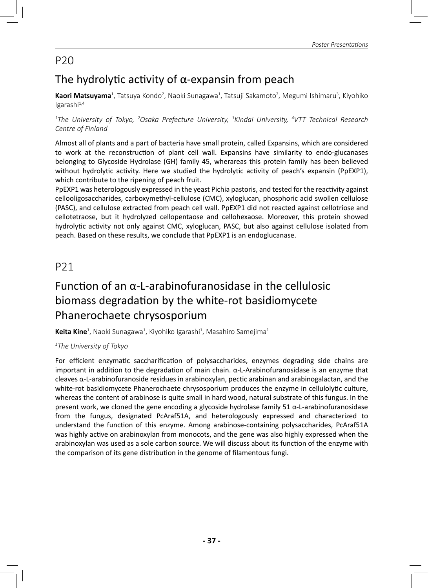## The hydrolytic activity of  $\alpha$ -expansin from peach

**Kaori Matsuyama'**, Tatsuya Kondo<sup>2</sup>, Naoki Sunagawa<sup>1</sup>, Tatsuji Sakamoto<sup>2</sup>, Megumi Ishimaru<sup>3</sup>, Kiyohiko  $lgarashi<sup>1,4</sup>$ 

*1 The University of Tokyo, 2 Osaka Prefecture University, 3 Kindai University, 4 VTT Technical Research Centre of Finland*

Almost all of plants and a part of bacteria have small protein, called Expansins, which are considered to work at the reconstruction of plant cell wall. Expansins have similarity to endo-glucanases belonging to Glycoside Hydrolase (GH) family 45, wherareas this protein family has been believed without hydrolytic activity. Here we studied the hydrolytic activity of peach's expansin (PpEXP1), which contribute to the ripening of peach fruit.

PpEXP1 was heterologously expressed in the yeast Pichia pastoris, and tested for the reactivity against cellooligosaccharides, carboxymethyl-cellulose (CMC), xyloglucan, phosphoric acid swollen cellulose (PASC), and cellulose extracted from peach cell wall. PpEXP1 did not reacted against cellotriose and cellotetraose, but it hydrolyzed cellopentaose and cellohexaose. Moreover, this protein showed hydrolytic activity not only against CMC, xyloglucan, PASC, but also against cellulose isolated from peach. Based on these results, we conclude that PpEXP1 is an endoglucanase.

## P21

# Function of an  $\alpha$ -L-arabinofuranosidase in the cellulosic biomass degradation by the white-rot basidiomycete Phanerochaete chrysosporium

**<u>Keita Kine</u><sup>1</sup>,** Naoki Sunagawa<sup>1</sup>, Kiyohiko Igarashi<sup>1</sup>, Masahiro Samejima<sup>1</sup>

#### *1 The University of Tokyo*

For efficient enzymatic saccharification of polysaccharides, enzymes degrading side chains are important in addition to the degradation of main chain.  $\alpha$ -L-Arabinofuranosidase is an enzyme that  $c$ leaves  $\alpha$ -L-arabinofuranoside residues in arabinoxylan, pectic arabinan and arabinogalactan, and the white-rot basidiomycete Phanerochaete chrysosporium produces the enzyme in cellulolytic culture, whereas the content of arabinose is quite small in hard wood, natural substrate of this fungus. In the present work, we cloned the gene encoding a glycoside hydrolase family 51 α-L-arabinofuranosidase from the fungus, designated PcAraf51A, and heterologously expressed and characterized to understand the function of this enzyme. Among arabinose-containing polysaccharides, PcAraf51A was highly active on arabinoxylan from monocots, and the gene was also highly expressed when the arabinoxylan was used as a sole carbon source. We will discuss about its function of the enzyme with the comparison of its gene distribution in the genome of filamentous fungi.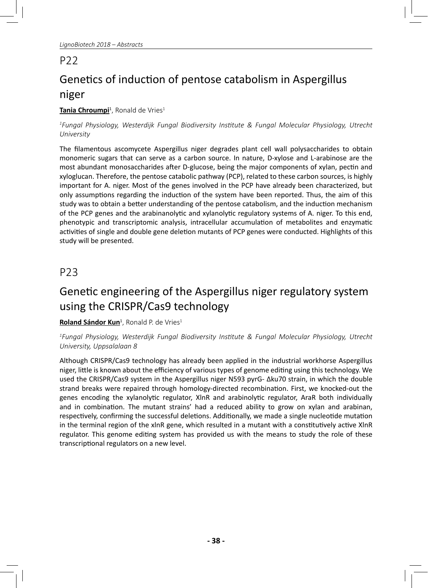# Genetics of induction of pentose catabolism in Aspergillus niger

#### **<u>Tania Chroumpi</u><sup>1</sup>, Ronald de Vries<sup>1</sup>**

#### *1 Fungal Physiology, Westerdijk Fungal Biodiversity InsƟ tute & Fungal Molecular Physiology, Utrecht University*

The filamentous ascomycete Aspergillus niger degrades plant cell wall polysaccharides to obtain monomeric sugars that can serve as a carbon source. In nature, D-xylose and L-arabinose are the most abundant monosaccharides after D-glucose, being the major components of xylan, pectin and xyloglucan. Therefore, the pentose catabolic pathway (PCP), related to these carbon sources, is highly important for A. niger. Most of the genes involved in the PCP have already been characterized, but only assumptions regarding the induction of the system have been reported. Thus, the aim of this study was to obtain a better understanding of the pentose catabolism, and the induction mechanism of the PCP genes and the arabinanolytic and xylanolytic regulatory systems of A. niger. To this end, phenotypic and transcriptomic analysis, intracellular accumulation of metabolites and enzymatic activities of single and double gene deletion mutants of PCP genes were conducted. Highlights of this study will be presented.

## P23

## Genetic engineering of the Aspergillus niger regulatory system using the CRISPR/Cas9 technology

#### **Roland Sándor Kun**<sup>1</sup>, Ronald P. de Vries<sup>1</sup>

*1 Fungal Physiology, Westerdijk Fungal Biodiversity InsƟ tute & Fungal Molecular Physiology, Utrecht University, Uppsalalaan 8*

Although CRISPR/Cas9 technology has already been applied in the industrial workhorse Aspergillus niger, little is known about the efficiency of various types of genome editing using this technology. We used the CRISPR/Cas9 system in the Aspergillus niger N593 pyrG- Δku70 strain, in which the double strand breaks were repaired through homology-directed recombination. First, we knocked-out the genes encoding the xylanolytic regulator, XlnR and arabinolytic regulator, AraR both individually and in combination. The mutant strains' had a reduced ability to grow on xylan and arabinan, respectively, confirming the successful deletions. Additionally, we made a single nucleotide mutation in the terminal region of the xlnR gene, which resulted in a mutant with a constitutively active XlnR regulator. This genome editing system has provided us with the means to study the role of these transcriptional regulators on a new level.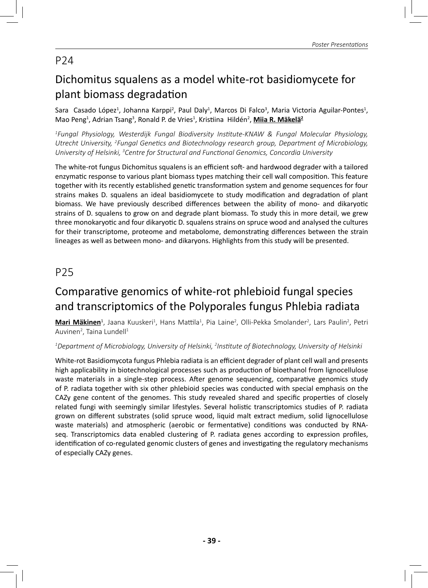# Dichomitus squalens as a model white-rot basidiomycete for plant biomass degradation

Sara Casado López<sup>1</sup>, Johanna Karppi<sup>2</sup>, Paul Daly<sup>1</sup>, Marcos Di Falco<sup>3</sup>, Maria Victoria Aguilar-Pontes<sup>1</sup>, Mao Peng<sup>1</sup>, Adrian Tsang<sup>3</sup>, Ronald P. de Vries<sup>1</sup>, Kristiina Hildén<sup>2</sup>, <u>Miia R. Mäkelä<sup>2</sup></u>

*1 Fungal Physiology, Westerdijk Fungal Biodiversity InsƟ tute-KNAW & Fungal Molecular Physiology, Utrecht University, 2 Fungal GeneƟ cs and Biotechnology research group, Department of Microbiology, University of Helsinki, 3 Centre for Structural and FuncƟ onal Genomics, Concordia University*

The white-rot fungus Dichomitus squalens is an efficient soft- and hardwood degrader with a tailored enzymatic response to various plant biomass types matching their cell wall composition. This feature together with its recently established genetic transformation system and genome sequences for four strains makes D. squalens an ideal basidiomycete to study modification and degradation of plant biomass. We have previously described differences between the ability of mono- and dikaryotic strains of D. squalens to grow on and degrade plant biomass. To study this in more detail, we grew three monokaryotic and four dikaryotic D. squalens strains on spruce wood and analysed the cultures for their transcriptome, proteome and metabolome, demonstrating differences between the strain lineages as well as between mono- and dikaryons. Highlights from this study will be presented.

## P25

## Comparative genomics of white-rot phlebioid fungal species and transcriptomics of the Polyporales fungus Phlebia radiata

**Mari Mäkinen**<sup>1</sup>, Jaana Kuuskeri<sup>1</sup>, Hans Mattila<sup>1</sup>, Pia Laine<sup>2</sup>, Olli-Pekka Smolander<sup>2</sup>, Lars Paulin<sup>2</sup>, Petri Auvinen<sup>2</sup>, Taina Lundell<sup>1</sup>

#### *1 Department of Microbiology, University of Helsinki, 2 InsƟ tute of Biotechnology, University of Helsinki*

White-rot Basidiomycota fungus Phlebia radiata is an efficient degrader of plant cell wall and presents high applicability in biotechnological processes such as production of bioethanol from lignocellulose waste materials in a single-step process. After genome sequencing, comparative genomics study of P. radiata together with six other phlebioid species was conducted with special emphasis on the CAZy gene content of the genomes. This study revealed shared and specific properties of closely related fungi with seemingly similar lifestyles. Several holistic transcriptomics studies of P. radiata grown on different substrates (solid spruce wood, liquid malt extract medium, solid lignocellulose waste materials) and atmospheric (aerobic or fermentative) conditions was conducted by RNAseg. Transcriptomics data enabled clustering of P. radiata genes according to expression profiles, identification of co-regulated genomic clusters of genes and investigating the regulatory mechanisms of especially CAZy genes.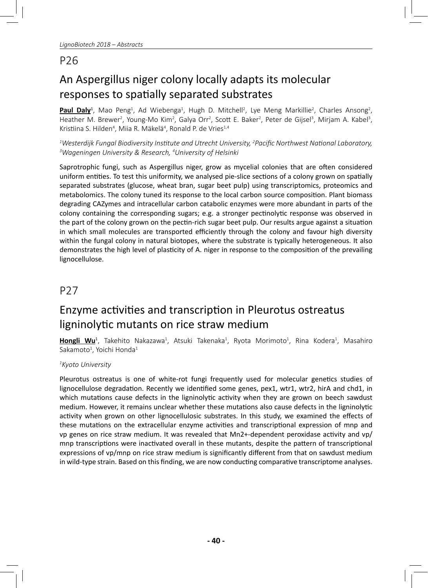# An Aspergillus niger colony locally adapts its molecular responses to spatially separated substrates

Paul Daly<sup>1</sup>, Mao Peng<sup>1</sup>, Ad Wiebenga<sup>1</sup>, Hugh D. Mitchell<sup>2</sup>, Lye Meng Markillie<sup>2</sup>, Charles Ansong<sup>2</sup>, Heather M. Brewer<sup>2</sup>, Young-Mo Kim<sup>2</sup>, Galya Orr<sup>2</sup>, Scott E. Baker<sup>2</sup>, Peter de Gijsel<sup>3</sup>, Mirjam A. Kabel<sup>3</sup>, Kristiina S. Hilden<sup>4</sup>, Miia R. Mäkelä<sup>4</sup>, Ronald P. de Vries<sup>1,4</sup>

<sup>1</sup>Westerdijk Fungal Biodiversity Institute and Utrecht University, <sup>2</sup>Pacific Northwest National Laboratory,<br><sup>3</sup>Wageningen University & Research <sup>4</sup>University of Helsinki *Wageningen University & Research, 4 University of Helsinki*

Saprotrophic fungi, such as Aspergillus niger, grow as mycelial colonies that are often considered uniform entities. To test this uniformity, we analysed pie-slice sections of a colony grown on spatially separated substrates (glucose, wheat bran, sugar beet pulp) using transcriptomics, proteomics and metabolomics. The colony tuned its response to the local carbon source composition. Plant biomass degrading CAZymes and intracellular carbon catabolic enzymes were more abundant in parts of the colony containing the corresponding sugars; e.g. a stronger pectinolytic response was observed in the part of the colony grown on the pectin-rich sugar beet pulp. Our results argue against a situation in which small molecules are transported efficiently through the colony and favour high diversity within the fungal colony in natural biotopes, where the substrate is typically heterogeneous. It also demonstrates the high level of plasticity of A. niger in response to the composition of the prevailing lignocellulose.

## P27

## Enzyme activities and transcription in Pleurotus ostreatus ligninolytic mutants on rice straw medium

**<u>Hongli Wu</u><sup>1</sup>, Takehito Nakazawa<sup>1</sup>, Atsuki Takenaka<sup>1</sup>, Ryota Morimoto<sup>1</sup>, Rina Kodera<sup>1</sup>, Masahiro** Sakamoto $^1$ , Yoichi Honda $^1$ 

#### *1 Kyoto University*

Pleurotus ostreatus is one of white-rot fungi frequently used for molecular genetics studies of lignocellulose degradation. Recently we identified some genes, pex1, wtr1, wtr2, hirA and chd1, in which mutations cause defects in the ligninolytic activity when they are grown on beech sawdust medium. However, it remains unclear whether these mutations also cause defects in the ligninolytic activity when grown on other lignocellulosic substrates. In this study, we examined the effects of these mutations on the extracellular enzyme activities and transcriptional expression of mnp and vp genes on rice straw medium. It was revealed that Mn2+-dependent peroxidase activity and vp/ mnp transcriptions were inactivated overall in these mutants, despite the pattern of transcriptional expressions of vp/mnp on rice straw medium is significantly different from that on sawdust medium in wild-type strain. Based on this finding, we are now conducting comparative transcriptome analyses.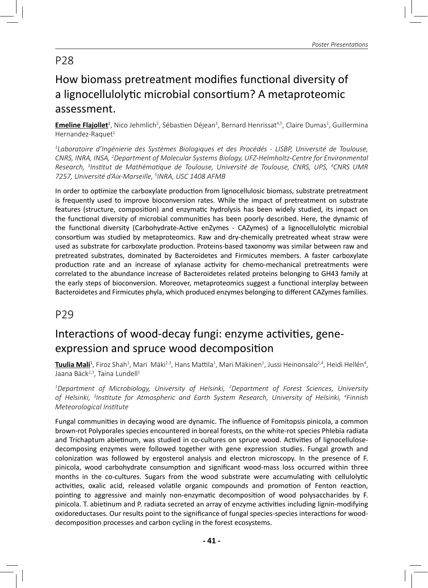## How biomass pretreatment modifies functional diversity of a lignocellulolytic microbial consortium? A metaproteomic assessment.

**<u>Emeline Flajollet</u><sup>1</sup>**, Nico Jehmlich<sup>2</sup>, Sébastien Déjean<sup>3</sup>, Bernard Henrissat<sup>4,5</sup>, Claire Dumas<sup>1</sup>, Guillermina Hernandez-Raquet $1$ 

*1 Laboratoire d'Ingénierie des Systèmes Biologiques et des Procédés - LISBP, Université de Toulouse, CNRS, INRA, INSA, 2 Department of Molecular Systems Biology, UFZ-Helmholtz-Centre for Environmental*  Research, <sup>3</sup>Institut de Mathématique de Toulouse, Université de Toulouse, CNRS, UPS, <sup>4</sup>CNRS UMR *7257, Université d'Aix-Marseille, 5 INRA, USC 1408 AFMB*

In order to optimize the carboxylate production from lignocellulosic biomass, substrate pretreatment is frequently used to improve bioconversion rates. While the impact of pretreatment on substrate features (structure, composition) and enzymatic hydrolysis has been widely studied, its impact on the functional diversity of microbial communities has been poorly described. Here, the dynamic of the functional diversity (Carbohydrate-Active enZymes - CAZymes) of a lignocellulolytic microbial consortium was studied by metaproteomics. Raw and dry-chemically pretreated wheat straw were used as substrate for carboxylate production. Proteins-based taxonomy was similar between raw and pretreated substrates, dominated by Bacteroidetes and Firmicutes members. A faster carboxylate production rate and an increase of xylanase activity for chemo-mechanical pretreatments were correlated to the abundance increase of Bacteroidetes related proteins belonging to GH43 family at the early steps of bioconversion. Moreover, metaproteomics suggest a functional interplay between Bacteroidetes and Firmicutes phyla, which produced enzymes belonging to different CAZymes families.

P29

## Interactions of wood-decay fungi: enzyme activities, geneexpression and spruce wood decomposition

**<u>Tuulia Mali</u>'**, Firoz Shah<sup>1</sup>, Mari Mäki<sup>2,3</sup>, Hans Mattila<sup>1</sup>, Mari Mäkinen<sup>1</sup>, Jussi Heinonsalo<sup>2,4</sup>, Heidi Hellén<sup>4</sup>, Jaana Bäck<sup>2,3</sup>, Taina Lundell<sup>1</sup>

*1 Department of Microbiology, University of Helsinki, 2 Department of Forest Sciences, University of Helsinki, 3 InsƟ tute for Atmospheric and Earth System Research, University of Helsinki, 4 Finnish Meteorological InsƟ tute*

Fungal communities in decaying wood are dynamic. The influence of Fomitopsis pinicola, a common brown-rot Polyporales species encountered in boreal forests, on the white-rot species Phlebia radiata and Trichaptum abietinum, was studied in co-cultures on spruce wood. Activities of lignocellulosedecomposing enzymes were followed together with gene expression studies. Fungal growth and colonization was followed by ergosterol analysis and electron microscopy. In the presence of F. pinicola, wood carbohydrate consumption and significant wood-mass loss occurred within three months in the co-cultures. Sugars from the wood substrate were accumulating with cellulolytic activities, oxalic acid, released volatile organic compounds and promotion of Fenton reaction, pointing to aggressive and mainly non-enzymatic decomposition of wood polysaccharides by F. pinicola. T. abietinum and P. radiata secreted an array of enzyme activities including lignin-modifying oxidoreductases. Our results point to the significance of fungal species-species interactions for wooddecomposition processes and carbon cycling in the forest ecosystems.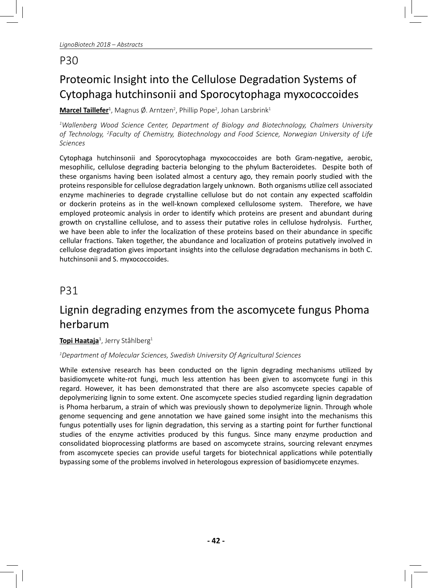# Proteomic Insight into the Cellulose Degradation Systems of Cytophaga hutchinsonii and Sporocytophaga myxococcoides

**<u>Marcel Taillefer<sup>1</sup>, Magnus Ø. Arntzen<sup>2</sup>, Phillip Pope<sup>2</sup>, Johan Larsbrink<sup>1</sup>**</u>

*1 Wallenberg Wood Science Center, Department of Biology and Biotechnology, Chalmers University of Technology, 2 Faculty of Chemistry, Biotechnology and Food Science, Norwegian University of Life Sciences*

Cytophaga hutchinsonii and Sporocytophaga myxococcoides are both Gram-negative, aerobic, mesophilic, cellulose degrading bacteria belonging to the phylum Bacteroidetes. Despite both of these organisms having been isolated almost a century ago, they remain poorly studied with the proteins responsible for cellulose degradation largely unknown. Both organisms utilize cell associated enzyme machineries to degrade crystalline cellulose but do not contain any expected scaffoldin or dockerin proteins as in the well-known complexed cellulosome system. Therefore, we have employed proteomic analysis in order to identify which proteins are present and abundant during growth on crystalline cellulose, and to assess their putative roles in cellulose hydrolysis. Further, we have been able to infer the localization of these proteins based on their abundance in specific cellular fractions. Taken together, the abundance and localization of proteins putatively involved in cellulose degradation gives important insights into the cellulose degradation mechanisms in both C. hutchinsonii and S. myxococcoides.

### P31

# Lignin degrading enzymes from the ascomycete fungus Phoma herbarum

#### **<u>Topi Haataja</u><sup>1</sup>, Jerry Ståhlberg<sup>1</sup>**

#### *1 Department of Molecular Sciences, Swedish University Of Agricultural Sciences*

While extensive research has been conducted on the lignin degrading mechanisms utilized by basidiomycete white-rot fungi, much less attention has been given to ascomycete fungi in this regard. However, it has been demonstrated that there are also ascomycete species capable of depolymerizing lignin to some extent. One ascomycete species studied regarding lignin degradation is Phoma herbarum, a strain of which was previously shown to depolymerize lignin. Through whole genome sequencing and gene annotation we have gained some insight into the mechanisms this fungus potentially uses for lignin degradation, this serving as a starting point for further functional studies of the enzyme activities produced by this fungus. Since many enzyme production and consolidated bioprocessing platforms are based on ascomycete strains, sourcing relevant enzymes from ascomycete species can provide useful targets for biotechnical applications while potentially bypassing some of the problems involved in heterologous expression of basidiomycete enzymes.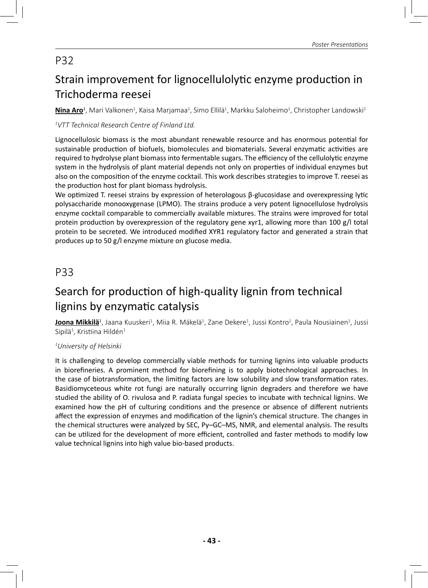# Strain improvement for lignocellulolytic enzyme production in Trichoderma reesei

 ${\rm Nina~Aro^1}$ , Mari Valkonen<sup>1</sup>, Kaisa Marjamaa<sup>1</sup>, Simo Ellilä<sup>1</sup>, Markku Saloheimo<sup>1</sup>, Christopher Landowski<sup>1</sup>

#### *1 VTT Technical Research Centre of Finland Ltd.*

Lignocellulosic biomass is the most abundant renewable resource and has enormous potential for sustainable production of biofuels, biomolecules and biomaterials. Several enzymatic activities are required to hydrolyse plant biomass into fermentable sugars. The efficiency of the cellulolytic enzyme system in the hydrolysis of plant material depends not only on properties of individual enzymes but also on the composition of the enzyme cocktail. This work describes strategies to improve T. reesei as the production host for plant biomass hydrolysis.

We optimized T. reesei strains by expression of heterologous β-glucosidase and overexpressing lytic polysaccharide monooxygenase (LPMO). The strains produce a very potent lignocellulose hydrolysis enzyme cocktail comparable to commercially available mixtures. The strains were improved for total protein production by overexpression of the regulatory gene xyr1, allowing more than 100 g/l total protein to be secreted. We introduced modified XYR1 regulatory factor and generated a strain that produces up to 50 g/l enzyme mixture on glucose media.

## P33

## Search for production of high-quality lignin from technical lignins by enzymatic catalysis

**Joona Mikkilä**<sup>1</sup>, Jaana Kuuskeri<sup>1</sup>, Miia R. Mäkelä<sup>1</sup>, Zane Dekere<sup>1</sup>, Jussi Kontro<sup>1</sup>, Paula Nousiainen<sup>1</sup>, Jussi Sipilä $^1$ , Kristiina Hildén $^1$ 

#### *1 University of Helsinki*

It is challenging to develop commercially viable methods for turning lignins into valuable products in biorefineries. A prominent method for biorefining is to apply biotechnological approaches. In the case of biotransformation, the limiting factors are low solubility and slow transformation rates. Basidiomyceteous white rot fungi are naturally occurring lignin degraders and therefore we have studied the ability of O. rivulosa and P. radiata fungal species to incubate with technical lignins. We examined how the pH of culturing conditions and the presence or absence of different nutrients affect the expression of enzymes and modification of the lignin's chemical structure. The changes in the chemical structures were analyzed by SEC, Py–GC–MS, NMR, and elemental analysis. The results can be utilized for the development of more efficient, controlled and faster methods to modify low value technical lignins into high value bio-based products.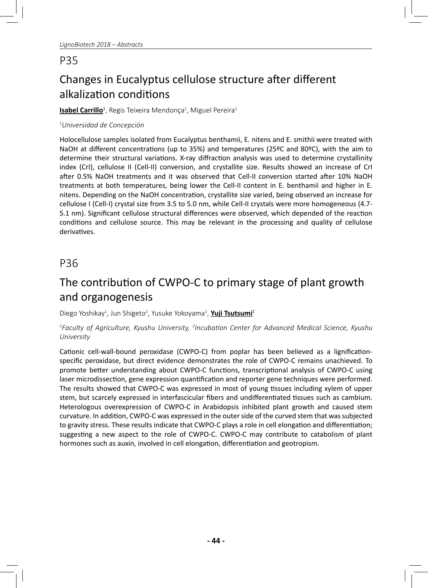# Changes in Eucalyptus cellulose structure after different alkalization conditions

#### <mark>Isabel Carrillo</mark><sup>1</sup>, Regis Teixeira Mendonça<sup>1</sup>, Miguel Pereira<sup>1</sup>

#### *1 Universidad de Concepción*

Holocellulose samples isolated from Eucalyptus benthamii, E. nitens and E. smithii were treated with NaOH at different concentrations (up to 35%) and temperatures (25ºC and 80ºC), with the aim to determine their structural variations. X-ray diffraction analysis was used to determine crystallinity index (CrI), cellulose II (Cell-II) conversion, and crystallite size. Results showed an increase of CrI after 0.5% NaOH treatments and it was observed that Cell-II conversion started after 10% NaOH treatments at both temperatures, being lower the Cell-II content in E. benthamii and higher in E. nitens. Depending on the NaOH concentration, crystallite size varied, being observed an increase for cellulose I (Cell-I) crystal size from 3.5 to 5.0 nm, while Cell-II crystals were more homogeneous (4.7- 5.1 nm). Significant cellulose structural differences were observed, which depended of the reaction conditions and cellulose source. This may be relevant in the processing and quality of cellulose derivatives.

## P36

# The contribution of CWPO-C to primary stage of plant growth and organogenesis

Diego Yoshikay<sup>1</sup>, Jun Shigeto<sup>2</sup>, Yusuke Yokoyama<sup>1</sup>, <mark>Yuji Tsutsumi</mark>1

#### *1 Faculty of Agriculture, Kyushu University, 2 IncubaƟ on Center for Advanced Medical Science, Kyushu University*

Cationic cell-wall-bound peroxidase (CWPO-C) from poplar has been believed as a lignificationspecific peroxidase, but direct evidence demonstrates the role of CWPO-C remains unachieved. To promote better understanding about CWPO-C functions, transcriptional analysis of CWPO-C using laser microdissection, gene expression quantification and reporter gene techniques were performed. The results showed that CWPO-C was expressed in most of young tissues including xylem of upper stem, but scarcely expressed in interfascicular fibers and undifferentiated tissues such as cambium. Heterologous overexpression of CWPO-C in Arabidopsis inhibited plant growth and caused stem curvature. In addition, CWPO-C was expressed in the outer side of the curved stem that was subjected to gravity stress. These results indicate that CWPO-C plays a role in cell elongation and differentiation; suggesting a new aspect to the role of CWPO-C. CWPO-C may contribute to catabolism of plant hormones such as auxin, involved in cell elongation, differentiation and geotropism.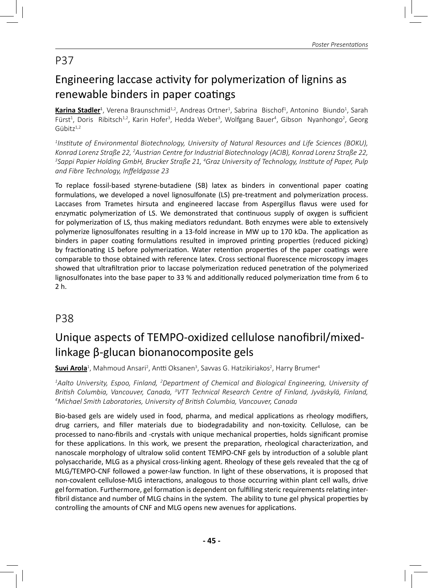## Engineering laccase activity for polymerization of lignins as renewable binders in paper coatings

**<u>Karina Stadler</u><sup>1</sup>,** Verena Braunschmid<sup>1,2</sup>, Andreas Ortner<sup>1</sup>, Sabrina Bischof<sup>1</sup>, Antonino Biundo<sup>1</sup>, Sarah Fürst<sup>1</sup>, Doris Ribitsch<sup>1,2</sup>, Karin Hofer<sup>3</sup>, Hedda Weber<sup>3</sup>, Wolfgang Bauer<sup>4</sup>, Gibson Nyanhongo<sup>2</sup>, Georg  $G$ übitz $1,2$ 

*1 InsƟ tute of Environmental Biotechnology, University of Natural Resources and Life Sciences (BOKU),*  Konrad Lorenz Straße 22, <sup>2</sup>Austrian Centre for Industrial Biotechnology (ACIB), Konrad Lorenz Straße 22,<br><sup>3</sup>Sanni Panier Holding GmbH, Brucker Straße 21, <sup>4</sup>Graz University of Technology, Institute of Paner, Puln *Sappi Papier Holding GmbH, Brucker Straße 21, 4 Graz University of Technology, InsƟ tute of Paper, Pulp*  and Fibre Technology, Inffeldgasse 23

To replace fossil-based styrene-butadiene (SB) latex as binders in conventional paper coating formulations, we developed a novel lignosulfonate (LS) pre-treatment and polymerization process. Laccases from Trametes hirsuta and engineered laccase from Aspergillus flavus were used for enzymatic polymerization of LS. We demonstrated that continuous supply of oxygen is sufficient for polymerization of LS, thus making mediators redundant. Both enzymes were able to extensively polymerize lignosulfonates resulting in a 13-fold increase in MW up to 170 kDa. The application as binders in paper coating formulations resulted in improved printing properties (reduced picking) by fractionating LS before polymerization. Water retention properties of the paper coatings were comparable to those obtained with reference latex. Cross sectional fluorescence microscopy images showed that ultrafiltration prior to laccase polymerization reduced penetration of the polymerized lignosulfonates into the base paper to 33 % and additionally reduced polymerization time from 6 to 2 h.

### P38

# Unique aspects of TEMPO-oxidized cellulose nanofibril/mixedlinkage β-glucan bionanocomposite gels

**<u>Suvi Arola</u><sup>1</sup>, Mahmoud Ansari<sup>2</sup>, Antti Oksanen<sup>3</sup>, Savvas G. Hatzikiriakos<sup>2</sup>, Harry Brumer<sup>4</sup>** 

*1 Aalto University, Espoo, Finland, 2 Department of Chemical and Biological Engineering, University of*  British Columbia, Vancouver, Canada, <sup>3</sup>VTT Technical Research Centre of Finland, Jyväskylä, Finland,<br><sup>4</sup>Michael Smith Laboratories Thiversity of British Columbia, Vancouver, Canada *Michael Smith Laboratories, University of BriƟ sh Columbia, Vancouver, Canada*

Bio-based gels are widely used in food, pharma, and medical applications as rheology modifiers, drug carriers, and filler materials due to biodegradability and non-toxicity. Cellulose, can be processed to nano-fibrils and -crystals with unique mechanical properties, holds significant promise for these applications. In this work, we present the preparation, rheological characterization, and nanoscale morphology of ultralow solid content TEMPO-CNF gels by introduction of a soluble plant polysaccharide, MLG as a physical cross-linking agent. Rheology of these gels revealed that the cg of MLG/TEMPO-CNF followed a power-law function. In light of these observations, it is proposed that non-covalent cellulose-MLG interactions, analogous to those occurring within plant cell walls, drive gel formation. Furthermore, gel formation is dependent on fulfilling steric requirements relating interfibril distance and number of MLG chains in the system. The ability to tune gel physical properties by controlling the amounts of CNF and MLG opens new avenues for applications.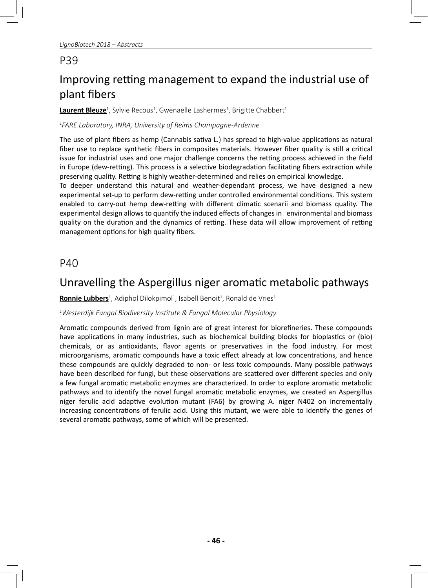# Improving retting management to expand the industrial use of plant fibers

**<u>Laurent Bleuze</u><sup>1</sup>,** Sylvie Recous<sup>1</sup>, Gwenaelle Lashermes<sup>1</sup>, Brigitte Chabbert<sup>1</sup>

#### *1 FARE Laboratory, INRA, University of Reims Champagne-Ardenne*

The use of plant fibers as hemp (Cannabis sativa L.) has spread to high-value applications as natural fiber use to replace synthetic fibers in composites materials. However fiber quality is still a critical issue for industrial uses and one major challenge concerns the retting process achieved in the field in Europe (dew-retting). This process is a selective biodegradation facilitating fibers extraction while preserving quality. Retting is highly weather-determined and relies on empirical knowledge.

To deeper understand this natural and weather-dependant process, we have designed a new experimental set-up to perform dew-retting under controlled environmental conditions. This system enabled to carry-out hemp dew-retting with different climatic scenarii and biomass quality. The experimental design allows to quantify the induced effects of changes in environmental and biomass quality on the duration and the dynamics of retting. These data will allow improvement of retting management options for high quality fibers.

### P40

## Unravelling the Aspergillus niger aromatic metabolic pathways

**Ronnie Lubbers**<sup>1</sup>, Adiphol Dilokpimol<sup>1</sup>, Isabell Benoit<sup>1</sup>, Ronald de Vries<sup>1</sup>

#### *1 Westerdijk Fungal Biodiversity InsƟ tute & Fungal Molecular Physiology*

Aromatic compounds derived from lignin are of great interest for biorefineries. These compounds have applications in many industries, such as biochemical building blocks for bioplastics or (bio) chemicals, or as antioxidants, flavor agents or preservatives in the food industry. For most microorganisms, aromatic compounds have a toxic effect already at low concentrations, and hence these compounds are quickly degraded to non- or less toxic compounds. Many possible pathways have been described for fungi, but these observations are scattered over different species and only a few fungal aromatic metabolic enzymes are characterized. In order to explore aromatic metabolic pathways and to identify the novel fungal aromatic metabolic enzymes, we created an Aspergillus niger ferulic acid adaptive evolution mutant (FA6) by growing A. niger N402 on incrementally increasing concentrations of ferulic acid. Using this mutant, we were able to identify the genes of several aromatic pathways, some of which will be presented.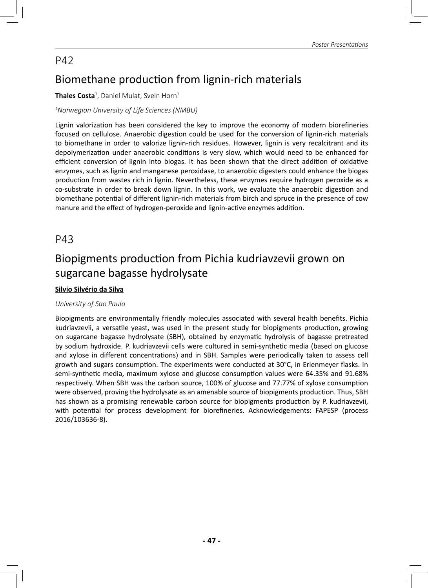## Biomethane production from lignin-rich materials

#### **Thales Costa**<sup>1</sup>, Daniel Mulat, Svein Horn<sup>1</sup>

#### *1 Norwegian University of Life Sciences (NMBU)*

Lignin valorization has been considered the key to improve the economy of modern biorefineries focused on cellulose. Anaerobic digestion could be used for the conversion of lignin-rich materials to biomethane in order to valorize lignin-rich residues. However, lignin is very recalcitrant and its depolymerization under anaerobic conditions is very slow, which would need to be enhanced for efficient conversion of lignin into biogas. It has been shown that the direct addition of oxidative enzymes, such as lignin and manganese peroxidase, to anaerobic digesters could enhance the biogas production from wastes rich in lignin. Nevertheless, these enzymes require hydrogen peroxide as a co-substrate in order to break down lignin. In this work, we evaluate the anaerobic digestion and biomethane potential of different lignin-rich materials from birch and spruce in the presence of cow manure and the effect of hydrogen-peroxide and lignin-active enzymes addition.

### P43

## Biopigments production from Pichia kudriavzevii grown on sugarcane bagasse hydrolysate

#### **Silvio Silvério da Silva**

#### *University of Sao Paulo*

Biopigments are environmentally friendly molecules associated with several health benefits. Pichia kudriavzevii, a versatile yeast, was used in the present study for biopigments production, growing on sugarcane bagasse hydrolysate (SBH), obtained by enzymatic hydrolysis of bagasse pretreated by sodium hydroxide. P. kudriavzevii cells were cultured in semi-synthetic media (based on glucose and xylose in different concentrations) and in SBH. Samples were periodically taken to assess cell growth and sugars consumption. The experiments were conducted at 30°C, in Erlenmeyer flasks. In semi-synthetic media, maximum xylose and glucose consumption values were 64.35% and 91.68% respectively. When SBH was the carbon source, 100% of glucose and 77.77% of xylose consumption were observed, proving the hydrolysate as an amenable source of biopigments production. Thus, SBH has shown as a promising renewable carbon source for biopigments production by P. kudriavzevii, with potential for process development for biorefineries. Acknowledgements: FAPESP (process 2016/103636-8).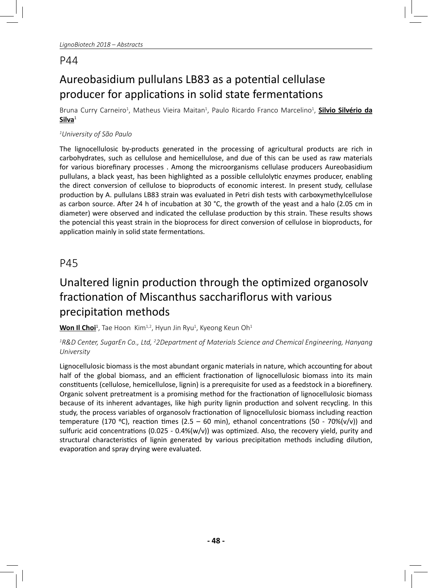# Aureobasidium pullulans LB83 as a potential cellulase producer for applications in solid state fermentations

Bruna Curry Carneiro<sup>1</sup>, Matheus Vieira Maitan<sup>1</sup>, Paulo Ricardo Franco Marcelino<sup>1</sup>, <mark>Silvio Silvério da</mark> **Silva**<sup>1</sup>

#### *1 University of São Paulo*

The lignocellulosic by-products generated in the processing of agricultural products are rich in carbohydrates, such as cellulose and hemicellulose, and due of this can be used as raw materials for various biorefinary processes. Among the microorganisms cellulase producers Aureobasidium pullulans, a black yeast, has been highlighted as a possible cellulolytic enzymes producer, enabling the direct conversion of cellulose to bioproducts of economic interest. In present study, cellulase production by A. pullulans LB83 strain was evaluated in Petri dish tests with carboxymethylcellulose as carbon source. After 24 h of incubation at 30 °C, the growth of the yeast and a halo (2.05 cm in diameter) were observed and indicated the cellulase production by this strain. These results shows the potencial this yeast strain in the bioprocess for direct conversion of cellulose in bioproducts, for application mainly in solid state fermentations.

## P45

# Unaltered lignin production through the optimized organosolv fractionation of Miscanthus sacchariflorus with various precipitation methods

**Won Il Choi**<sup>1</sup> , Tae Hoon Kim1,2, Hyun Jin Ryu1 , Kyeong Keun Oh1

#### *1 R&D Center, SugarEn Co., Ltd, 2 2Department of Materials Science and Chemical Engineering, Hanyang University*

Lignocellulosic biomass is the most abundant organic materials in nature, which accounting for about half of the global biomass, and an efficient fractionation of lignocellulosic biomass into its main constituents (cellulose, hemicellulose, lignin) is a prerequisite for used as a feedstock in a biorefinery. Organic solvent pretreatment is a promising method for the fractionation of lignocellulosic biomass because of its inherent advantages, like high purity lignin production and solvent recycling. In this study, the process variables of organosolv fractionation of lignocellulosic biomass including reaction temperature (170 °C), reaction times (2.5 – 60 min), ethanol concentrations (50 - 70%(v/v)) and sulfuric acid concentrations (0.025 - 0.4%(w/v)) was optimized. Also, the recovery yield, purity and structural characteristics of lignin generated by various precipitation methods including dilution, evaporation and spray drying were evaluated.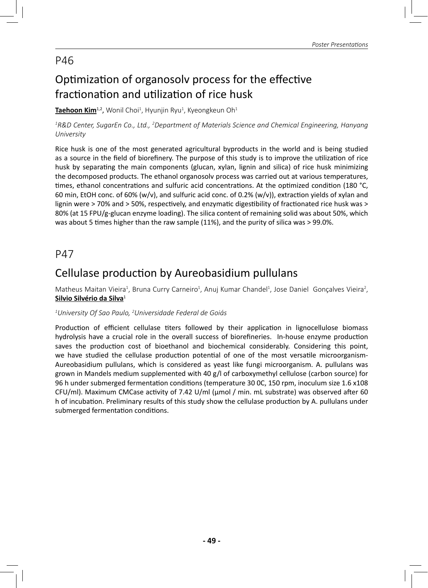# Optimization of organosoly process for the effective fractionation and utilization of rice husk

**<u>Taehoon Kim</u>1,2, Wonil Choi<sup>1</sup>, Hyunjin Ryu<sup>1</sup>, Kyeongkeun Oh<sup>1</sup>** 

*1 R&D Center, SugarEn Co., Ltd., 2 Department of Materials Science and Chemical Engineering, Hanyang University*

Rice husk is one of the most generated agricultural byproducts in the world and is being studied as a source in the field of biorefinery. The purpose of this study is to improve the utilization of rice husk by separating the main components (glucan, xylan, lignin and silica) of rice husk minimizing the decomposed products. The ethanol organosolv process was carried out at various temperatures, times, ethanol concentrations and sulfuric acid concentrations. At the optimized condition (180 °C, 60 min, EtOH conc. of 60% (w/v), and sulfuric acid conc. of 0.2% (w/v)), extraction yields of xylan and lignin were > 70% and > 50%, respectively, and enzymatic digestibility of fractionated rice husk was > 80% (at 15 FPU/g-glucan enzyme loading). The silica content of remaining solid was about 50%, which was about 5 times higher than the raw sample (11%), and the purity of silica was > 99.0%.

#### P47

## Cellulase production by Aureobasidium pullulans

Matheus Maitan Vieira<sup>1</sup>, Bruna Curry Carneiro<sup>1</sup>, Anuj Kumar Chandel<sup>1</sup>, Jose Daniel Gonçalves Vieira<sup>2</sup>, **Silvio Silvério da Silva**<sup>1</sup>

#### *1 University Of Sao Paulo, 2 Universidade Federal de Goiás*

Production of efficient cellulase titers followed by their application in lignocellulose biomass hydrolysis have a crucial role in the overall success of biorefineries. In-house enzyme production saves the production cost of bioethanol and biochemical considerably. Considering this point, we have studied the cellulase production potential of one of the most versatile microorganism-Aureobasidium pullulans, which is considered as yeast like fungi microorganism. A. pullulans was grown in Mandels medium supplemented with 40 g/l of carboxymethyl cellulose (carbon source) for 96 h under submerged fermentation conditions (temperature 30 OC, 150 rpm, inoculum size 1.6 x108 CFU/ml). Maximum CMCase activity of 7.42 U/ml (μmol / min. mL substrate) was observed after 60 h of incubation. Preliminary results of this study show the cellulase production by A. pullulans under submerged fermentation conditions.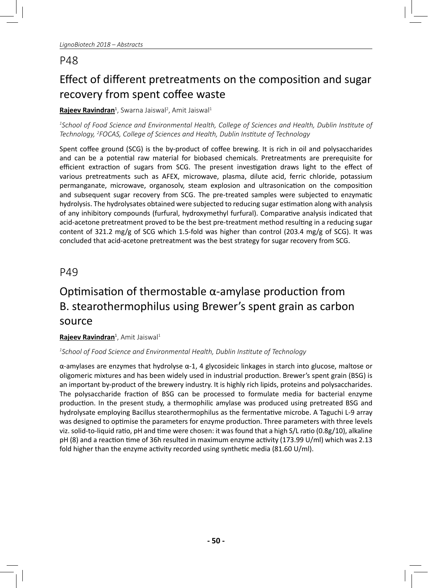# Effect of different pretreatments on the composition and sugar recovery from spent coffee waste

#### **<u>Rajeev Ravindran</u><sup>1</sup>,** Swarna Jaiswal<sup>2</sup>, Amit Jaiswal<sup>1</sup>

*1 School of Food Science and Environmental Health, College of Sciences and Health, Dublin InsƟ tute of Technology, 2 FOCAS, College of Sciences and Health, Dublin InsƟ tute of Technology*

Spent coffee ground (SCG) is the by-product of coffee brewing. It is rich in oil and polysaccharides and can be a potential raw material for biobased chemicals. Pretreatments are prerequisite for efficient extraction of sugars from SCG. The present investigation draws light to the effect of various pretreatments such as AFEX, microwave, plasma, dilute acid, ferric chloride, potassium permanganate, microwave, organosolv, steam explosion and ultrasonication on the composition and subsequent sugar recovery from SCG. The pre-treated samples were subjected to enzymatic hydrolysis. The hydrolysates obtained were subjected to reducing sugar estimation along with analysis of any inhibitory compounds (furfural, hydroxymethyl furfural). Comparative analysis indicated that acid-acetone pretreatment proved to be the best pre-treatment method resulting in a reducing sugar content of 321.2 mg/g of SCG which 1.5-fold was higher than control (203.4 mg/g of SCG). It was concluded that acid-acetone pretreatment was the best strategy for sugar recovery from SCG.

#### P49

# Optimisation of thermostable α-amylase production from B. stearothermophilus using Brewer's spent grain as carbon source

#### **Rajeev Ravindran**<sup>1</sup>, Amit Jaiswal<sup>1</sup>

#### *1 School of Food Science and Environmental Health, Dublin InsƟ tute of Technology*

α-amylases are enzymes that hydrolyse α-1, 4 glycosideic linkages in starch into glucose, maltose or oligomeric mixtures and has been widely used in industrial production. Brewer's spent grain (BSG) is an important by-product of the brewery industry. It is highly rich lipids, proteins and polysaccharides. The polysaccharide fraction of BSG can be processed to formulate media for bacterial enzyme production. In the present study, a thermophilic amylase was produced using pretreated BSG and hydrolysate employing Bacillus stearothermophilus as the fermentative microbe. A Taguchi L-9 array was designed to optimise the parameters for enzyme production. Three parameters with three levels viz. solid-to-liquid ratio, pH and time were chosen: it was found that a high S/L ratio (0.8g/10), alkaline pH (8) and a reaction time of 36h resulted in maximum enzyme activity (173.99 U/ml) which was 2.13 fold higher than the enzyme activity recorded using synthetic media (81.60 U/ml).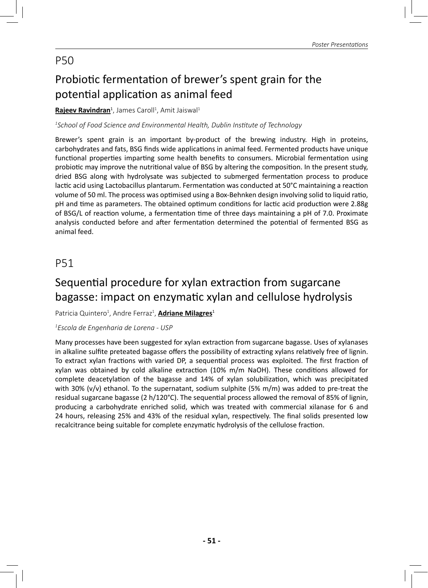# Probiotic fermentation of brewer's spent grain for the potential application as animal feed

#### **Rajeev Ravindran**<sup>1</sup>, James Caroll<sup>1</sup>, Amit Jaiswal<sup>1</sup>

*1 School of Food Science and Environmental Health, Dublin InsƟ tute of Technology*

Brewer's spent grain is an important by-product of the brewing industry. High in proteins, carbohydrates and fats, BSG finds wide applications in animal feed. Fermented products have unique functional properties imparting some health benefits to consumers. Microbial fermentation using probiotic may improve the nutritional value of BSG by altering the composition. In the present study, dried BSG along with hydrolysate was subjected to submerged fermentation process to produce lactic acid using Lactobacillus plantarum. Fermentation was conducted at 50°C maintaining a reaction volume of 50 ml. The process was optimised using a Box-Behnken design involving solid to liquid ratio, pH and time as parameters. The obtained optimum conditions for lactic acid production were 2.88g of BSG/L of reaction volume, a fermentation time of three days maintaining a pH of 7.0. Proximate analysis conducted before and after fermentation determined the potential of fermented BSG as animal feed.

## P51

## Sequential procedure for xylan extraction from sugarcane bagasse: impact on enzymatic xylan and cellulose hydrolysis

#### Patricia Quintero<sup>1</sup>, Andre Ferraz<sup>1</sup>, <mark>Adriane Milagres</mark><sup>1</sup>

#### *1 Escola de Engenharia de Lorena - USP*

Many processes have been suggested for xylan extraction from sugarcane bagasse. Uses of xylanases in alkaline sulfite preteated bagasse offers the possibility of extracting xylans relatively free of lignin. To extract xylan fractions with varied DP, a sequential process was exploited. The first fraction of xylan was obtained by cold alkaline extraction (10% m/m NaOH). These conditions allowed for complete deacetylation of the bagasse and 14% of xylan solubilization, which was precipitated with 30% (v/v) ethanol. To the supernatant, sodium sulphite (5% m/m) was added to pre-treat the residual sugarcane bagasse (2 h/120°C). The sequential process allowed the removal of 85% of lignin, producing a carbohydrate enriched solid, which was treated with commercial xilanase for 6 and 24 hours, releasing 25% and 43% of the residual xylan, respectively. The final solids presented low recalcitrance being suitable for complete enzymatic hydrolysis of the cellulose fraction.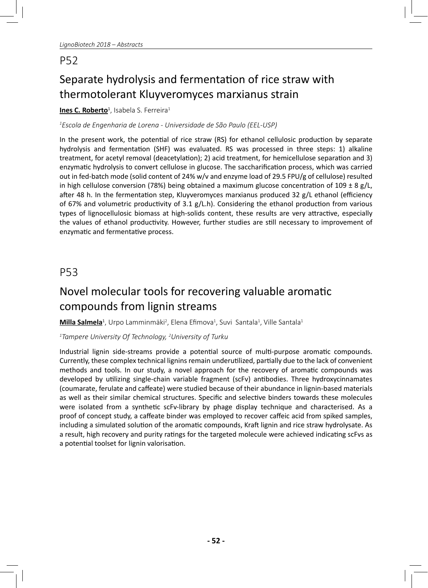# Separate hydrolysis and fermentation of rice straw with thermotolerant Kluyveromyces marxianus strain

#### **<u>Ines C. Roberto</u><sup>1</sup>, Isabela S. Ferreira<sup>1</sup>**

#### *1 Escola de Engenharia de Lorena - Universidade de São Paulo (EEL-USP)*

In the present work, the potential of rice straw (RS) for ethanol cellulosic production by separate hydrolysis and fermentation (SHF) was evaluated. RS was processed in three steps: 1) alkaline treatment, for acetyl removal (deacetylation); 2) acid treatment, for hemicellulose separation and 3) enzymatic hydrolysis to convert cellulose in glucose. The saccharification process, which was carried out in fed-batch mode (solid content of 24% w/v and enzyme load of 29.5 FPU/g of cellulose) resulted in high cellulose conversion (78%) being obtained a maximum glucose concentration of 109  $\pm$  8 g/L, after 48 h. In the fermentation step, Kluyveromyces marxianus produced 32 g/L ethanol (efficiency of 67% and volumetric productivity of 3.1  $g/L$ .h). Considering the ethanol production from various types of lignocellulosic biomass at high-solids content, these results are very attractive, especially the values of ethanol productivity. However, further studies are still necessary to improvement of enzymatic and fermentative process.

### P53

## Novel molecular tools for recovering valuable aromatic compounds from lignin streams

**<u>Milla Salmela</u><sup>1</sup>,** Urpo Lamminmäki<sup>2</sup>, Elena Efimova<sup>1</sup>, Suvi Santala<sup>1</sup>, Ville Santala<sup>1</sup>

*1 Tampere University Of Technology, 2 University of Turku*

Industrial lignin side-streams provide a potential source of multi-purpose aromatic compounds. Currently, these complex technical lignins remain underutilized, partially due to the lack of convenient methods and tools. In our study, a novel approach for the recovery of aromatic compounds was developed by utilizing single-chain variable fragment (scFv) antibodies. Three hydroxycinnamates (coumarate, ferulate and caffeate) were studied because of their abundance in lignin-based materials as well as their similar chemical structures. Specific and selective binders towards these molecules were isolated from a synthetic scFv-library by phage display technique and characterised. As a proof of concept study, a caffeate binder was employed to recover caffeic acid from spiked samples, including a simulated solution of the aromatic compounds, Kraft lignin and rice straw hydrolysate. As a result, high recovery and purity ratings for the targeted molecule were achieved indicating scFvs as a potential toolset for lignin valorisation.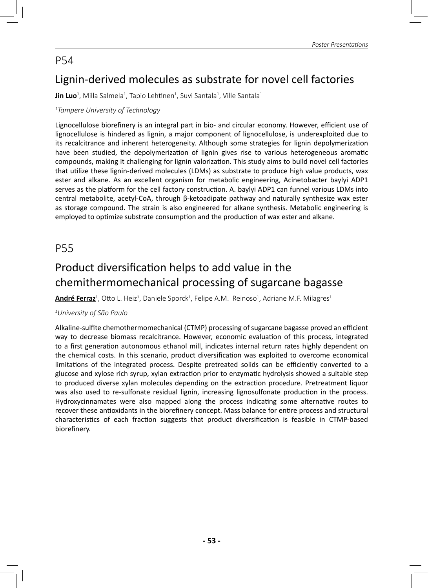## Lignin-derived molecules as substrate for novel cell factories

**<u>Jin Luo</u><sup>1</sup>, Milla Salmela<sup>1</sup>, Tapio Lehtinen<sup>1</sup>, Suvi Santala<sup>1</sup>, Ville Santala<sup>1</sup>** 

#### *1 Tampere University of Technology*

Lignocellulose biorefinery is an integral part in bio- and circular economy. However, efficient use of lignocellulose is hindered as lignin, a major component of lignocellulose, is underexploited due to its recalcitrance and inherent heterogeneity. Although some strategies for lignin depolymerization have been studied, the depolymerization of lignin gives rise to various heterogeneous aromatic compounds, making it challenging for lignin valorization. This study aims to build novel cell factories that utilize these lignin-derived molecules (LDMs) as substrate to produce high value products, wax ester and alkane. As an excellent organism for metabolic engineering, Acinetobacter baylyi ADP1 serves as the platform for the cell factory construction. A. baylyi ADP1 can funnel various LDMs into central metabolite, acetyl-CoA, through β-ketoadipate pathway and naturally synthesize wax ester as storage compound. The strain is also engineered for alkane synthesis. Metabolic engineering is employed to optimize substrate consumption and the production of wax ester and alkane.

### P55

## Product diversification helps to add value in the chemithermomechanical processing of sugarcane bagasse

**<u>André Ferraz</u><sup>1</sup>,** Otto L. Heiz<sup>1</sup>, Daniele Sporck<sup>1</sup>, Felipe A.M. Reinoso<sup>1</sup>, Adriane M.F. Milagres<sup>1</sup>

#### *1 University of São Paulo*

Alkaline-sulfite chemothermomechanical (CTMP) processing of sugarcane bagasse proved an efficient way to decrease biomass recalcitrance. However, economic evaluation of this process, integrated to a first generation autonomous ethanol mill, indicates internal return rates highly dependent on the chemical costs. In this scenario, product diversification was exploited to overcome economical limitations of the integrated process. Despite pretreated solids can be efficiently converted to a glucose and xylose rich syrup, xylan extraction prior to enzymatic hydrolysis showed a suitable step to produced diverse xylan molecules depending on the extraction procedure. Pretreatment liquor was also used to re-sulfonate residual lignin, increasing lignosulfonate production in the process. Hydroxycinnamates were also mapped along the process indicating some alternative routes to recover these antioxidants in the biorefinery concept. Mass balance for entire process and structural characteristics of each fraction suggests that product diversification is feasible in CTMP-based biorefinery.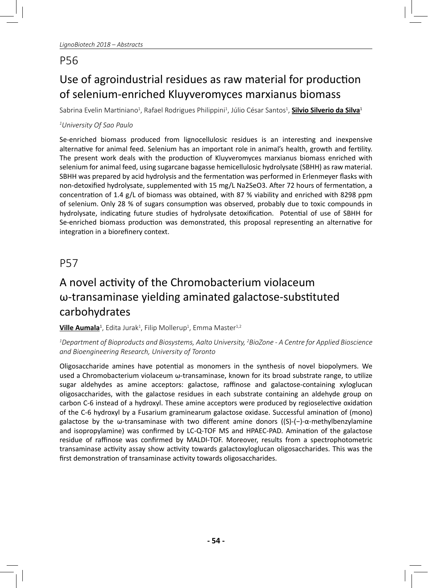# Use of agroindustrial residues as raw material for production of selenium-enriched Kluyveromyces marxianus biomass

Sabrina Evelin Martiniano<sup>1</sup>, Rafael Rodrigues Philippini<sup>1</sup>, Júlio César Santos<sup>1</sup>, <mark>Silvio Silverio da Silva</mark>ª

#### *1 University Of Sao Paulo*

Se-enriched biomass produced from lignocellulosic residues is an interesting and inexpensive alternative for animal feed. Selenium has an important role in animal's health, growth and fertility. The present work deals with the production of Kluyveromyces marxianus biomass enriched with selenium for animal feed, using sugarcane bagasse hemicellulosic hydrolysate (SBHH) as raw material. SBHH was prepared by acid hydrolysis and the fermentation was performed in Erlenmeyer flasks with non-detoxified hydrolysate, supplemented with 15 mg/L Na2SeO3. After 72 hours of fermentation, a concentration of 1.4 g/L of biomass was obtained, with 87 % viability and enriched with 8298 ppm of selenium. Only 28 % of sugars consumption was observed, probably due to toxic compounds in hydrolysate, indicating future studies of hydrolysate detoxification. Potential of use of SBHH for Se-enriched biomass production was demonstrated, this proposal representing an alternative for integration in a biorefinery context.

## P57

# A novel activity of the Chromobacterium violaceum  $\omega$ -transaminase yielding aminated galactose-substituted carbohydrates

**<u>Ville Aumala</u><sup>1</sup>, Edita Jurak<sup>1</sup>, Filip Mollerup<sup>1</sup>, Emma Master<sup>1,2</sup>** 

#### *1 Department of Bioproducts and Biosystems, Aalto University, 2 BioZone - A Centre for Applied Bioscience and Bioengineering Research, University of Toronto*

Oligosaccharide amines have potential as monomers in the synthesis of novel biopolymers. We used a Chromobacterium violaceum ω-transaminase, known for its broad substrate range, to utilize sugar aldehydes as amine acceptors: galactose, raffinose and galactose-containing xyloglucan oligosaccharides, with the galactose residues in each substrate containing an aldehyde group on carbon C-6 instead of a hydroxyl. These amine acceptors were produced by regioselective oxidation of the C-6 hydroxyl by a Fusarium graminearum galactose oxidase. Successful amination of (mono) galactose by the  $\omega$ -transaminase with two different amine donors ((S)-(-)- $\alpha$ -methylbenzylamine and isopropylamine) was confirmed by LC-Q-TOF MS and HPAEC-PAD. Amination of the galactose residue of raffinose was confirmed by MALDI-TOF. Moreover, results from a spectrophotometric transaminase activity assay show activity towards galactoxyloglucan oligosaccharides. This was the first demonstration of transaminase activity towards oligosaccharides.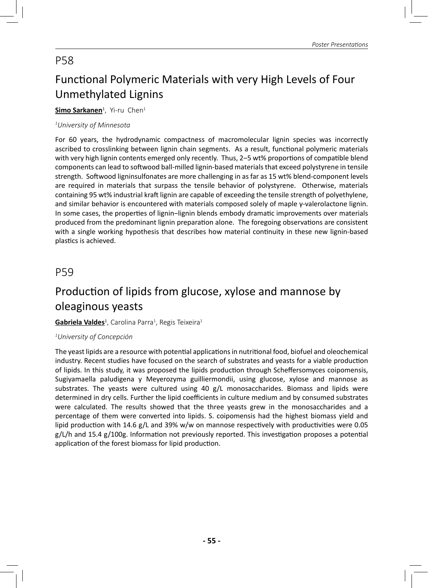# Functional Polymeric Materials with very High Levels of Four Unmethylated Lignins

#### **<u>Simo Sarkanen</u>1, Yi-ru Chen1**

#### *1 University of Minnesota*

For 60 years, the hydrodynamic compactness of macromolecular lignin species was incorrectly ascribed to crosslinking between lignin chain segments. As a result, functional polymeric materials with very high lignin contents emerged only recently. Thus, 2–5 wt% proportions of compatible blend components can lead to softwood ball-milled lignin-based materials that exceed polystyrene in tensile strength. Softwood ligninsulfonates are more challenging in as far as 15 wt% blend-component levels are required in materials that surpass the tensile behavior of polystyrene. Otherwise, materials containing 95 wt% industrial kraft lignin are capable of exceeding the tensile strength of polyethylene, and similar behavior is encountered with materials composed solely of maple γ-valerolactone lignin. In some cases, the properties of lignin-lignin blends embody dramatic improvements over materials produced from the predominant lignin preparation alone. The foregoing observations are consistent with a single working hypothesis that describes how material continuity in these new lignin-based plastics is achieved.

### P59

## Production of lipids from glucose, xylose and mannose by oleaginous yeasts

#### **<u>Gabriela Valdes</u>'**, Carolina Parra<sup>1</sup>, Regis Teixeira<sup>1</sup>

#### *1 University of Concepción*

The yeast lipids are a resource with potential applications in nutritional food, biofuel and oleochemical industry. Recent studies have focused on the search of substrates and yeasts for a viable production of lipids. In this study, it was proposed the lipids production through Scheffersomyces coipomensis, Sugiyamaella paludigena y Meyerozyma guilliermondii, using glucose, xylose and mannose as substrates. The yeasts were cultured using 40 g/L monosaccharides. Biomass and lipids were determined in dry cells. Further the lipid coefficients in culture medium and by consumed substrates were calculated. The results showed that the three yeasts grew in the monosaccharides and a percentage of them were converted into lipids. S. coipomensis had the highest biomass yield and lipid production with 14.6 g/L and 39% w/w on mannose respectively with productivities were 0.05  $g/L/h$  and 15.4  $g/100g$ . Information not previously reported. This investigation proposes a potential application of the forest biomass for lipid production.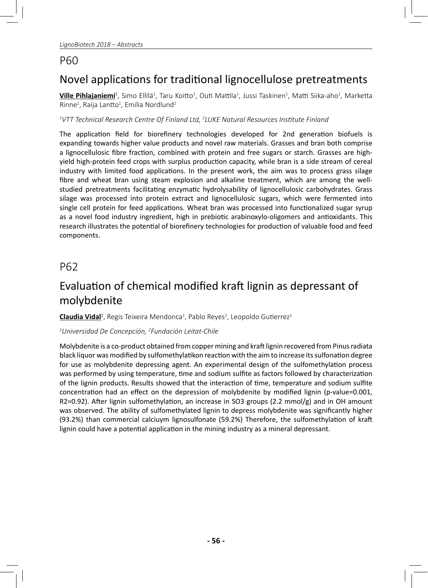# Novel applications for traditional lignocellulose pretreatments

 $\bf{Ville Pihlajaniemi^1}$ , Simo Ellilä<sup>1</sup>, Taru Koitto<sup>1</sup>, Outi Mattila<sup>1</sup>, Jussi Taskinen<sup>1</sup>, Matti Siika-aho<sup>1</sup>, Marketta  $R$ inne<sup>2</sup>, Raija Lantto<sup>1</sup>, Emilia Nordlund<sup>1</sup>

*1 VTT Technical Research Centre Of Finland Ltd, 2 LUKE Natural Resources InsƟ tute Finland*

The application field for biorefinery technologies developed for 2nd generation biofuels is expanding towards higher value products and novel raw materials. Grasses and bran both comprise a lignocellulosic fibre fraction, combined with protein and free sugars or starch. Grasses are highyield high-protein feed crops with surplus production capacity, while bran is a side stream of cereal industry with limited food applications. In the present work, the aim was to process grass silage fibre and wheat bran using steam explosion and alkaline treatment, which are among the wellstudied pretreatments facilitating enzymatic hydrolysability of lignocellulosic carbohydrates. Grass silage was processed into protein extract and lignocellulosic sugars, which were fermented into single cell protein for feed applications. Wheat bran was processed into functionalized sugar syrup as a novel food industry ingredient, high in prebiotic arabinoxylo-oligomers and antioxidants. This research illustrates the potential of biorefinery technologies for production of valuable food and feed components.

## P62

## Evaluation of chemical modified kraft lignin as depressant of molybdenite

**<u>Claudia Vidal</u><sup>1</sup>,** Regis Teixeira Mendonca<sup>1</sup>, Pablo Reyes<sup>2</sup>, Leopoldo Gutierrez<sup>1</sup>

#### *1 Universidad De Concepción, 2 Fundación Leitat-Chile*

Molybdenite is a co-product obtained from copper mining and kraft lignin recovered from Pinus radiata black liquor was modified by sulfomethylatikon reaction with the aim to increase its sulfonation degree for use as molybdenite depressing agent. An experimental design of the sulfomethylation process was performed by using temperature, time and sodium sulfite as factors followed by characterization of the lignin products. Results showed that the interaction of time, temperature and sodium sulfite concentration had an effect on the depression of molybdenite by modified lignin (p-value=0.001, R2=0.92). After lignin sulfomethylation, an increase in SO3 groups (2.2 mmol/g) and in OH amount was observed. The ability of sulfomethylated lignin to depress molybdenite was significantly higher (93.2%) than commercial calciuym lignosulfonate (59.2%) Therefore, the sulfomethylation of kraft lignin could have a potential application in the mining industry as a mineral depressant.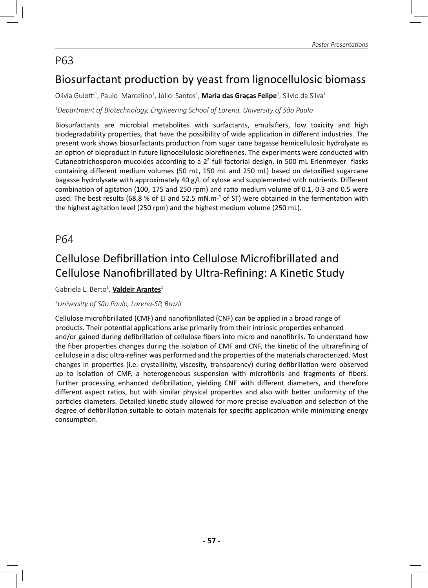## Biosurfactant production by yeast from lignocellulosic biomass

Olivia Guiotti<sup>1</sup>, Paulo Marcelino<sup>1</sup>, Júlio Santos<sup>1</sup>, **Maria das Graças Felipe**<sup>1</sup>, Silvio da Silva<sup>1</sup>

#### *1 Department of Biotechnology, Engineering School of Lorena, University of São Paulo*

Biosurfactants are microbial metabolites with surfactants, emulsifiers, low toxicity and high biodegradability properties, that have the possibility of wide application in different industries. The present work shows biosurfactants production from sugar cane bagasse hemicellulosic hydrolyate as an option of bioproduct in future lignocellulosic biorefineries. The experiments were conducted with Cutaneotrichosporon mucoides according to a  $2<sup>2</sup>$  full factorial design, in 500 mL Erlenmeyer flasks containing different medium volumes (50 mL, 150 mL and 250 mL) based on detoxified sugarcane bagasse hydrolysate with approximately 40 g/L of xylose and supplemented with nutrients. Different combination of agitation (100, 175 and 250 rpm) and ratio medium volume of 0.1, 0.3 and 0.5 were used. The best results (68.8 % of EI and 52.5 mN.m<sup>-1</sup> of ST) were obtained in the fermentation with the highest agitation level (250 rpm) and the highest medium volume (250 mL).

### P64

## Cellulose Defibrillation into Cellulose Microfibrillated and Cellulose Nanofibrillated by Ultra-Refining: A Kinetic Study

Gabriela L. Berto<sup>1</sup>, <mark>Valdeir Arantes</mark><sup>1</sup>

#### *1 University of São Paulo, Lorena-SP, Brazil*

Cellulose microfibrillated (CMF) and nanofibrillated (CNF) can be applied in a broad range of products. Their potential applications arise primarily from their intrinsic properties enhanced and/or gained during defibrillation of cellulose fibers into micro and nanofibrils. To understand how the fiber properties changes during the isolation of CMF and CNF, the kinetic of the ultrarefining of cellulose in a disc ultra-refiner was performed and the properties of the materials characterized. Most changes in properties (i.e. crystallinity, viscosity, transparency) during defibrillation were observed up to isolation of CMF, a heterogeneous suspension with microfibrils and fragments of fibers. Further processing enhanced defibrillation, yielding CNF with different diameters, and therefore different aspect ratios, but with similar physical properties and also with better uniformity of the particles diameters. Detailed kinetic study allowed for more precise evaluation and selection of the degree of defibrillation suitable to obtain materials for specific application while minimizing energy consumption.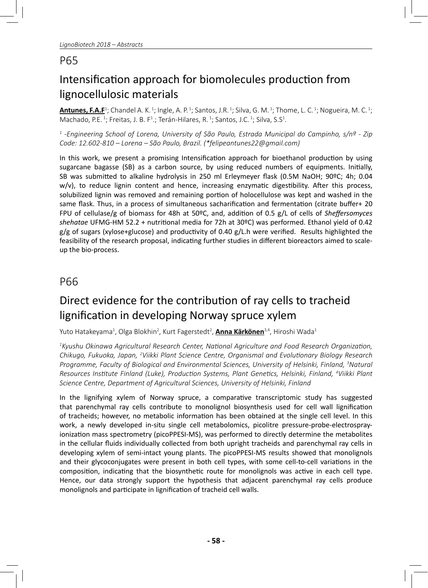# Intensification approach for biomolecules production from lignocellulosic materials

**Antunes, F.A.F**<sup>1</sup>; Chandel A. K. <sup>1</sup>; Ingle, A. P. <sup>1</sup>; Santos, J.R. <sup>1</sup>; Silva, G. M. <sup>1</sup>; Thome, L. C. <sup>1</sup>; Nogueira, M. C. <sup>1</sup>; Machado, P.E.<sup>1</sup>; Freitas, J. B. F<sup>1</sup>.; Terán-Hilares, R.<sup>1</sup>; Santos, J.C.<sup>1</sup>; Silva, S.S<sup>1</sup>.

*1 -Engineering School of Lorena, University of São Paulo, Estrada Municipal do Campinho, s/nº - Zip Code: 12.602-810 – Lorena – São Paulo, Brazil. (\*felipeantunes22@gmail.com)*

In this work, we present a promising Intensification approach for bioethanol production by using sugarcane bagasse (SB) as a carbon source, by using reduced numbers of equipments. Initially, SB was submitted to alkaline hydrolysis in 250 ml Erleymeyer flask (0.5M NaOH; 90°C; 4h; 0.04  $w/v$ , to reduce lignin content and hence, increasing enzymatic digestibility. After this process, solubilized lignin was removed and remaining portion of holocellulose was kept and washed in the same flask. Thus, in a process of simultaneous sacharification and fermentation (citrate buffer+ 20 FPU of cellulase/g of biomass for 48h at 50ºC, and, addition of 0.5 g/L of cells of *Sheffersomyces* shehatae UFMG-HM 52.2 + nutritional media for 72h at 30°C) was performed. Ethanol yield of 0.42  $g/g$  of sugars (xylose+glucose) and productivity of 0.40  $g/L$ .h were verified. Results highlighted the feasibility of the research proposal, indicating further studies in different bioreactors aimed to scaleup the bio-process.

## P66

# Direct evidence for the contribution of ray cells to tracheid lignification in developing Norway spruce xylem

Yuto Hatakeyama<sup>1</sup>, Olga Blokhin<sup>2</sup>, Kurt Fagerstedt<sup>2</sup>, <mark>Anna Kärkönen</mark><sup>3,4</sup>, Hiroshi Wada<sup>1</sup>

*1 Kyushu Okinawa Agricultural Research Center, NaƟ onal Agriculture and Food Research OrganizaƟ on, Chikugo, Fukuoka, Japan, 2 Viikki Plant Science Centre, Organismal and EvoluƟ onary Biology Research Programme, Faculty of Biological and Environmental Sciences, University of Helsinki, Finland, 3 Natural Resources InsƟ tute Finland (Luke), ProducƟ on Systems, Plant GeneƟ cs, Helsinki, Finland, 4 Viikki Plant Science Centre, Department of Agricultural Sciences, University of Helsinki, Finland* 

In the lignifying xylem of Norway spruce, a comparative transcriptomic study has suggested that parenchymal ray cells contribute to monolignol biosynthesis used for cell wall lignification of tracheids; however, no metabolic information has been obtained at the single cell level. In this work, a newly developed in-situ single cell metabolomics, picolitre pressure-probe-electrosprayionization mass spectrometry (picoPPESI-MS), was performed to directly determine the metabolites in the cellular fluids individually collected from both upright tracheids and parenchymal ray cells in developing xylem of semi-intact young plants. The picoPPESI-MS results showed that monolignols and their glycoconjugates were present in both cell types, with some cell-to-cell variations in the composition, indicating that the biosynthetic route for monolignols was active in each cell type. Hence, our data strongly support the hypothesis that adjacent parenchymal ray cells produce monolignols and participate in lignification of tracheid cell walls.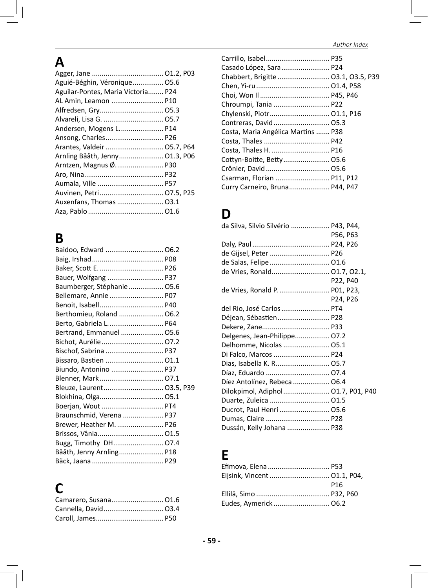# **A**

| Aguié-Béghin, Véronique 05.6       |  |
|------------------------------------|--|
| Aguilar-Pontes, Maria Victoria P24 |  |
| AL Amin, Leamon  P10               |  |
|                                    |  |
| Alvareli, Lisa G.  05.7            |  |
| Andersen, Mogens L P14             |  |
| Ansong, Charles P26                |  |
|                                    |  |
| Arnling Bååth, Jenny 01.3, P06     |  |
| Arntzen, Magnus Ø P30              |  |
|                                    |  |
|                                    |  |
| Auvinen, Petri 07.5, P25           |  |
| Auxenfans, Thomas  03.1            |  |
|                                    |  |

# **B**

| Baidoo, Edward  06.2        |  |
|-----------------------------|--|
|                             |  |
|                             |  |
| Bauer, Wolfgang  P37        |  |
| Baumberger, Stéphanie  05.6 |  |
| Bellemare, Annie  P07       |  |
|                             |  |
| Berthomieu, Roland  06.2    |  |
| Berto, Gabriela L P64       |  |
| Bertrand, Emmanuel  05.6    |  |
| Bichot, Aurélie  07.2       |  |
|                             |  |
| Bissaro, Bastien  01.1      |  |
| Biundo, Antonino  P37       |  |
| Blenner, Mark 07.1          |  |
| Bleuze, Laurent 03.5, P39   |  |
| Blokhina, Olga 05.1         |  |
| Boerjan, Wout  PT4          |  |
| Braunschmid, Verena  P37    |  |
| Brewer, Heather M.  P26     |  |
|                             |  |
|                             |  |
| Bååth, Jenny Arnling P18    |  |
|                             |  |

# **C**

| Camarero, Susana 01.6 |  |
|-----------------------|--|
| Cannella, David 03.4  |  |
|                       |  |

| Chabbert, Brigitte  03.1, 03.5, P39 |
|-------------------------------------|
|                                     |
|                                     |
|                                     |
|                                     |
|                                     |
| Costa, Maria Angélica Martins  P38  |
|                                     |
| Costa, Thales H.  P16               |
|                                     |
|                                     |
| Csarman, Florian  P11, P12          |
| Curry Carneiro, Bruna P44, P47      |
|                                     |

# **D**

| da Silva, Silvio Silvério  P43, P44, |          |
|--------------------------------------|----------|
|                                      | P56, P63 |
|                                      |          |
| de Gijsel, Peter  P26                |          |
| de Salas, Felipe  01.6               |          |
|                                      |          |
|                                      | P22, P40 |
| de Vries, Ronald P.  P01, P23,       |          |
|                                      | P24, P26 |
| del Rio, José Carlos  PT4            |          |
| Déjean, Sébastien P28                |          |
|                                      |          |
| Delgenes, Jean-Philippe 07.2         |          |
| Delhomme, Nicolas  05.1              |          |
| Di Falco, Marcos  P24                |          |
| Dias, Isabella K. R 05.7             |          |
| Díaz, Eduardo  07.4                  |          |
| Díez Antolínez, Rebeca  06.4         |          |
| Dilokpimol, Adiphol 01.7, P01, P40   |          |
| Duarte, Zuleica  01.5                |          |
| Ducrot, Paul Henri  05.6             |          |
| Dumas, Claire  P28                   |          |
| Dussán, Kelly Johana  P38            |          |
|                                      |          |

# **E**

| Efimova, Elena  P53   |
|-----------------------|
|                       |
| P16                   |
|                       |
| Eudes, Aymerick  06.2 |
|                       |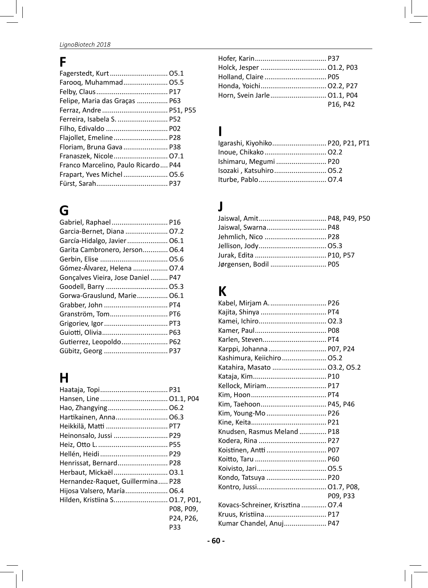# **F**

| Farooq, Muhammad 05.5               |  |
|-------------------------------------|--|
|                                     |  |
| Felipe, Maria das Graças  P63       |  |
|                                     |  |
| Ferreira, Isabela S.  P52           |  |
|                                     |  |
| Flajollet, Emeline  P28             |  |
| Floriam, Bruna Gava  P38            |  |
| Franaszek, Nicole 07.1              |  |
| Franco Marcelino, Paulo Ricardo P44 |  |
|                                     |  |
|                                     |  |
|                                     |  |

# **G**

| Garcia-Bernet, Diana  07.2         |  |
|------------------------------------|--|
| García-Hidalgo, Javier  06.1       |  |
| Garita Cambronero, Jerson O6.4     |  |
|                                    |  |
| Gómez-Álvarez, Helena  07.4        |  |
| Goncalves Vieira, Jose Daniel  P47 |  |
| Goodell, Barry  05.3               |  |
| Gorwa-Grauslund, Marie 06.1        |  |
| Grabber, John  PT4                 |  |
| Granström, Tom PT6                 |  |
| Grigoriev, Igor  PT3               |  |
|                                    |  |
| Gutierrez, Leopoldo P62            |  |
| Gübitz, Georg  P37                 |  |

# **H**

| Hartikainen, Anna 06.3            |           |
|-----------------------------------|-----------|
| Heikkilä, Matti  PT7              |           |
| Heinonsalo, Jussi  P29            |           |
|                                   |           |
|                                   |           |
| Henrissat, Bernard P28            |           |
| Herbaut, Mickaël 03.1             |           |
| Hernandez-Raquet, Guillermina P28 |           |
| Hijosa Valsero, María 06.4        |           |
| Hilden, Kristiina S 01.7, P01,    |           |
|                                   | P08. P09. |
|                                   | P24. P26. |
|                                   | P33       |

| Holland, Claire P05         |          |
|-----------------------------|----------|
| Honda, Yoichi 02.2, P27     |          |
| Horn, Svein Jarle 01.1, P04 |          |
|                             | P16. P42 |

## **I**

| Igarashi, Kiyohiko P20, P21, PT1 |  |
|----------------------------------|--|
|                                  |  |
| Ishimaru, Megumi  P20            |  |
| Isozaki, Katsuhiro 05.2          |  |
|                                  |  |

# **J**

| Jaiswal, Swarna P48   |
|-----------------------|
| Jehmlich, Nico  P28   |
|                       |
|                       |
| Jørgensen, Bodil  P05 |
|                       |

# **K**

| Kabel, Mirjam A P26               |          |
|-----------------------------------|----------|
| Kajita, Shinya  PT4               |          |
|                                   |          |
|                                   |          |
| Karlen, Steven PT4                |          |
| Karppi, Johanna  P07, P24         |          |
| Kashimura, Keiichiro  05.2        |          |
| Katahira, Masato  03.2, 05.2      |          |
|                                   |          |
| Kellock, Miriam P17               |          |
|                                   |          |
| Kim, Taehoon P45, P46             |          |
| Kim, Young-Mo  P26                |          |
|                                   |          |
| Knudsen, Rasmus Meland  P18       |          |
|                                   |          |
| Koistinen, Antti  P07             |          |
|                                   |          |
|                                   |          |
| Kondo, Tatsuya  P20               |          |
|                                   |          |
|                                   | P09. P33 |
| Kovacs-Schreiner, Krisztina  07.4 |          |
| Kruus, Kristiina P17              |          |
| Kumar Chandel, Anuj P47           |          |
|                                   |          |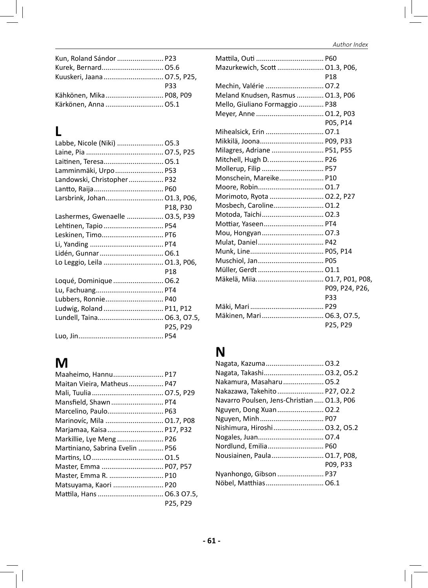| Kun, Roland Sándor  P23 |            |
|-------------------------|------------|
| Kurek, Bernard 05.6     |            |
|                         |            |
|                         | <b>P33</b> |
| Kähkönen, Mika P08, P09 |            |
| Kärkönen, Anna  05.1    |            |

# **L**

| Labbe, Nicole (Niki)  05.3      |            |
|---------------------------------|------------|
|                                 |            |
| Laitinen, Teresa 05.1           |            |
| Lamminmäki, Urpo  P53           |            |
| Landowski, Christopher P32      |            |
|                                 |            |
| Larsbrink, Johan 01.3, P06,     |            |
|                                 | P18, P30   |
| Lashermes, Gwenaelle  03.5, P39 |            |
| Lehtinen, Tapio  P54            |            |
| Leskinen, Timo PT6              |            |
|                                 |            |
| Lidén, Gunnar  06.1             |            |
| Lo Leggio, Leila  01.3, P06,    |            |
|                                 | <b>P18</b> |
| Loqué, Dominique  06.2          |            |
|                                 |            |
| Lubbers, Ronnie P40             |            |
| Ludwig, Roland  P11, P12        |            |
| Lundell, Taina 06.3, 07.5,      |            |
|                                 | P25, P29   |
|                                 |            |

# **M**

| Maaheimo, Hannu P17             |          |
|---------------------------------|----------|
| Maitan Vieira, Matheus P47      |          |
|                                 |          |
| Mansfield, Shawn PT4            |          |
| Marcelino, Paulo P63            |          |
| Marinovíc, Mila  01.7, P08      |          |
| Marjamaa, Kaisa  P17, P32       |          |
| Markillie, Lye Meng  P26        |          |
| Martiniano, Sabrina Evelin  P56 |          |
|                                 |          |
|                                 |          |
|                                 |          |
| Matsuyama, Kaori  P20           |          |
|                                 |          |
|                                 | P25. P29 |

| Mazurkewich, Scott  01.3, P06,    |                 |
|-----------------------------------|-----------------|
|                                   | P <sub>18</sub> |
|                                   |                 |
| Meland Knudsen, Rasmus  01.3, P06 |                 |
| Mello, Giuliano Formaggio  P38    |                 |
|                                   |                 |
|                                   | P05. P14        |
| Mihealsick, Erin  07.1            |                 |
| Mikkilä, Joona P09, P33           |                 |
| Milagres, Adriane  P51, P55       |                 |
| Mitchell, Hugh D P26              |                 |
|                                   |                 |
| Monschein, Mareike P10            |                 |
|                                   |                 |
| Morimoto, Ryota  02.2, P27        |                 |
| Mosbech, Caroline 01.2            |                 |
|                                   |                 |
| Mottiar, Yaseen PT4               |                 |
|                                   |                 |
|                                   |                 |
|                                   |                 |
|                                   |                 |
|                                   |                 |
| Mäkelä, Miia 01.7, P01, P08,      |                 |
|                                   | P09, P24, P26,  |
|                                   | P33             |
|                                   |                 |
| Mäkinen, Mari 06.3, 07.5,         |                 |
|                                   | P25, P29        |

# **N**

| Nagata, Kazuma 03.2                        |          |
|--------------------------------------------|----------|
| Nagata, Takashi 03.2, 05.2                 |          |
| Nakamura, Masaharu  05.2                   |          |
| Nakazawa, Takehito  P27, O2.2              |          |
| Navarro Poulsen, Jens-Christian  01.3, P06 |          |
| Nguyen, Dong Xuan 02.2                     |          |
| Nguyen, Minh P07                           |          |
| Nishimura, Hiroshi 03.2, 05.2              |          |
|                                            |          |
| Nordlund, Emilia P60                       |          |
| Nousiainen, Paula 01.7, P08,               |          |
|                                            | P09. P33 |
|                                            |          |
| Nöbel, Matthias 06.1                       |          |
|                                            |          |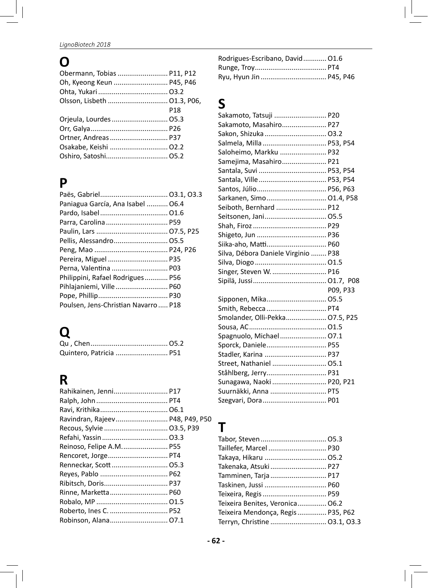# **O**

| Obermann, Tobias  P11, P12  |            |
|-----------------------------|------------|
| Oh, Kyeong Keun  P45, P46   |            |
|                             |            |
| Olsson, Lisbeth  01.3, P06, |            |
|                             | <b>P18</b> |
|                             |            |
|                             |            |
|                             |            |
| Osakabe, Keishi  02.2       |            |
| Oshiro, Satoshi 05.2        |            |
|                             |            |

# **P**

| Paniagua García, Ana Isabel  06.4   |  |
|-------------------------------------|--|
|                                     |  |
| Parra, Carolina  P59                |  |
|                                     |  |
|                                     |  |
|                                     |  |
| Pereira, Miguel  P35                |  |
| Perna, Valentina  P03               |  |
| Philippini, Rafael Rodrigues P56    |  |
| Pihlajaniemi, Ville P60             |  |
|                                     |  |
| Poulsen, Jens-Christian Navarro P18 |  |

# **Q**

| Quintero, Patricia  P51 |  |
|-------------------------|--|

# **R**

| Rahikainen, Jenni P17           | Suu          |
|---------------------------------|--------------|
|                                 | Szei         |
|                                 |              |
| Ravindran, Rajeev P48, P49, P50 |              |
| Recous, Sylvie  03.5, P39       | $\mathbf{L}$ |
|                                 | Tab          |
| Reinoso, Felipe A.M P55         | Tail         |
|                                 | Tak          |
| Renneckar, Scott  05.3          | Takı         |
|                                 | Tam          |
|                                 | Tasl         |
|                                 | Teix         |
|                                 | Teix         |
|                                 | Teix         |
| Robinson, Alana 07.1            | Teri         |

| Rodrigues-Escribano, David 01.6 |  |
|---------------------------------|--|
|                                 |  |
|                                 |  |

# **S**

| Sakamoto, Tatsuji  P20              |          |
|-------------------------------------|----------|
| Sakamoto, Masahiro P27              |          |
| Sakon, Shizuka  03.2                |          |
| Salmela, Milla  P53, P54            |          |
| Saloheimo, Markku  P32              |          |
| Samejima, Masahiro P21              |          |
| Santala, Suvi  P53, P54             |          |
| Santala, Ville  P53, P54            |          |
|                                     |          |
| Sarkanen, Simo 01.4, P58            |          |
| Seiboth, Bernhard  P12              |          |
| Seitsonen, Jani 05.5                |          |
|                                     |          |
|                                     |          |
| Siika-aho, Matti P60                |          |
| Silva, Débora Daniele Virginio  P38 |          |
|                                     |          |
| Singer, Steven W.  P16              |          |
|                                     |          |
|                                     | P09. P33 |
| Sipponen, Mika 05.5                 |          |
| Smith, Rebecca  PT4                 |          |
| Smolander, Olli-Pekka 07.5, P25     |          |
|                                     |          |
| Spagnuolo, Michael 07.1             |          |
| Sporck, Daniele P55                 |          |
| Stadler, Karina  P37                |          |
| Street, Nathaniel  05.1             |          |
| Ståhlberg, Jerry P31                |          |
| Sunagawa, Naoki  P20, P21           |          |
| Suurnäkki, Anna  PT5                |          |
| Szegvari, Dora P01                  |          |

| Taillefer, Marcel  P30             |  |
|------------------------------------|--|
| Takaya, Hikaru  05.2               |  |
| Takenaka, Atsuki P27               |  |
| Tamminen, Tarja P17                |  |
| Taskinen, Jussi  P60               |  |
| Teixeira, Regis  P59               |  |
| Teixeira Benites, Veronica 06.2    |  |
| Teixeira Mendonça, Regis  P35, P62 |  |
| Terryn, Christine  03.1, 03.3      |  |